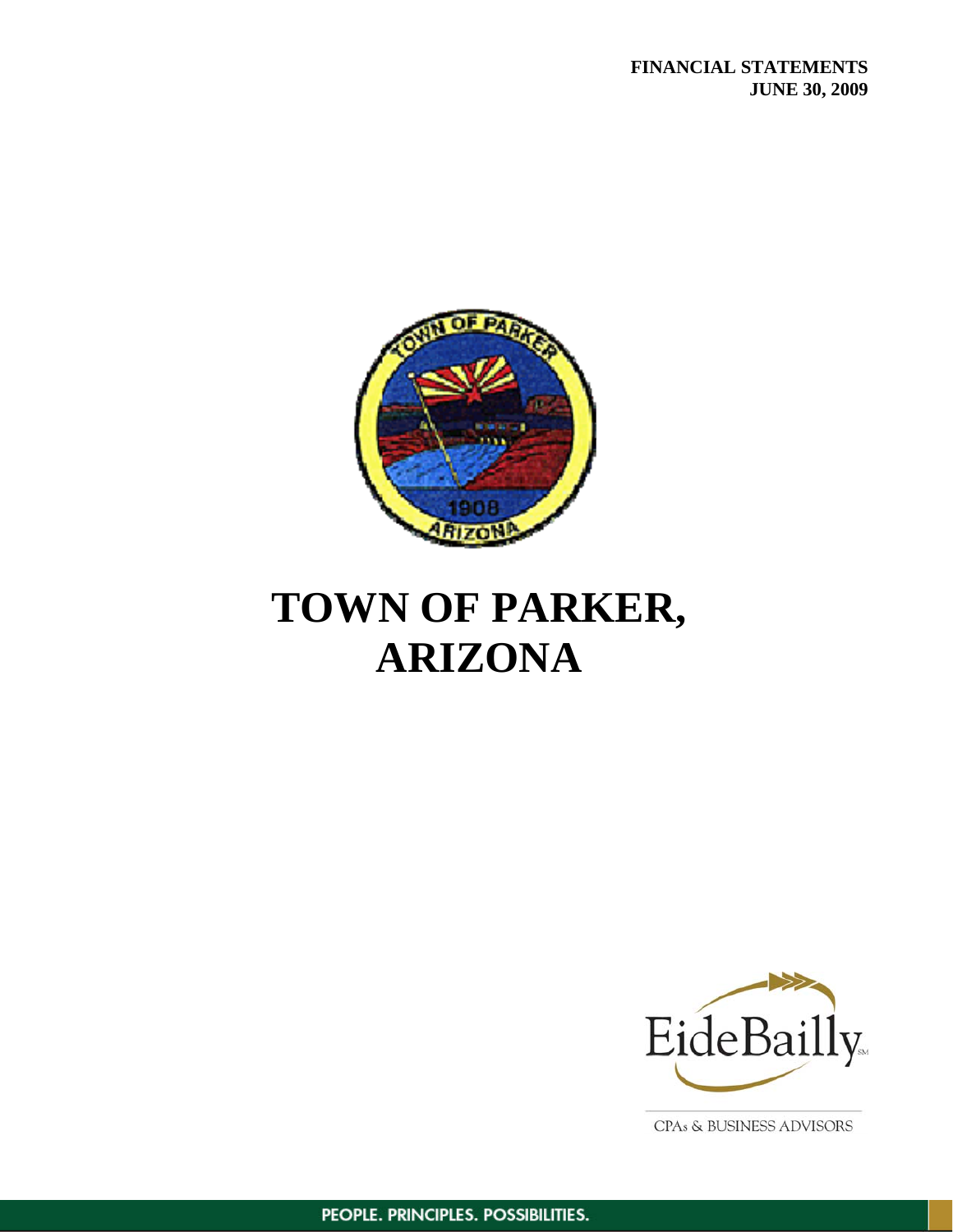

# **TOWN OF PARKER, ARIZONA**



CPAs & BUSINESS ADVISORS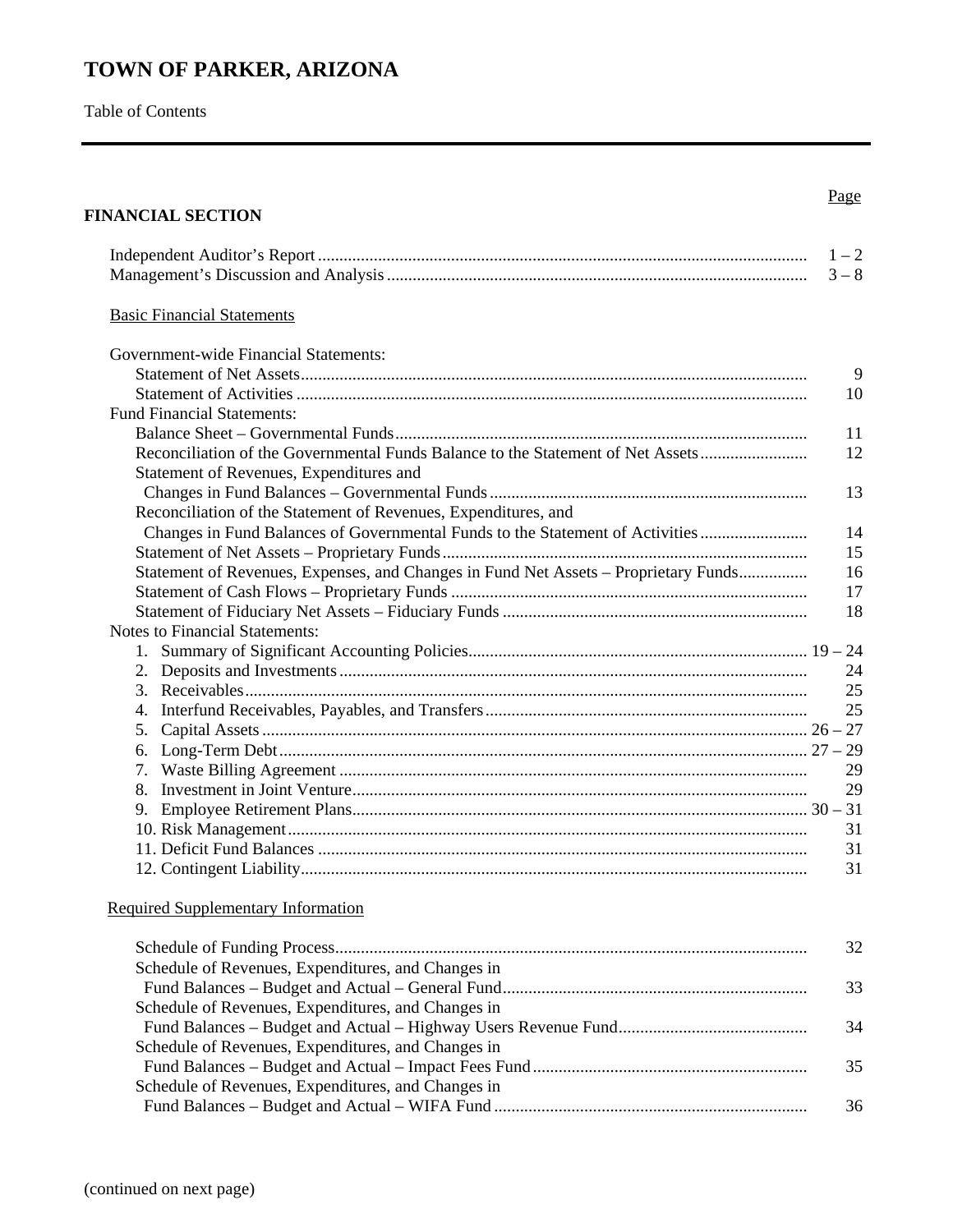# **TOWN OF PARKER, ARIZONA**

Table of Contents

# **FINANCIAL SECTION**

# Page

|                                                                                                                            | $1 - 2$<br>$3 - 8$ |
|----------------------------------------------------------------------------------------------------------------------------|--------------------|
| <b>Basic Financial Statements</b>                                                                                          |                    |
| Government-wide Financial Statements:                                                                                      |                    |
|                                                                                                                            | 9                  |
|                                                                                                                            | 10                 |
| <b>Fund Financial Statements:</b>                                                                                          |                    |
|                                                                                                                            | 11                 |
| Reconciliation of the Governmental Funds Balance to the Statement of Net Assets<br>Statement of Revenues, Expenditures and | 12                 |
|                                                                                                                            | 13                 |
| Reconciliation of the Statement of Revenues, Expenditures, and                                                             |                    |
| Changes in Fund Balances of Governmental Funds to the Statement of Activities                                              | 14                 |
|                                                                                                                            | 15                 |
| Statement of Revenues, Expenses, and Changes in Fund Net Assets – Proprietary Funds                                        | 16                 |
|                                                                                                                            | 17                 |
|                                                                                                                            | 18                 |
| Notes to Financial Statements:                                                                                             |                    |
| 1.                                                                                                                         |                    |
|                                                                                                                            | 24                 |
|                                                                                                                            | 25                 |
|                                                                                                                            | 25                 |
| 5.                                                                                                                         |                    |
|                                                                                                                            |                    |
|                                                                                                                            | 29                 |
| 8.                                                                                                                         | 29                 |
|                                                                                                                            |                    |
|                                                                                                                            | 31                 |
|                                                                                                                            | 31                 |
|                                                                                                                            | 31                 |

# Required Supplementary Information

| Schedule of Revenues, Expenditures, and Changes in |     |
|----------------------------------------------------|-----|
|                                                    | 33. |
| Schedule of Revenues, Expenditures, and Changes in |     |
|                                                    | 34  |
| Schedule of Revenues, Expenditures, and Changes in |     |
|                                                    | 35  |
| Schedule of Revenues, Expenditures, and Changes in |     |
|                                                    | 36  |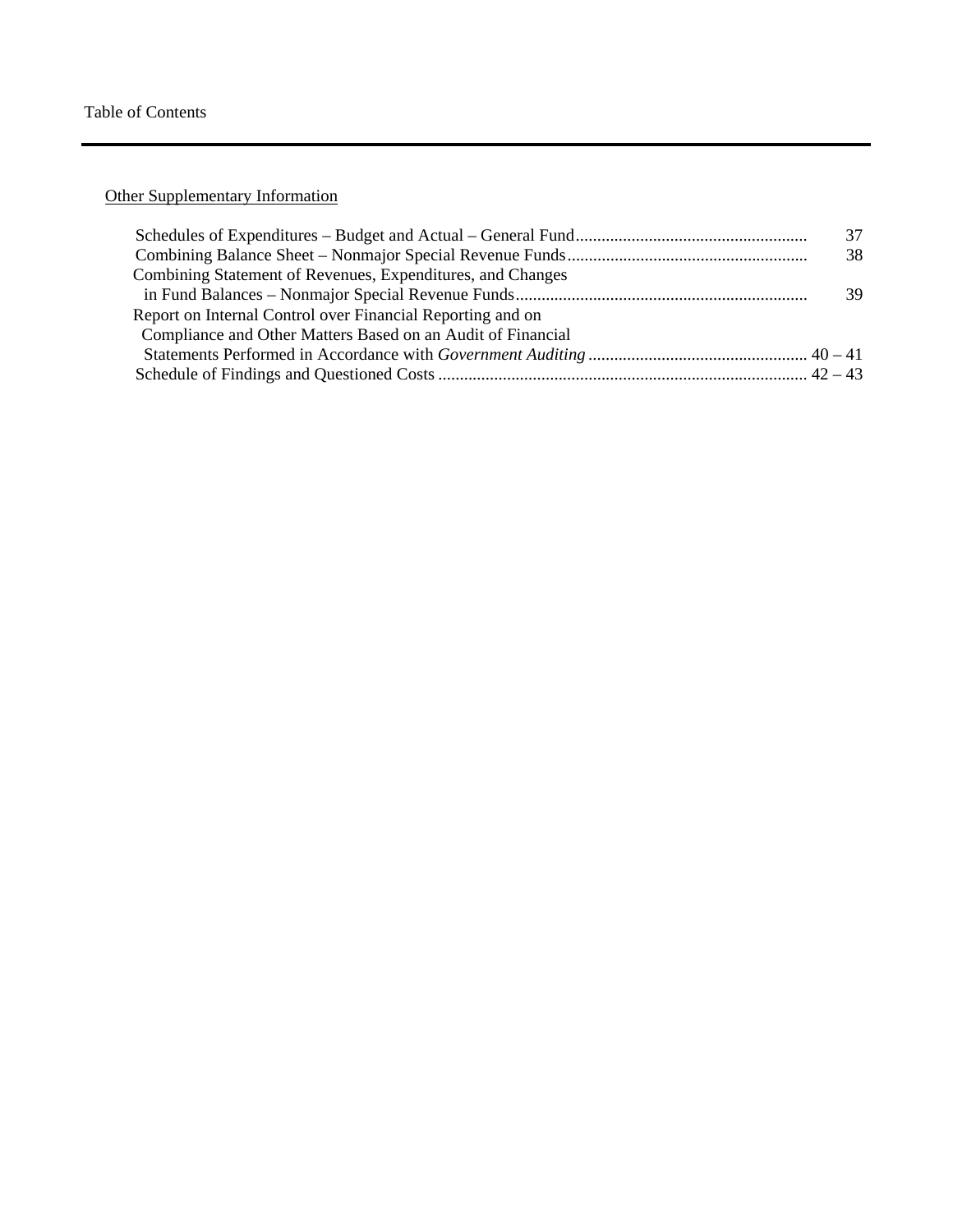Other Supplementary Information

|                                                             | 37 |
|-------------------------------------------------------------|----|
|                                                             | 38 |
| Combining Statement of Revenues, Expenditures, and Changes  |    |
|                                                             | 39 |
| Report on Internal Control over Financial Reporting and on  |    |
| Compliance and Other Matters Based on an Audit of Financial |    |
|                                                             |    |
|                                                             |    |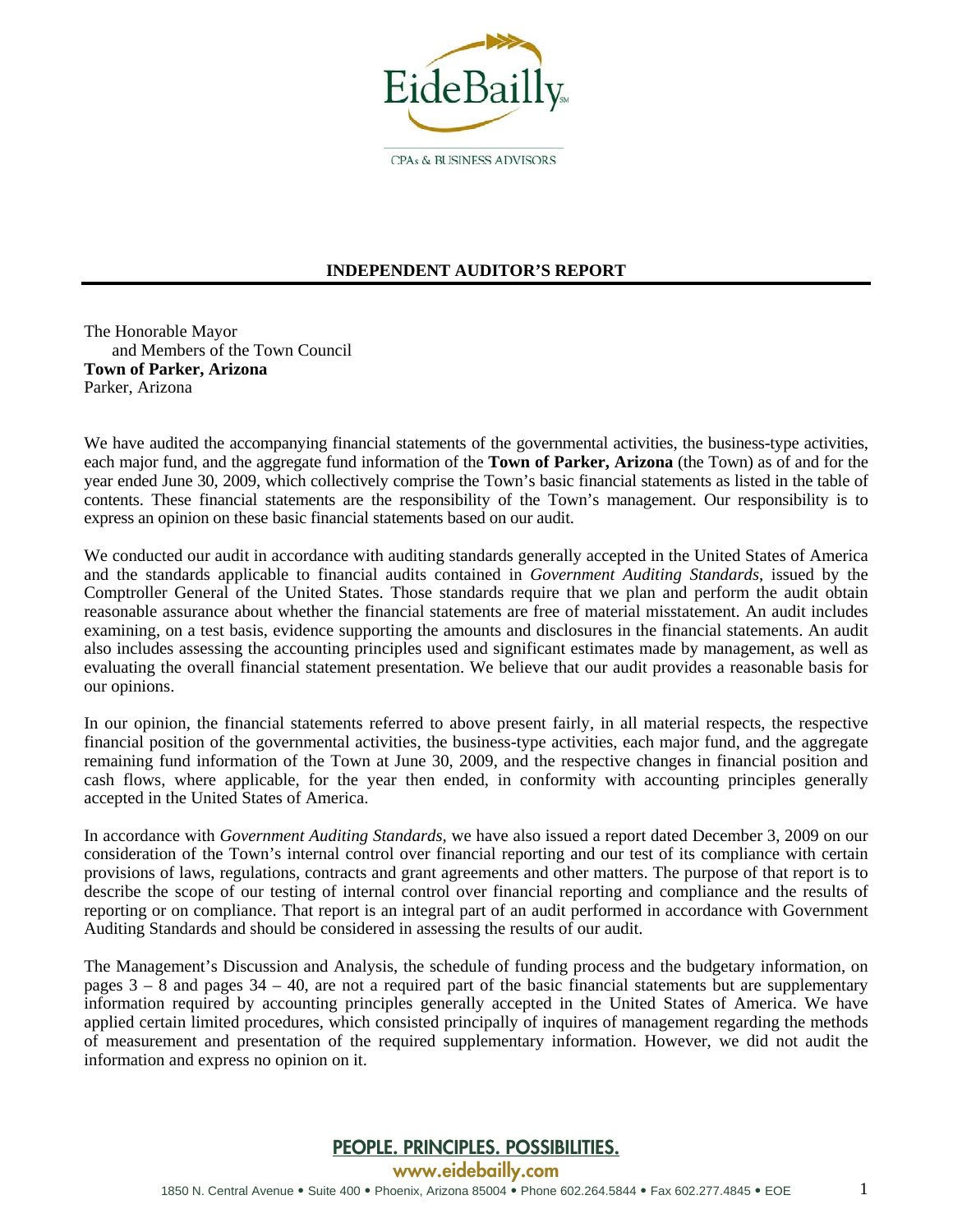

**INDEPENDENT AUDITOR'S REPORT** 

The Honorable Mayor and Members of the Town Council **Town of Parker, Arizona**  Parker, Arizona

We have audited the accompanying financial statements of the governmental activities, the business-type activities, each major fund, and the aggregate fund information of the **Town of Parker, Arizona** (the Town) as of and for the year ended June 30, 2009, which collectively comprise the Town's basic financial statements as listed in the table of contents. These financial statements are the responsibility of the Town's management. Our responsibility is to express an opinion on these basic financial statements based on our audit.

We conducted our audit in accordance with auditing standards generally accepted in the United States of America and the standards applicable to financial audits contained in *Government Auditing Standards*, issued by the Comptroller General of the United States. Those standards require that we plan and perform the audit obtain reasonable assurance about whether the financial statements are free of material misstatement. An audit includes examining, on a test basis, evidence supporting the amounts and disclosures in the financial statements. An audit also includes assessing the accounting principles used and significant estimates made by management, as well as evaluating the overall financial statement presentation. We believe that our audit provides a reasonable basis for our opinions.

In our opinion, the financial statements referred to above present fairly, in all material respects, the respective financial position of the governmental activities, the business-type activities, each major fund, and the aggregate remaining fund information of the Town at June 30, 2009, and the respective changes in financial position and cash flows, where applicable, for the year then ended, in conformity with accounting principles generally accepted in the United States of America.

In accordance with *Government Auditing Standards*, we have also issued a report dated December 3, 2009 on our consideration of the Town's internal control over financial reporting and our test of its compliance with certain provisions of laws, regulations, contracts and grant agreements and other matters. The purpose of that report is to describe the scope of our testing of internal control over financial reporting and compliance and the results of reporting or on compliance. That report is an integral part of an audit performed in accordance with Government Auditing Standards and should be considered in assessing the results of our audit.

The Management's Discussion and Analysis, the schedule of funding process and the budgetary information, on pages  $3 - 8$  and pages  $34 - 40$ , are not a required part of the basic financial statements but are supplementary information required by accounting principles generally accepted in the United States of America. We have applied certain limited procedures, which consisted principally of inquires of management regarding the methods of measurement and presentation of the required supplementary information. However, we did not audit the information and express no opinion on it.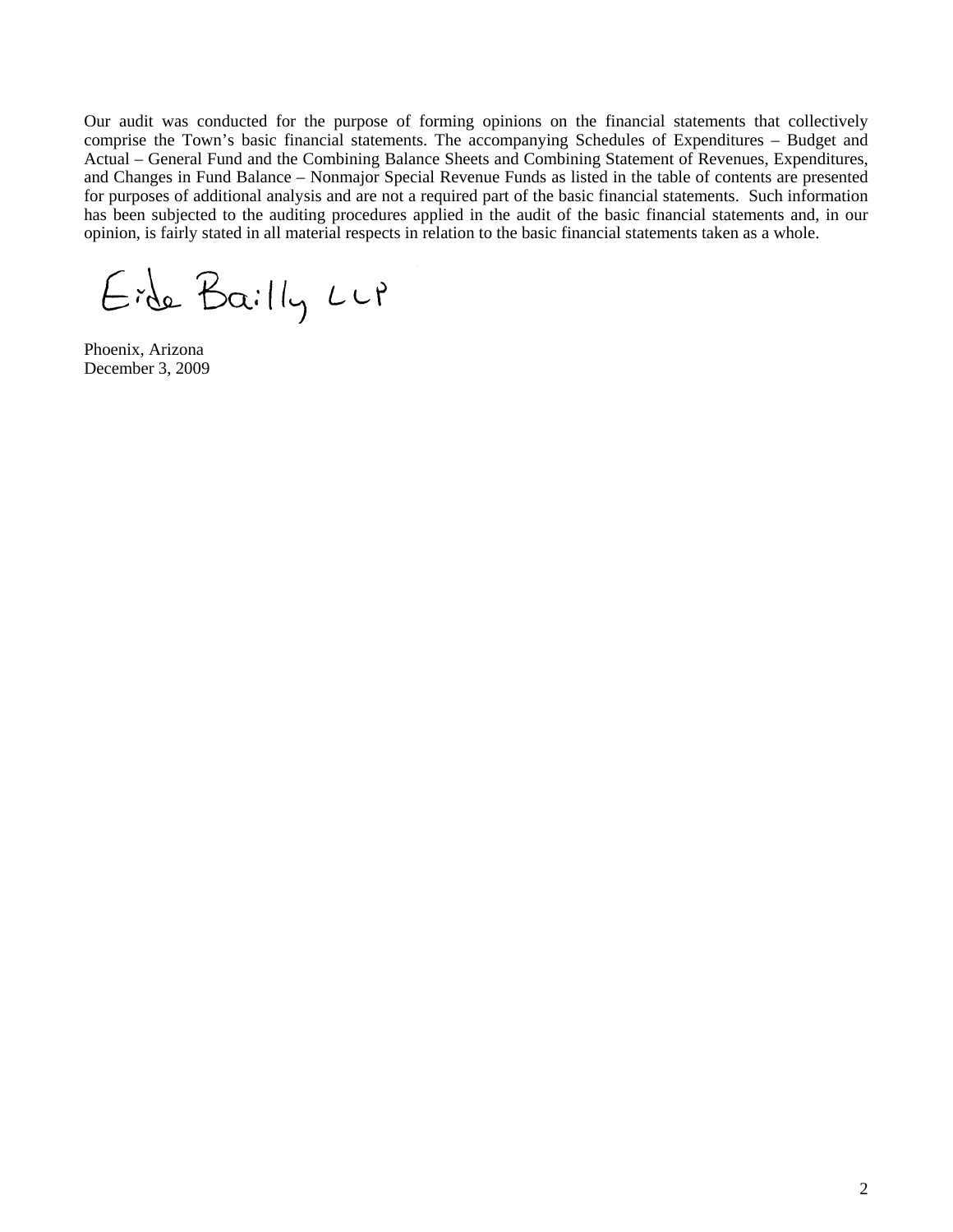Our audit was conducted for the purpose of forming opinions on the financial statements that collectively comprise the Town's basic financial statements. The accompanying Schedules of Expenditures – Budget and Actual – General Fund and the Combining Balance Sheets and Combining Statement of Revenues, Expenditures, and Changes in Fund Balance – Nonmajor Special Revenue Funds as listed in the table of contents are presented for purposes of additional analysis and are not a required part of the basic financial statements. Such information has been subjected to the auditing procedures applied in the audit of the basic financial statements and, in our opinion, is fairly stated in all material respects in relation to the basic financial statements taken as a whole.

Eide Bailly Lup

Phoenix, Arizona December 3, 2009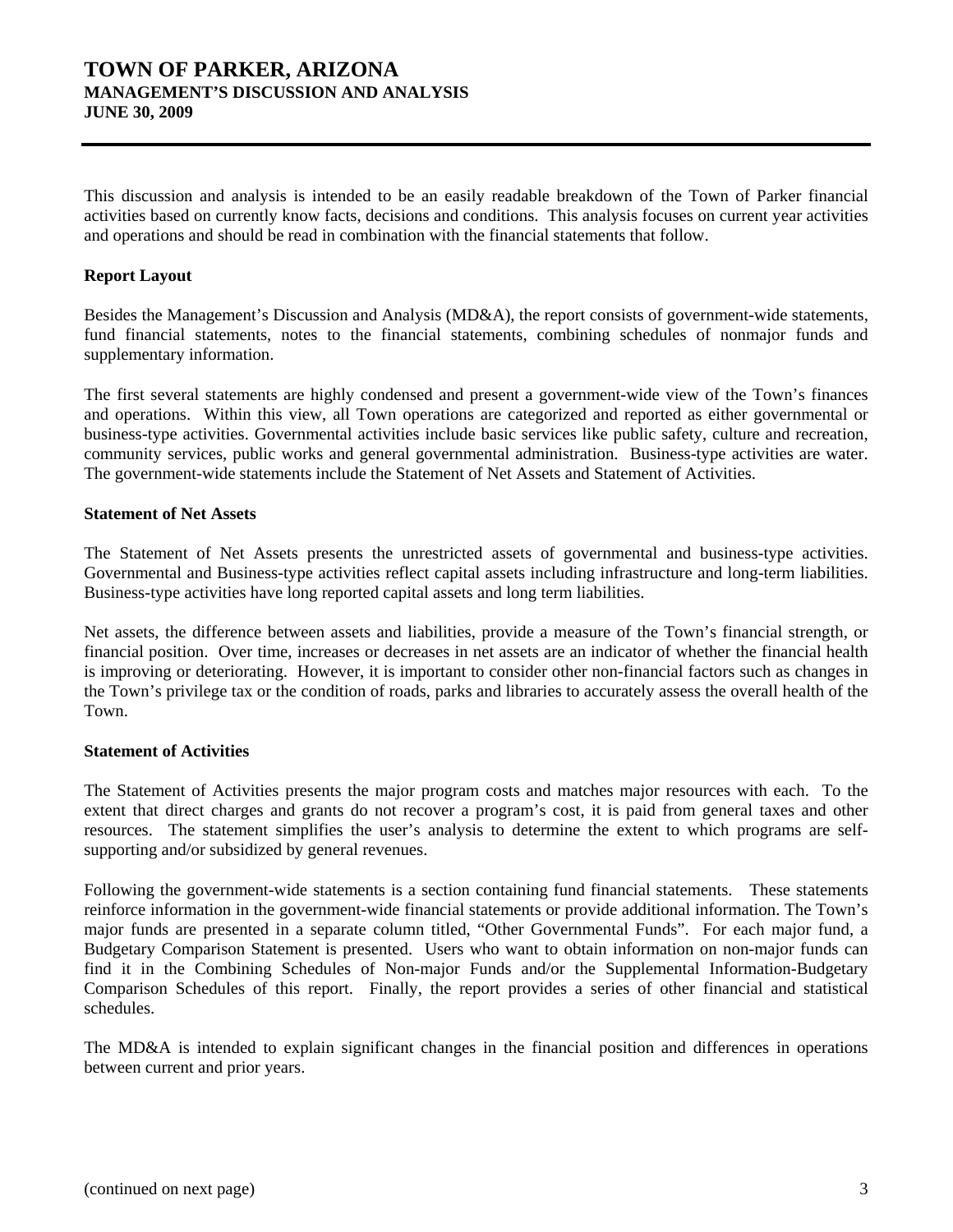## **TOWN OF PARKER, ARIZONA MANAGEMENT'S DISCUSSION AND ANALYSIS JUNE 30, 2009**

This discussion and analysis is intended to be an easily readable breakdown of the Town of Parker financial activities based on currently know facts, decisions and conditions. This analysis focuses on current year activities and operations and should be read in combination with the financial statements that follow.

#### **Report Layout**

Besides the Management's Discussion and Analysis (MD&A), the report consists of government-wide statements, fund financial statements, notes to the financial statements, combining schedules of nonmajor funds and supplementary information.

The first several statements are highly condensed and present a government-wide view of the Town's finances and operations. Within this view, all Town operations are categorized and reported as either governmental or business-type activities. Governmental activities include basic services like public safety, culture and recreation, community services, public works and general governmental administration. Business-type activities are water. The government-wide statements include the Statement of Net Assets and Statement of Activities.

#### **Statement of Net Assets**

The Statement of Net Assets presents the unrestricted assets of governmental and business-type activities. Governmental and Business-type activities reflect capital assets including infrastructure and long-term liabilities. Business-type activities have long reported capital assets and long term liabilities.

Net assets, the difference between assets and liabilities, provide a measure of the Town's financial strength, or financial position. Over time, increases or decreases in net assets are an indicator of whether the financial health is improving or deteriorating. However, it is important to consider other non-financial factors such as changes in the Town's privilege tax or the condition of roads, parks and libraries to accurately assess the overall health of the Town.

#### **Statement of Activities**

The Statement of Activities presents the major program costs and matches major resources with each. To the extent that direct charges and grants do not recover a program's cost, it is paid from general taxes and other resources. The statement simplifies the user's analysis to determine the extent to which programs are selfsupporting and/or subsidized by general revenues.

Following the government-wide statements is a section containing fund financial statements. These statements reinforce information in the government-wide financial statements or provide additional information. The Town's major funds are presented in a separate column titled, "Other Governmental Funds". For each major fund, a Budgetary Comparison Statement is presented. Users who want to obtain information on non-major funds can find it in the Combining Schedules of Non-major Funds and/or the Supplemental Information-Budgetary Comparison Schedules of this report. Finally, the report provides a series of other financial and statistical schedules.

The MD&A is intended to explain significant changes in the financial position and differences in operations between current and prior years.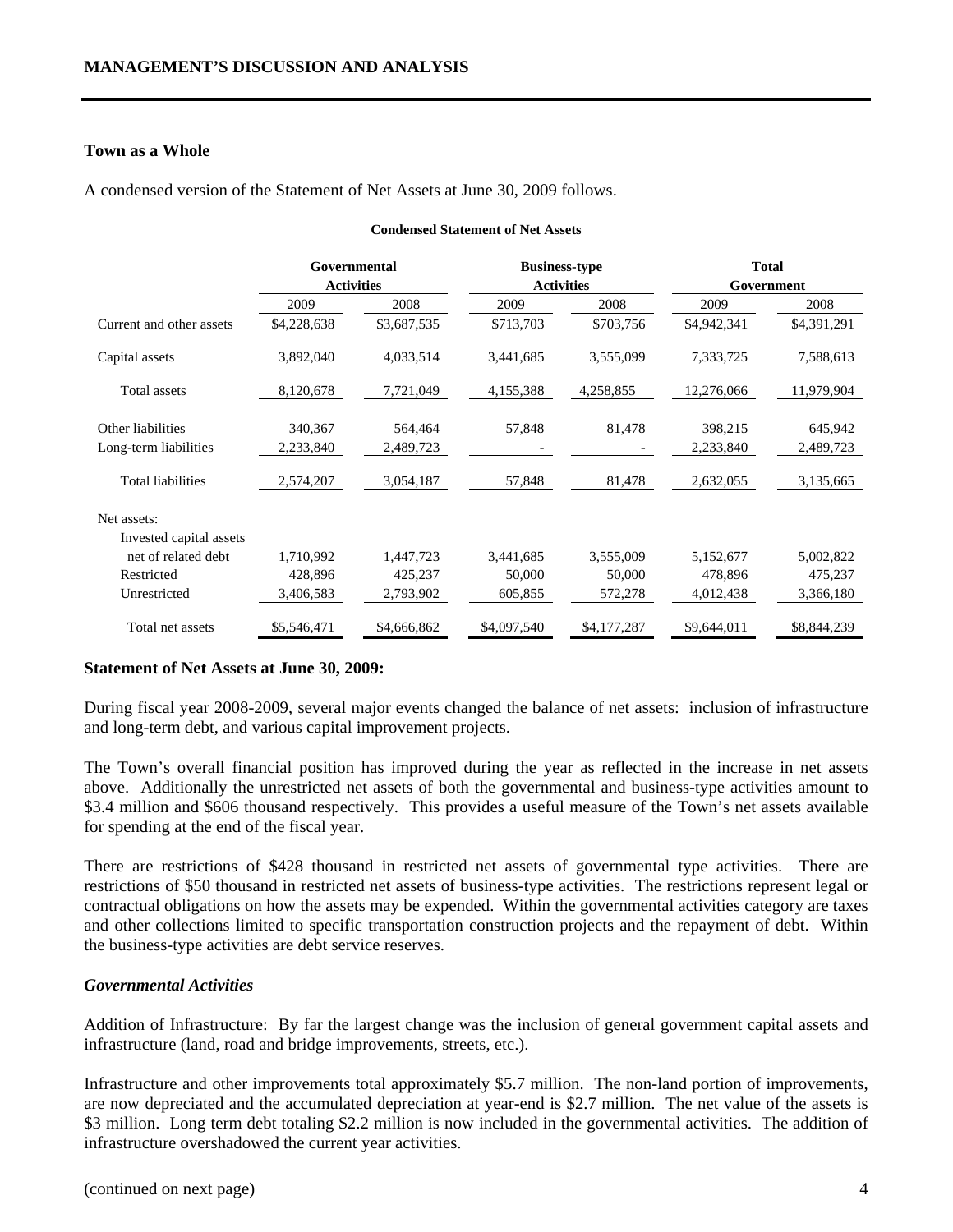#### **Town as a Whole**

A condensed version of the Statement of Net Assets at June 30, 2009 follows.

|                          | Governmental      |             |             | <b>Business-type</b> |             | <b>Total</b> |  |
|--------------------------|-------------------|-------------|-------------|----------------------|-------------|--------------|--|
|                          | <b>Activities</b> |             |             | <b>Activities</b>    | Government  |              |  |
|                          | 2009              | 2008        | 2009        | 2008                 | 2009        | 2008         |  |
| Current and other assets | \$4,228,638       | \$3,687,535 | \$713,703   | \$703,756            | \$4,942,341 | \$4,391,291  |  |
| Capital assets           | 3,892,040         | 4,033,514   | 3,441,685   | 3,555,099            | 7,333,725   | 7,588,613    |  |
| Total assets             | 8,120,678         | 7,721,049   | 4,155,388   | 4,258,855            | 12,276,066  | 11,979,904   |  |
| Other liabilities        | 340,367           | 564,464     | 57,848      | 81,478               | 398,215     | 645,942      |  |
| Long-term liabilities    | 2,233,840         | 2,489,723   |             |                      | 2,233,840   | 2,489,723    |  |
| <b>Total liabilities</b> | 2,574,207         | 3,054,187   | 57,848      | 81,478               | 2,632,055   | 3,135,665    |  |
| Net assets:              |                   |             |             |                      |             |              |  |
| Invested capital assets  |                   |             |             |                      |             |              |  |
| net of related debt      | 1,710,992         | 1,447,723   | 3,441,685   | 3,555,009            | 5,152,677   | 5,002,822    |  |
| Restricted               | 428,896           | 425,237     | 50,000      | 50,000               | 478,896     | 475,237      |  |
| Unrestricted             | 3,406,583         | 2,793,902   | 605,855     | 572,278              | 4,012,438   | 3,366,180    |  |
| Total net assets         | \$5,546,471       | \$4,666,862 | \$4,097,540 | \$4,177,287          | \$9,644,011 | \$8,844,239  |  |

#### **Condensed Statement of Net Assets**

#### **Statement of Net Assets at June 30, 2009:**

During fiscal year 2008-2009, several major events changed the balance of net assets: inclusion of infrastructure and long-term debt, and various capital improvement projects.

The Town's overall financial position has improved during the year as reflected in the increase in net assets above. Additionally the unrestricted net assets of both the governmental and business-type activities amount to \$3.4 million and \$606 thousand respectively. This provides a useful measure of the Town's net assets available for spending at the end of the fiscal year.

There are restrictions of \$428 thousand in restricted net assets of governmental type activities. There are restrictions of \$50 thousand in restricted net assets of business-type activities. The restrictions represent legal or contractual obligations on how the assets may be expended. Within the governmental activities category are taxes and other collections limited to specific transportation construction projects and the repayment of debt. Within the business-type activities are debt service reserves.

### *Governmental Activities*

Addition of Infrastructure: By far the largest change was the inclusion of general government capital assets and infrastructure (land, road and bridge improvements, streets, etc.).

Infrastructure and other improvements total approximately \$5.7 million. The non-land portion of improvements, are now depreciated and the accumulated depreciation at year-end is \$2.7 million. The net value of the assets is \$3 million. Long term debt totaling \$2.2 million is now included in the governmental activities. The addition of infrastructure overshadowed the current year activities.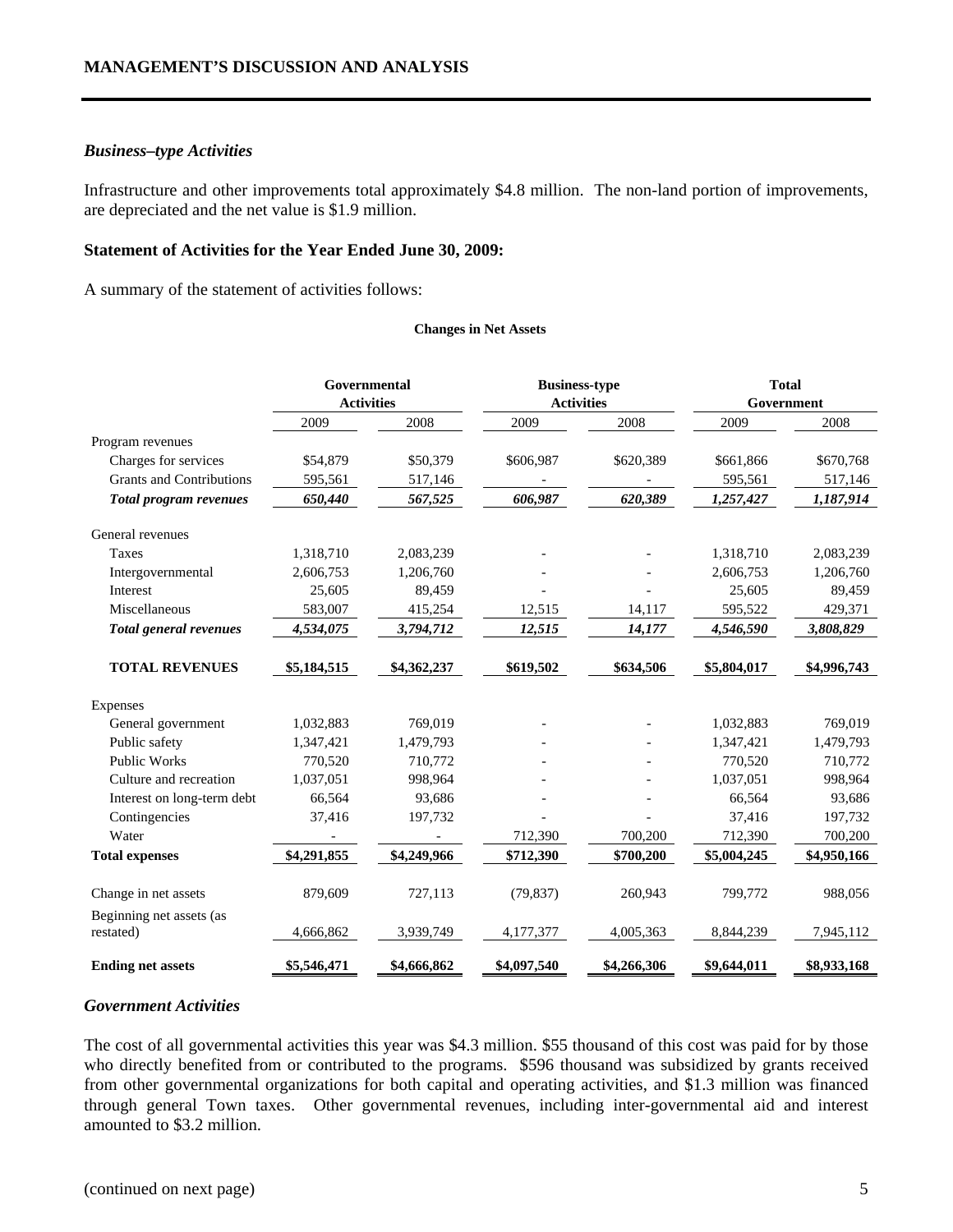#### *Business–type Activities*

Infrastructure and other improvements total approximately \$4.8 million. The non-land portion of improvements, are depreciated and the net value is \$1.9 million.

#### **Statement of Activities for the Year Ended June 30, 2009:**

A summary of the statement of activities follows:

#### **Changes in Net Assets**

|                                 | Governmental      |             |                   | <b>Business-type</b> |             | <b>Total</b> |  |  |
|---------------------------------|-------------------|-------------|-------------------|----------------------|-------------|--------------|--|--|
|                                 | <b>Activities</b> |             | <b>Activities</b> |                      | Government  |              |  |  |
|                                 | 2009              | 2008        | 2009              | 2008                 | 2009        | 2008         |  |  |
| Program revenues                |                   |             |                   |                      |             |              |  |  |
| Charges for services            | \$54,879          | \$50,379    | \$606,987         | \$620,389            | \$661,866   | \$670,768    |  |  |
| <b>Grants and Contributions</b> | 595,561           | 517,146     |                   |                      | 595,561     | 517,146      |  |  |
| <b>Total program revenues</b>   | 650,440           | 567,525     | 606,987           | 620,389              | 1,257,427   | 1,187,914    |  |  |
| General revenues                |                   |             |                   |                      |             |              |  |  |
| Taxes                           | 1,318,710         | 2,083,239   |                   |                      | 1,318,710   | 2,083,239    |  |  |
| Intergovernmental               | 2,606,753         | 1,206,760   |                   |                      | 2,606,753   | 1,206,760    |  |  |
| Interest                        | 25,605            | 89,459      |                   |                      | 25,605      | 89,459       |  |  |
| Miscellaneous                   | 583,007           | 415,254     | 12,515            | 14,117               | 595,522     | 429,371      |  |  |
| <b>Total general revenues</b>   | 4,534,075         | 3,794,712   | 12,515            | 14,177               | 4,546,590   | 3,808,829    |  |  |
| <b>TOTAL REVENUES</b>           | \$5,184,515       | \$4,362,237 | \$619,502         | \$634,506            | \$5,804,017 | \$4,996,743  |  |  |
| Expenses                        |                   |             |                   |                      |             |              |  |  |
| General government              | 1,032,883         | 769,019     |                   |                      | 1,032,883   | 769,019      |  |  |
| Public safety                   | 1,347,421         | 1,479,793   |                   |                      | 1,347,421   | 1,479,793    |  |  |
| <b>Public Works</b>             | 770,520           | 710,772     |                   |                      | 770,520     | 710,772      |  |  |
| Culture and recreation          | 1,037,051         | 998,964     |                   |                      | 1,037,051   | 998,964      |  |  |
| Interest on long-term debt      | 66,564            | 93,686      |                   |                      | 66,564      | 93,686       |  |  |
| Contingencies                   | 37,416            | 197,732     |                   |                      | 37,416      | 197,732      |  |  |
| Water                           |                   |             | 712,390           | 700,200              | 712,390     | 700,200      |  |  |
| <b>Total expenses</b>           | \$4,291,855       | \$4,249,966 | \$712,390         | \$700,200            | \$5,004,245 | \$4,950,166  |  |  |
| Change in net assets            | 879,609           | 727,113     | (79, 837)         | 260,943              | 799,772     | 988,056      |  |  |
| Beginning net assets (as        |                   |             |                   |                      |             |              |  |  |
| restated)                       | 4,666,862         | 3,939,749   | 4,177,377         | 4,005,363            | 8,844,239   | 7,945,112    |  |  |
| <b>Ending net assets</b>        | \$5,546,471       | \$4,666,862 | \$4,097,540       | \$4,266,306          | \$9,644,011 | \$8,933,168  |  |  |

#### *Government Activities*

The cost of all governmental activities this year was \$4.3 million. \$55 thousand of this cost was paid for by those who directly benefited from or contributed to the programs. \$596 thousand was subsidized by grants received from other governmental organizations for both capital and operating activities, and \$1.3 million was financed through general Town taxes. Other governmental revenues, including inter-governmental aid and interest amounted to \$3.2 million.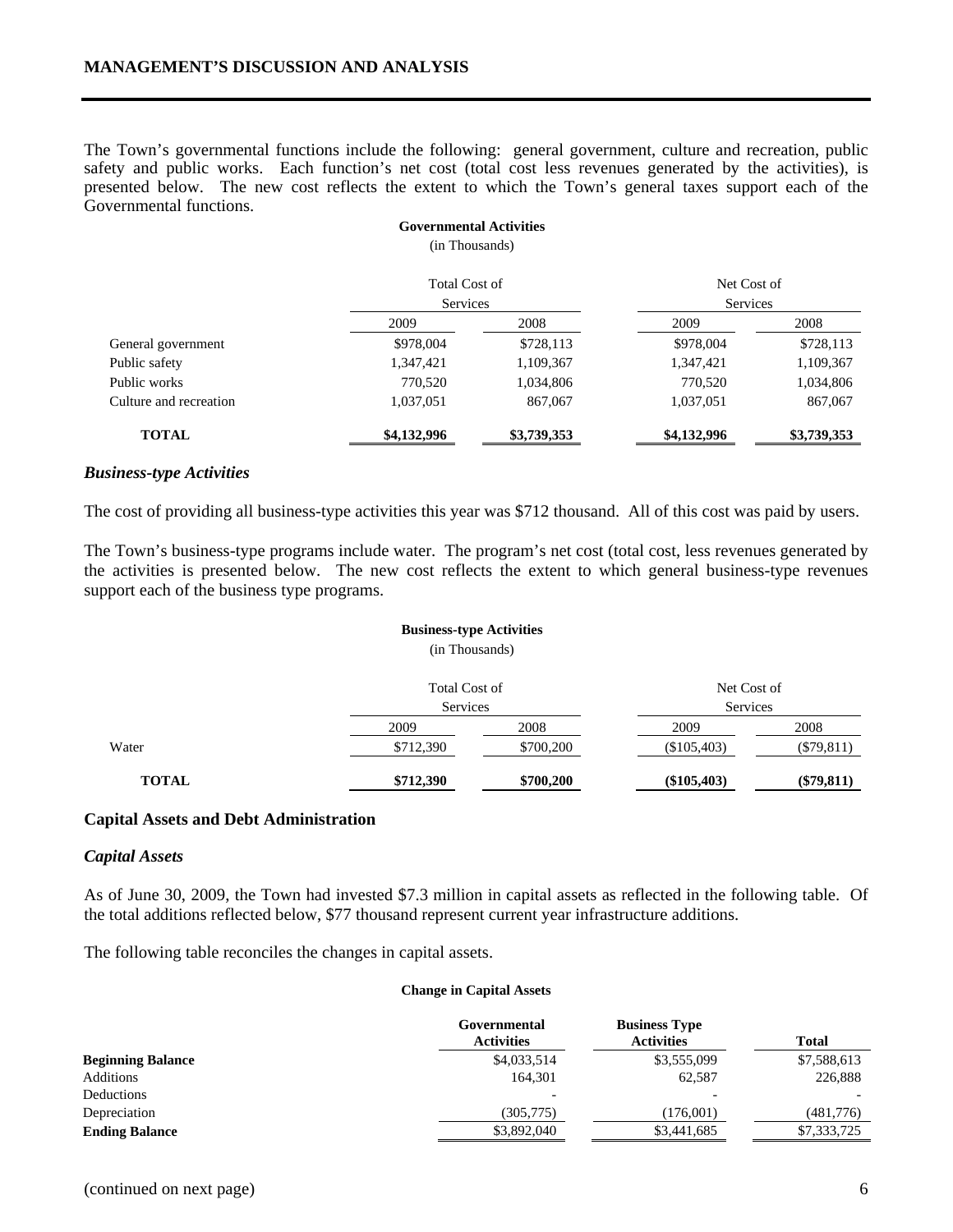The Town's governmental functions include the following: general government, culture and recreation, public safety and public works. Each function's net cost (total cost less revenues generated by the activities), is presented below. The new cost reflects the extent to which the Town's general taxes support each of the Governmental functions.

**Governmental Activities** 

|                        | (in Thousands)       |             |             |             |
|------------------------|----------------------|-------------|-------------|-------------|
|                        | <b>Total Cost of</b> |             | Net Cost of |             |
|                        | <b>Services</b>      |             | Services    |             |
|                        | 2009                 | 2008        | 2009        | 2008        |
| General government     | \$978,004            | \$728,113   | \$978,004   | \$728,113   |
| Public safety          | 1,347,421            | 1,109,367   | 1,347,421   | 1,109,367   |
| Public works           | 770,520              | 1,034,806   | 770,520     | 1,034,806   |
| Culture and recreation | 1,037,051            | 867,067     | 1,037,051   | 867,067     |
| <b>TOTAL</b>           | \$4,132,996          | \$3,739,353 | \$4,132,996 | \$3,739,353 |

#### *Business-type Activities*

The cost of providing all business-type activities this year was \$712 thousand. All of this cost was paid by users.

The Town's business-type programs include water. The program's net cost (total cost, less revenues generated by the activities is presented below. The new cost reflects the extent to which general business-type revenues support each of the business type programs.

# **Business-type Activities**

(in Thousands)

|              | <b>Total Cost of</b><br>Services |                   | Net Cost of<br>Services |                      |  |
|--------------|----------------------------------|-------------------|-------------------------|----------------------|--|
| Water        | 2009<br>\$712,390                | 2008<br>\$700,200 | 2009<br>$(\$105,403)$   | 2008<br>$(\$79,811)$ |  |
| <b>TOTAL</b> | \$712,390                        | \$700,200         | $(\$105,403)$           | $(\$79,811)$         |  |

#### **Capital Assets and Debt Administration**

#### *Capital Assets*

As of June 30, 2009, the Town had invested \$7.3 million in capital assets as reflected in the following table. Of the total additions reflected below, \$77 thousand represent current year infrastructure additions.

The following table reconciles the changes in capital assets.

#### **Change in Capital Assets**

|                          | Governmental<br><b>Activities</b> | <b>Business Type</b><br><b>Activities</b> | <b>Total</b> |
|--------------------------|-----------------------------------|-------------------------------------------|--------------|
| <b>Beginning Balance</b> | \$4,033,514                       | \$3,555,099                               | \$7,588,613  |
| Additions                | 164.301                           | 62.587                                    | 226,888      |
| Deductions               |                                   |                                           |              |
| Depreciation             | (305, 775)                        | (176,001)                                 | (481,776)    |
| <b>Ending Balance</b>    | \$3,892,040                       | \$3,441,685                               | \$7,333,725  |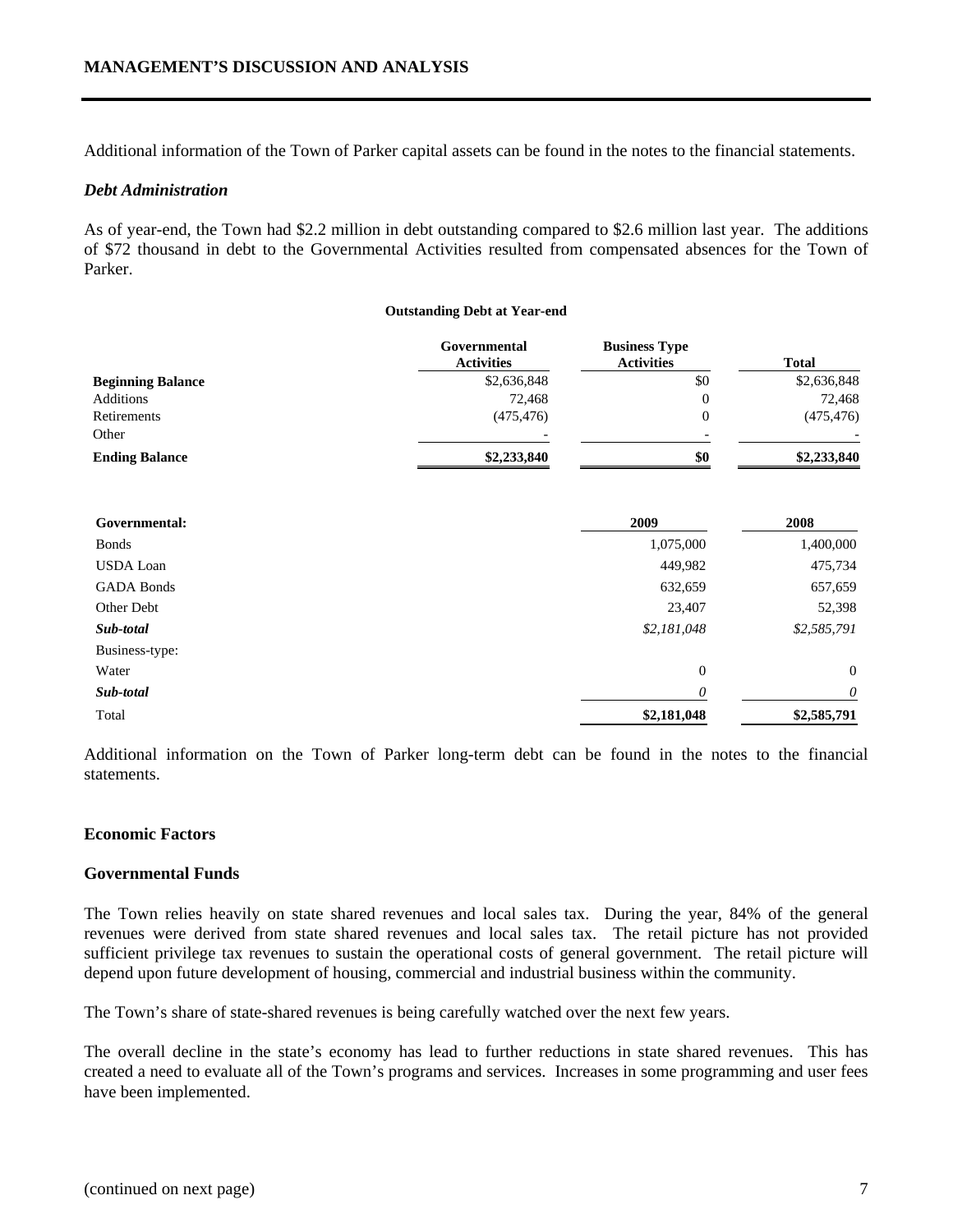Additional information of the Town of Parker capital assets can be found in the notes to the financial statements.

#### *Debt Administration*

As of year-end, the Town had \$2.2 million in debt outstanding compared to \$2.6 million last year. The additions of \$72 thousand in debt to the Governmental Activities resulted from compensated absences for the Town of Parker.

#### **Outstanding Debt at Year-end**

|                          | Governmental<br><b>Activities</b> | <b>Business Type</b><br><b>Activities</b> | <b>Total</b> |
|--------------------------|-----------------------------------|-------------------------------------------|--------------|
| <b>Beginning Balance</b> | \$2,636,848                       | \$0                                       | \$2,636,848  |
| Additions                | 72,468                            | 0                                         | 72,468       |
| Retirements              | (475, 476)                        | 0                                         | (475, 476)   |
| Other                    | $\overline{\phantom{0}}$          | -                                         |              |
| <b>Ending Balance</b>    | \$2,233,840                       | \$0                                       | \$2,233,840  |
|                          |                                   |                                           |              |

| Governmental:     | 2009           | 2008           |  |
|-------------------|----------------|----------------|--|
| <b>Bonds</b>      | 1,075,000      | 1,400,000      |  |
| <b>USDA Loan</b>  | 449,982        | 475,734        |  |
| <b>GADA Bonds</b> | 632,659        | 657,659        |  |
| Other Debt        | 23,407         | 52,398         |  |
| Sub-total         | \$2,181,048    | \$2,585,791    |  |
| Business-type:    |                |                |  |
| Water             | $\overline{0}$ | $\overline{0}$ |  |
| Sub-total         | $\theta$       | $\theta$       |  |
| Total             | \$2,181,048    | \$2,585,791    |  |

Additional information on the Town of Parker long-term debt can be found in the notes to the financial statements.

#### **Economic Factors**

#### **Governmental Funds**

The Town relies heavily on state shared revenues and local sales tax. During the year, 84% of the general revenues were derived from state shared revenues and local sales tax. The retail picture has not provided sufficient privilege tax revenues to sustain the operational costs of general government. The retail picture will depend upon future development of housing, commercial and industrial business within the community.

The Town's share of state-shared revenues is being carefully watched over the next few years.

The overall decline in the state's economy has lead to further reductions in state shared revenues. This has created a need to evaluate all of the Town's programs and services. Increases in some programming and user fees have been implemented.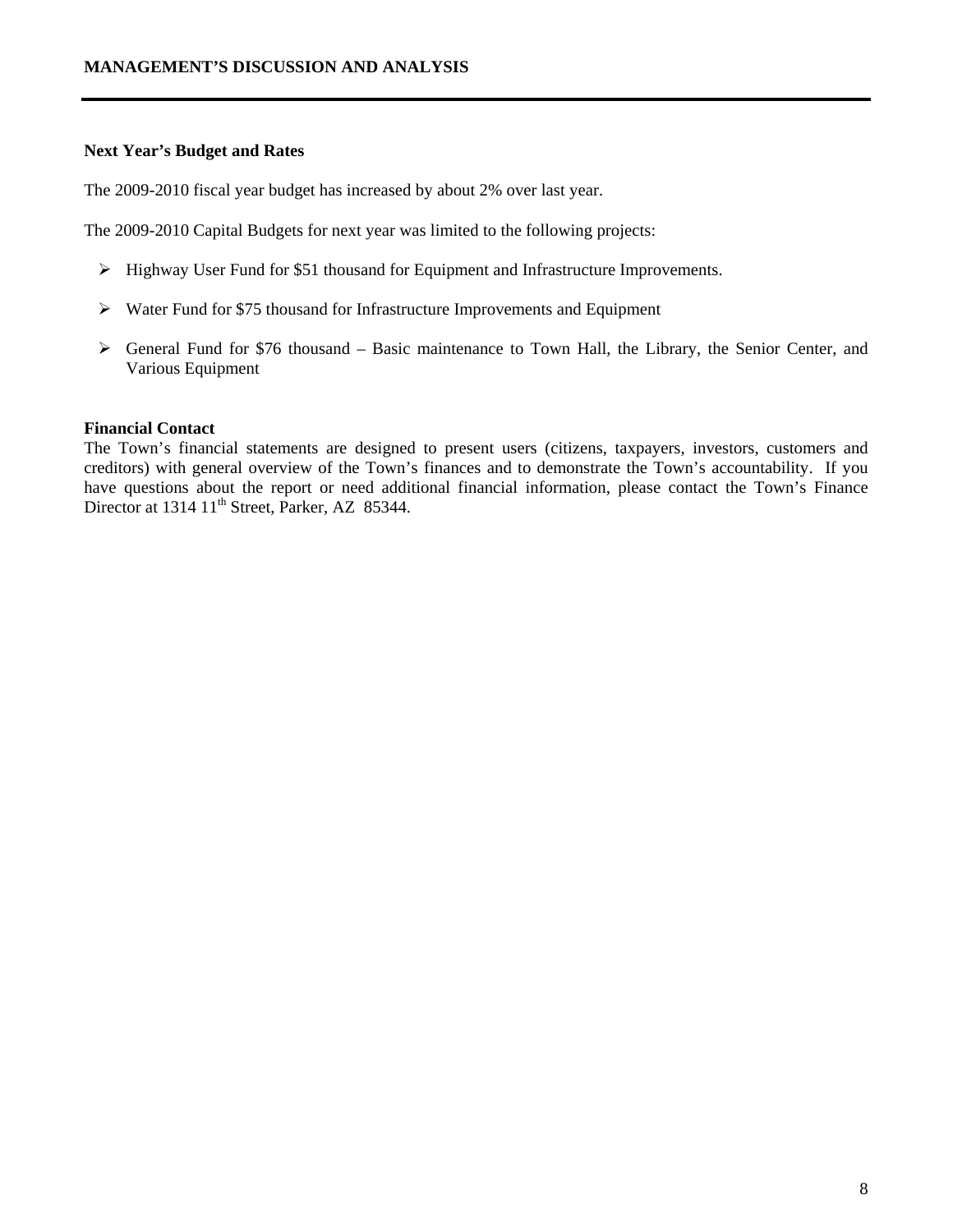#### **Next Year's Budget and Rates**

The 2009-2010 fiscal year budget has increased by about 2% over last year.

The 2009-2010 Capital Budgets for next year was limited to the following projects:

- ¾ Highway User Fund for \$51 thousand for Equipment and Infrastructure Improvements.
- ¾ Water Fund for \$75 thousand for Infrastructure Improvements and Equipment
- $\triangleright$  General Fund for \$76 thousand Basic maintenance to Town Hall, the Library, the Senior Center, and Various Equipment

#### **Financial Contact**

The Town's financial statements are designed to present users (citizens, taxpayers, investors, customers and creditors) with general overview of the Town's finances and to demonstrate the Town's accountability. If you have questions about the report or need additional financial information, please contact the Town's Finance Director at 1314 11<sup>th</sup> Street, Parker, AZ 85344.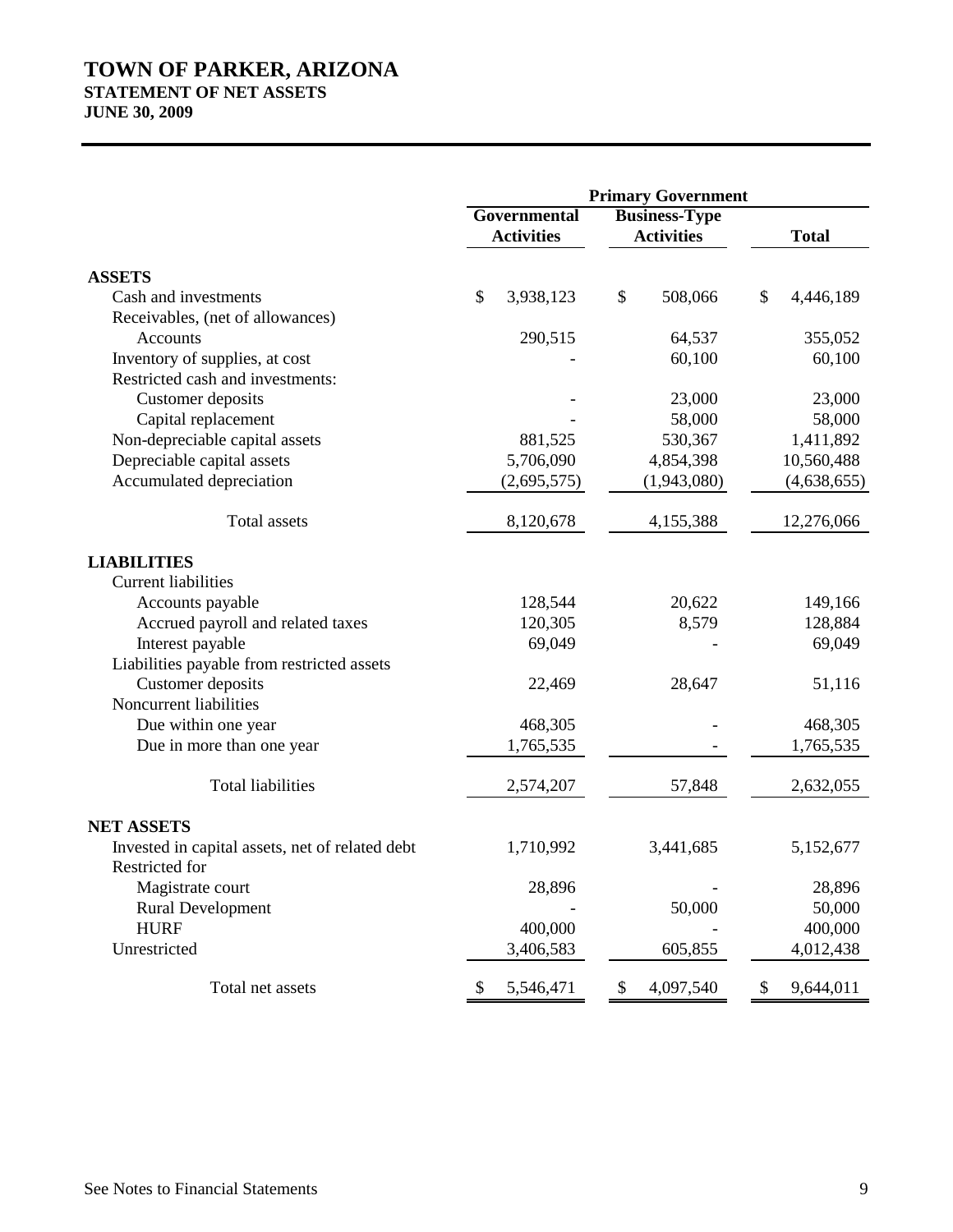# **TOWN OF PARKER, ARIZONA STATEMENT OF NET ASSETS**

**JUNE 30, 2009**

|                                                 | <b>Primary Government</b>         |                                           |                 |  |
|-------------------------------------------------|-----------------------------------|-------------------------------------------|-----------------|--|
|                                                 | Governmental<br><b>Activities</b> | <b>Business-Type</b><br><b>Activities</b> | <b>Total</b>    |  |
| <b>ASSETS</b>                                   |                                   |                                           |                 |  |
| Cash and investments                            | \$<br>3,938,123                   | \$<br>508,066                             | \$<br>4,446,189 |  |
| Receivables, (net of allowances)                |                                   |                                           |                 |  |
| Accounts                                        | 290,515                           | 64,537                                    | 355,052         |  |
| Inventory of supplies, at cost                  |                                   | 60,100                                    | 60,100          |  |
| Restricted cash and investments:                |                                   |                                           |                 |  |
| Customer deposits                               |                                   | 23,000                                    | 23,000          |  |
| Capital replacement                             |                                   | 58,000                                    | 58,000          |  |
| Non-depreciable capital assets                  | 881,525                           | 530,367                                   | 1,411,892       |  |
| Depreciable capital assets                      | 5,706,090                         | 4,854,398                                 | 10,560,488      |  |
| Accumulated depreciation                        | (2,695,575)                       | (1,943,080)                               | (4,638,655)     |  |
| <b>Total</b> assets                             | 8,120,678                         | 4,155,388                                 | 12,276,066      |  |
| <b>LIABILITIES</b>                              |                                   |                                           |                 |  |
| <b>Current liabilities</b>                      |                                   |                                           |                 |  |
| Accounts payable                                | 128,544                           | 20,622                                    | 149,166         |  |
| Accrued payroll and related taxes               | 120,305                           | 8,579                                     | 128,884         |  |
| Interest payable                                | 69,049                            |                                           | 69,049          |  |
| Liabilities payable from restricted assets      |                                   |                                           |                 |  |
| Customer deposits                               | 22,469                            | 28,647                                    | 51,116          |  |
| Noncurrent liabilities                          |                                   |                                           |                 |  |
| Due within one year                             | 468,305                           |                                           | 468,305         |  |
| Due in more than one year                       | 1,765,535                         |                                           | 1,765,535       |  |
| <b>Total liabilities</b>                        | 2,574,207                         | 57,848                                    | 2,632,055       |  |
| <b>NET ASSETS</b>                               |                                   |                                           |                 |  |
| Invested in capital assets, net of related debt | 1,710,992                         | 3,441,685                                 | 5,152,677       |  |
| Restricted for                                  |                                   |                                           |                 |  |
| Magistrate court                                | 28,896                            |                                           | 28,896          |  |
| <b>Rural Development</b>                        |                                   | 50,000                                    | 50,000          |  |
| <b>HURF</b>                                     | 400,000                           |                                           | 400,000         |  |
| Unrestricted                                    | 3,406,583                         | 605,855                                   | 4,012,438       |  |
| Total net assets                                | \$<br>5,546,471                   | \$<br>4,097,540                           | \$<br>9,644,011 |  |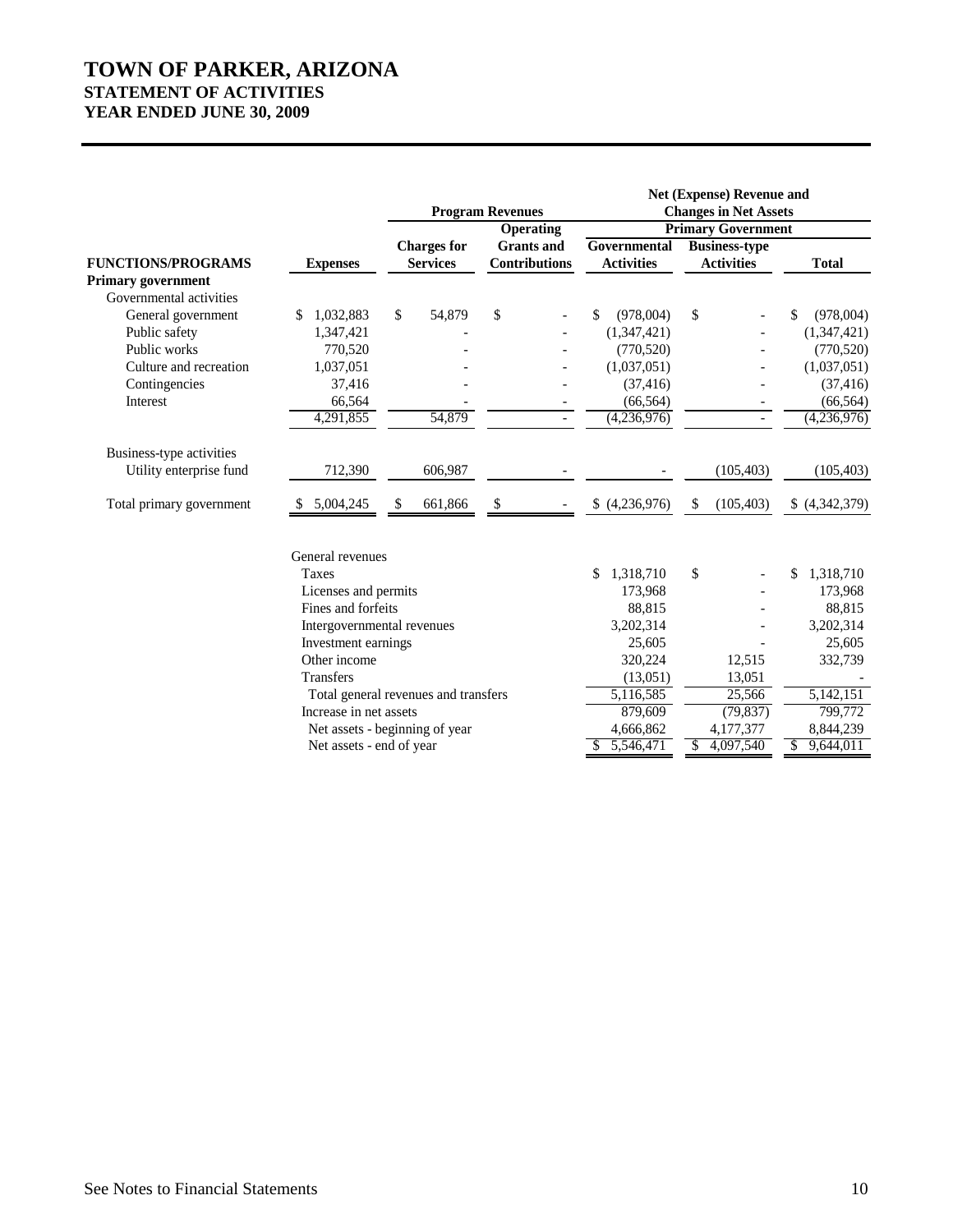# **TOWN OF PARKER, ARIZONA STATEMENT OF ACTIVITIES YEAR ENDED JUNE 30, 2009**

|                           |                                      |    |                    | <b>Program Revenues</b><br><b>Operating</b> |                   |               | Net (Expense) Revenue and<br><b>Changes in Net Assets</b><br><b>Primary Government</b> |                 |
|---------------------------|--------------------------------------|----|--------------------|---------------------------------------------|-------------------|---------------|----------------------------------------------------------------------------------------|-----------------|
|                           |                                      |    | <b>Charges for</b> | <b>Grants and</b>                           | Governmental      |               | <b>Business-type</b>                                                                   |                 |
| <b>FUNCTIONS/PROGRAMS</b> | <b>Expenses</b>                      |    | <b>Services</b>    | <b>Contributions</b>                        | <b>Activities</b> |               | <b>Activities</b>                                                                      | <b>Total</b>    |
| <b>Primary government</b> |                                      |    |                    |                                             |                   |               |                                                                                        |                 |
| Governmental activities   |                                      |    |                    |                                             |                   |               |                                                                                        |                 |
| General government        | 1,032,883                            | \$ | 54,879             | \$                                          | \$<br>(978,004)   | \$            |                                                                                        | (978,004)<br>\$ |
| Public safety             | 1,347,421                            |    |                    |                                             | (1,347,421)       |               |                                                                                        | (1,347,421)     |
| Public works              | 770,520                              |    |                    |                                             | (770, 520)        |               |                                                                                        | (770, 520)      |
| Culture and recreation    | 1,037,051                            |    |                    |                                             | (1,037,051)       |               |                                                                                        | (1,037,051)     |
| Contingencies             | 37,416                               |    |                    |                                             | (37, 416)         |               |                                                                                        | (37, 416)       |
| Interest                  | 66,564                               |    |                    |                                             | (66, 564)         |               | $\overline{\phantom{a}}$                                                               | (66, 564)       |
|                           | 4,291,855                            |    | 54,879             | $\overline{\phantom{a}}$                    | (4,236,976)       |               | $\overline{\phantom{a}}$                                                               | (4,236,976)     |
| Business-type activities  |                                      |    |                    |                                             |                   |               |                                                                                        |                 |
| Utility enterprise fund   | 712,390                              |    | 606,987            |                                             |                   |               | (105, 403)                                                                             | (105, 403)      |
| Total primary government  | 5,004,245                            | S  | 661,866            | S                                           | (4,236,976)       | <sup>\$</sup> | (105, 403)                                                                             | (4,342,379)     |
|                           | General revenues                     |    |                    |                                             |                   |               |                                                                                        |                 |
|                           | Taxes                                |    |                    |                                             | \$<br>1,318,710   | \$            |                                                                                        | 1,318,710<br>\$ |
|                           | Licenses and permits                 |    |                    |                                             | 173,968           |               |                                                                                        | 173,968         |
|                           | Fines and forfeits                   |    |                    |                                             | 88,815            |               |                                                                                        | 88,815          |
|                           | Intergovernmental revenues           |    |                    |                                             | 3,202,314         |               |                                                                                        | 3,202,314       |
|                           | Investment earnings                  |    |                    |                                             | 25,605            |               |                                                                                        | 25,605          |
|                           | Other income                         |    |                    |                                             | 320,224           |               | 12,515                                                                                 | 332,739         |
|                           | <b>Transfers</b>                     |    |                    |                                             | (13,051)          |               | 13,051                                                                                 |                 |
|                           | Total general revenues and transfers |    |                    |                                             | 5,116,585         |               | 25,566                                                                                 | 5,142,151       |
|                           | Increase in net assets               |    |                    |                                             | 879,609           |               | (79, 837)                                                                              | 799,772         |
|                           | Net assets - beginning of year       |    |                    |                                             | 4,666,862         |               | 4,177,377                                                                              | 8,844,239       |
|                           | Net assets - end of year             |    |                    |                                             | 5,546,471         | \$.           | 4,097,540                                                                              | 9,644,011<br>\$ |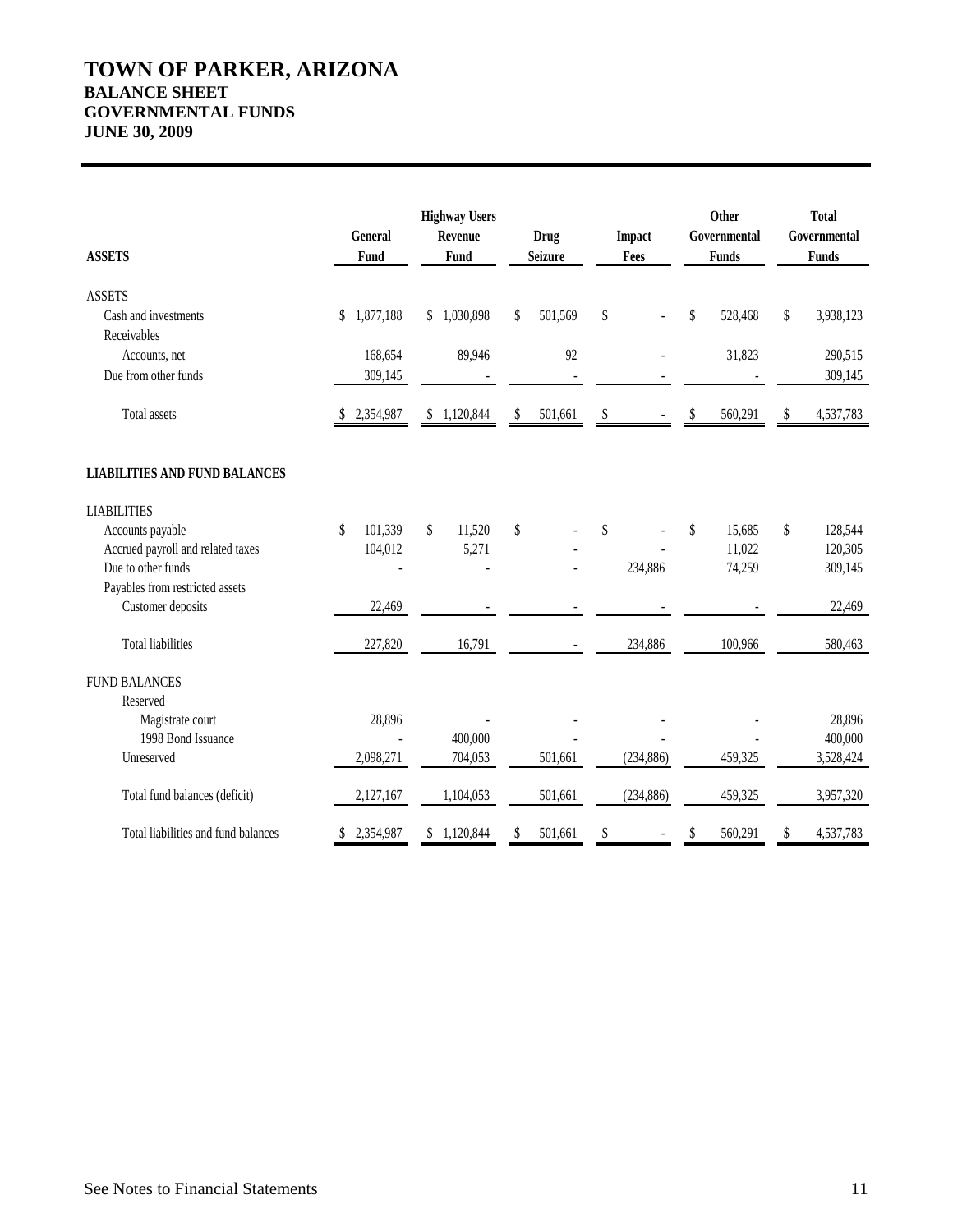# **TOWN OF PARKER, ARIZONA BALANCE SHEET GOVERNMENTAL FUNDS JUNE 30, 2009**

| <b>ASSETS</b>                        |    | General<br>Fund |    | <b>Highway Users</b><br>Revenue<br>Fund |                                 | Drug<br><b>Seizure</b> |    | <b>Impact</b><br>Fees | Other<br>Governmental<br><b>Funds</b> |         | <b>Total</b><br>Governmental<br><b>Funds</b> |           |
|--------------------------------------|----|-----------------|----|-----------------------------------------|---------------------------------|------------------------|----|-----------------------|---------------------------------------|---------|----------------------------------------------|-----------|
| <b>ASSETS</b>                        |    |                 |    |                                         |                                 |                        |    |                       |                                       |         |                                              |           |
| Cash and investments<br>Receivables  | \$ | 1,877,188       |    | \$1,030,898                             | \$                              | 501,569                | \$ |                       | \$                                    | 528,468 | \$                                           | 3,938,123 |
| Accounts, net                        |    | 168,654         |    | 89,946                                  |                                 | 92                     |    |                       |                                       | 31,823  |                                              | 290,515   |
| Due from other funds                 |    | 309,145         |    |                                         |                                 |                        |    |                       |                                       |         |                                              | 309,145   |
| Total assets                         |    | 2,354,987       | \$ | 1,120,844                               | \$                              | 501,661                | \$ |                       |                                       | 560,291 | \$                                           | 4,537,783 |
| <b>LIABILITIES AND FUND BALANCES</b> |    |                 |    |                                         |                                 |                        |    |                       |                                       |         |                                              |           |
| <b>LIABILITIES</b>                   |    |                 |    |                                         |                                 |                        |    |                       |                                       |         |                                              |           |
| Accounts payable                     | \$ | 101,339         | \$ | 11,520                                  | $\boldsymbol{\hat{\mathsf{S}}}$ |                        | \$ |                       | \$                                    | 15,685  | \$                                           | 128,544   |
| Accrued payroll and related taxes    |    | 104,012         |    | 5,271                                   |                                 |                        |    |                       |                                       | 11,022  |                                              | 120,305   |
| Due to other funds                   |    |                 |    |                                         |                                 |                        |    | 234,886               |                                       | 74,259  |                                              | 309,145   |
| Payables from restricted assets      |    |                 |    |                                         |                                 |                        |    |                       |                                       |         |                                              |           |
| Customer deposits                    |    | 22,469          |    |                                         |                                 |                        |    |                       |                                       |         |                                              | 22,469    |
| <b>Total liabilities</b>             |    | 227,820         |    | 16,791                                  |                                 |                        |    | 234,886               |                                       | 100,966 |                                              | 580,463   |
| <b>FUND BALANCES</b>                 |    |                 |    |                                         |                                 |                        |    |                       |                                       |         |                                              |           |
| Reserved                             |    |                 |    |                                         |                                 |                        |    |                       |                                       |         |                                              |           |
| Magistrate court                     |    | 28,896          |    |                                         |                                 |                        |    |                       |                                       |         |                                              | 28,896    |
| 1998 Bond Issuance                   |    |                 |    | 400,000                                 |                                 |                        |    |                       |                                       |         |                                              | 400,000   |
| Unreserved                           |    | 2,098,271       |    | 704,053                                 |                                 | 501,661                |    | (234, 886)            |                                       | 459,325 |                                              | 3,528,424 |
| Total fund balances (deficit)        |    | 2,127,167       |    | 1,104,053                               |                                 | 501,661                |    | (234, 886)            |                                       | 459,325 |                                              | 3,957,320 |
| Total liabilities and fund balances  | S  | 2,354,987       |    | \$1,120,844                             | \$                              | 501,661                | \$ |                       | \$                                    | 560,291 | S                                            | 4,537,783 |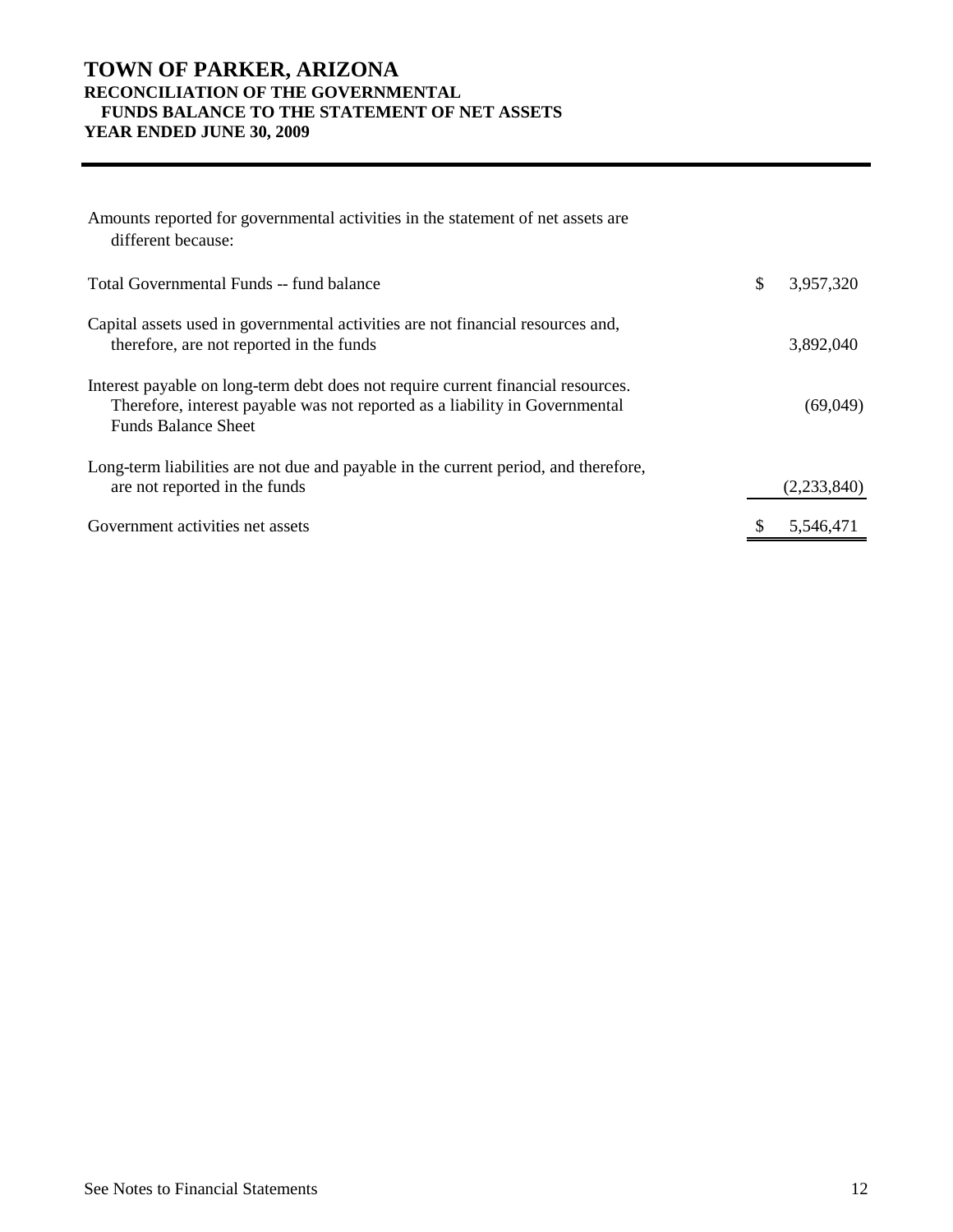# **TOWN OF PARKER, ARIZONA RECONCILIATION OF THE GOVERNMENTAL FUNDS BALANCE TO THE STATEMENT OF NET ASSETS YEAR ENDED JUNE 30, 2009**

| Amounts reported for governmental activities in the statement of net assets are<br>different because:                                                                                         |                 |
|-----------------------------------------------------------------------------------------------------------------------------------------------------------------------------------------------|-----------------|
| Total Governmental Funds -- fund balance                                                                                                                                                      | \$<br>3,957,320 |
| Capital assets used in governmental activities are not financial resources and,<br>therefore, are not reported in the funds                                                                   | 3,892,040       |
| Interest payable on long-term debt does not require current financial resources.<br>Therefore, interest payable was not reported as a liability in Governmental<br><b>Funds Balance Sheet</b> | (69,049)        |
| Long-term liabilities are not due and payable in the current period, and therefore,<br>are not reported in the funds                                                                          | (2,233,840)     |
| Government activities net assets                                                                                                                                                              | 5.546.471       |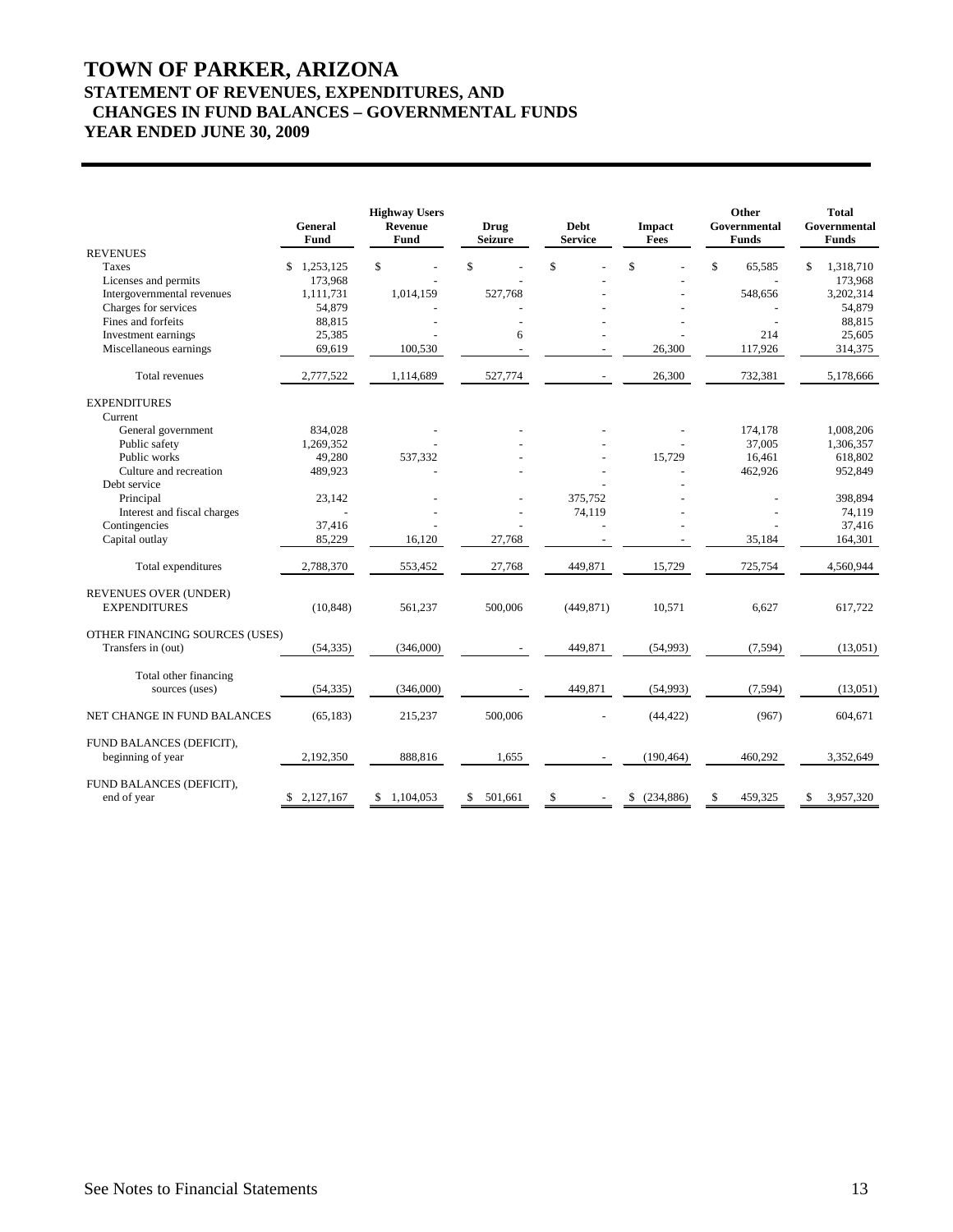# **TOWN OF PARKER, ARIZONA STATEMENT OF REVENUES, EXPENDITURES, AND CHANGES IN FUND BALANCES – GOVERNMENTAL FUNDS YEAR ENDED JUNE 30, 2009**

|                                               | General<br>Fund | <b>Highway Users</b><br>Revenue<br>Fund | <b>Drug</b><br><b>Seizure</b> | <b>Debt</b><br><b>Service</b> | Impact<br>Fees   | Other<br>Governmental<br><b>Funds</b> | <b>Total</b><br>Governmental<br><b>Funds</b> |
|-----------------------------------------------|-----------------|-----------------------------------------|-------------------------------|-------------------------------|------------------|---------------------------------------|----------------------------------------------|
| <b>REVENUES</b>                               |                 |                                         |                               |                               |                  |                                       |                                              |
| Taxes                                         | 1,253,125<br>\$ | \$                                      | \$                            | \$                            | $\mathsf{\$}$    | $\mathsf{\$}$<br>65.585               | 1,318,710<br>\$                              |
| Licenses and permits                          | 173,968         |                                         |                               |                               |                  |                                       | 173,968                                      |
| Intergovernmental revenues                    | 1,111,731       | 1,014,159                               | 527,768                       |                               |                  | 548,656                               | 3,202,314                                    |
| Charges for services                          | 54,879          |                                         |                               |                               |                  |                                       | 54,879                                       |
| Fines and forfeits                            | 88,815          |                                         |                               |                               |                  |                                       | 88,815                                       |
| Investment earnings                           | 25,385          |                                         | 6                             |                               |                  | 214                                   | 25,605                                       |
| Miscellaneous earnings                        | 69,619          | 100,530                                 |                               |                               | 26,300           | 117,926                               | 314,375                                      |
| Total revenues                                | 2,777,522       | 1,114,689                               | 527,774                       |                               | 26,300           | 732,381                               | 5,178,666                                    |
| <b>EXPENDITURES</b>                           |                 |                                         |                               |                               |                  |                                       |                                              |
| Current                                       |                 |                                         |                               |                               |                  |                                       |                                              |
| General government                            | 834,028         |                                         |                               |                               |                  | 174,178                               | 1,008,206                                    |
| Public safety                                 | 1,269,352       |                                         |                               |                               |                  | 37.005                                | 1,306,357                                    |
| Public works                                  | 49,280          | 537,332                                 |                               |                               | 15,729           | 16,461                                | 618,802                                      |
| Culture and recreation                        | 489,923         |                                         |                               |                               |                  | 462,926                               | 952,849                                      |
| Debt service                                  |                 |                                         |                               |                               |                  |                                       |                                              |
| Principal                                     | 23,142          |                                         |                               | 375,752                       |                  |                                       | 398,894                                      |
| Interest and fiscal charges                   |                 |                                         |                               | 74,119                        |                  |                                       | 74,119                                       |
| Contingencies                                 | 37,416          |                                         |                               |                               |                  |                                       | 37,416                                       |
| Capital outlay                                | 85,229          | 16,120                                  | 27,768                        |                               |                  | 35,184                                | 164,301                                      |
| Total expenditures                            | 2,788,370       | 553,452                                 | 27,768                        | 449,871                       | 15,729           | 725,754                               | 4,560,944                                    |
| REVENUES OVER (UNDER)                         |                 |                                         |                               |                               |                  |                                       |                                              |
| <b>EXPENDITURES</b>                           | (10, 848)       | 561,237                                 | 500,006                       | (449, 871)                    | 10,571           | 6,627                                 | 617,722                                      |
| OTHER FINANCING SOURCES (USES)                |                 |                                         |                               |                               |                  |                                       |                                              |
| Transfers in (out)                            | (54, 335)       | (346,000)                               |                               | 449,871                       | (54,993)         | (7, 594)                              | (13,051)                                     |
| Total other financing                         |                 |                                         |                               |                               |                  |                                       |                                              |
| sources (uses)                                | (54, 335)       | (346,000)                               |                               | 449,871                       | (54, 993)        | (7, 594)                              | (13,051)                                     |
| NET CHANGE IN FUND BALANCES                   | (65, 183)       | 215,237                                 | 500,006                       |                               | (44, 422)        | (967)                                 | 604,671                                      |
| FUND BALANCES (DEFICIT),<br>beginning of year | 2,192,350       | 888,816                                 | 1,655                         |                               | (190, 464)       | 460,292                               | 3,352,649                                    |
| FUND BALANCES (DEFICIT),<br>end of year       | \$2,127,167     | \$1,104,053                             | 501,661<br>\$                 | -\$                           | (234, 886)<br>\$ | 459,325<br>\$                         | 3,957,320<br>\$                              |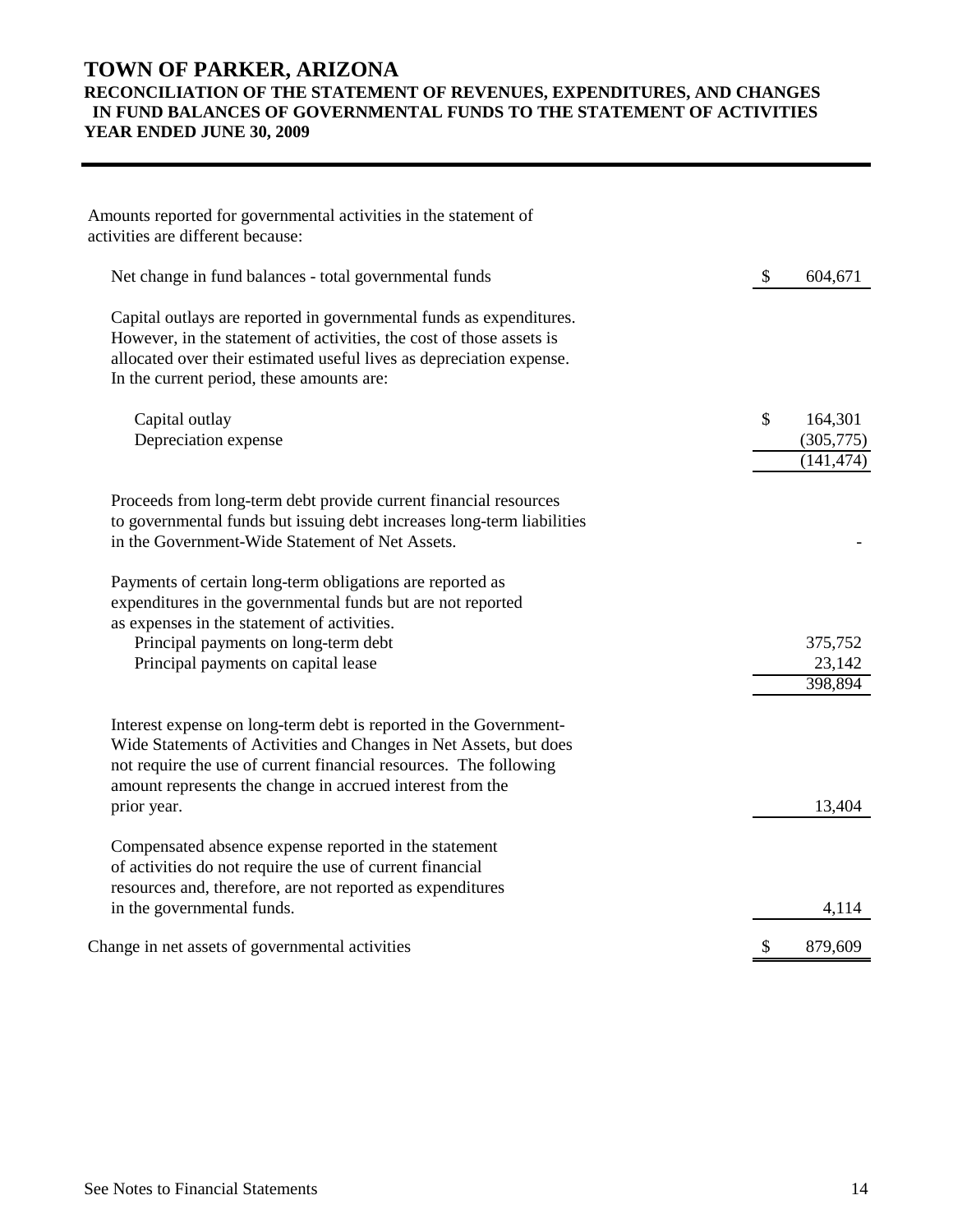# **TOWN OF PARKER, ARIZONA RECONCILIATION OF THE STATEMENT OF REVENUES, EXPENDITURES, AND CHANGES IN FUND BALANCES OF GOVERNMENTAL FUNDS TO THE STATEMENT OF ACTIVITIES YEAR ENDED JUNE 30, 2009**

| Net change in fund balances - total governmental funds                                                                                                                                                                                                                                  | \$<br>604,671                            |
|-----------------------------------------------------------------------------------------------------------------------------------------------------------------------------------------------------------------------------------------------------------------------------------------|------------------------------------------|
| Capital outlays are reported in governmental funds as expenditures.<br>However, in the statement of activities, the cost of those assets is<br>allocated over their estimated useful lives as depreciation expense.<br>In the current period, these amounts are:                        |                                          |
| Capital outlay<br>Depreciation expense                                                                                                                                                                                                                                                  | \$<br>164,301<br>(305,775)<br>(141, 474) |
| Proceeds from long-term debt provide current financial resources<br>to governmental funds but issuing debt increases long-term liabilities<br>in the Government-Wide Statement of Net Assets.                                                                                           |                                          |
| Payments of certain long-term obligations are reported as<br>expenditures in the governmental funds but are not reported<br>as expenses in the statement of activities.<br>Principal payments on long-term debt<br>Principal payments on capital lease                                  | 375,752<br>23,142<br>398,894             |
| Interest expense on long-term debt is reported in the Government-<br>Wide Statements of Activities and Changes in Net Assets, but does<br>not require the use of current financial resources. The following<br>amount represents the change in accrued interest from the<br>prior year. | 13,404                                   |
| Compensated absence expense reported in the statement<br>of activities do not require the use of current financial<br>resources and, therefore, are not reported as expenditures<br>in the governmental funds.                                                                          | 4,114                                    |
| Change in net assets of governmental activities                                                                                                                                                                                                                                         | \$<br>879,609                            |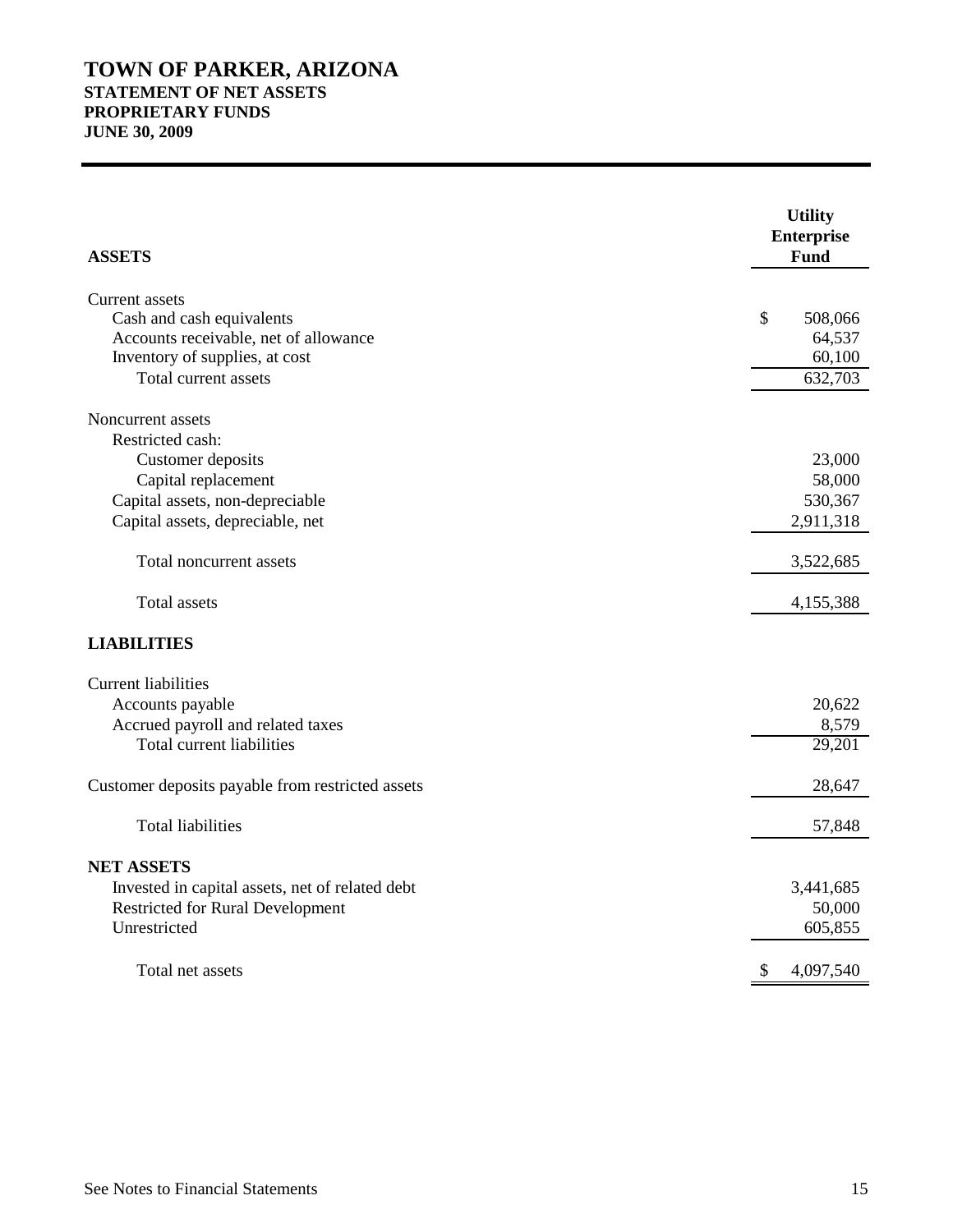# **TOWN OF PARKER, ARIZONA STATEMENT OF NET ASSETS PROPRIETARY FUNDS JUNE 30, 2009**

| <b>ASSETS</b>                                    | <b>Utility</b><br><b>Enterprise</b><br>Fund |
|--------------------------------------------------|---------------------------------------------|
| Current assets                                   |                                             |
| Cash and cash equivalents                        | \$<br>508,066                               |
| Accounts receivable, net of allowance            | 64,537                                      |
| Inventory of supplies, at cost                   | 60,100                                      |
| Total current assets                             | 632,703                                     |
| Noncurrent assets                                |                                             |
| Restricted cash:                                 |                                             |
| Customer deposits                                | 23,000                                      |
| Capital replacement                              | 58,000                                      |
| Capital assets, non-depreciable                  | 530,367                                     |
| Capital assets, depreciable, net                 | 2,911,318                                   |
| Total noncurrent assets                          | 3,522,685                                   |
| <b>Total assets</b>                              | 4,155,388                                   |
| <b>LIABILITIES</b>                               |                                             |
| <b>Current liabilities</b>                       |                                             |
| Accounts payable                                 | 20,622                                      |
| Accrued payroll and related taxes                | 8,579                                       |
| <b>Total current liabilities</b>                 | 29,201                                      |
| Customer deposits payable from restricted assets | 28,647                                      |
| <b>Total liabilities</b>                         | 57,848                                      |
| <b>NET ASSETS</b>                                |                                             |
| Invested in capital assets, net of related debt  | 3,441,685                                   |
| <b>Restricted for Rural Development</b>          | 50,000                                      |
| Unrestricted                                     | 605,855                                     |
| Total net assets                                 | 4,097,540                                   |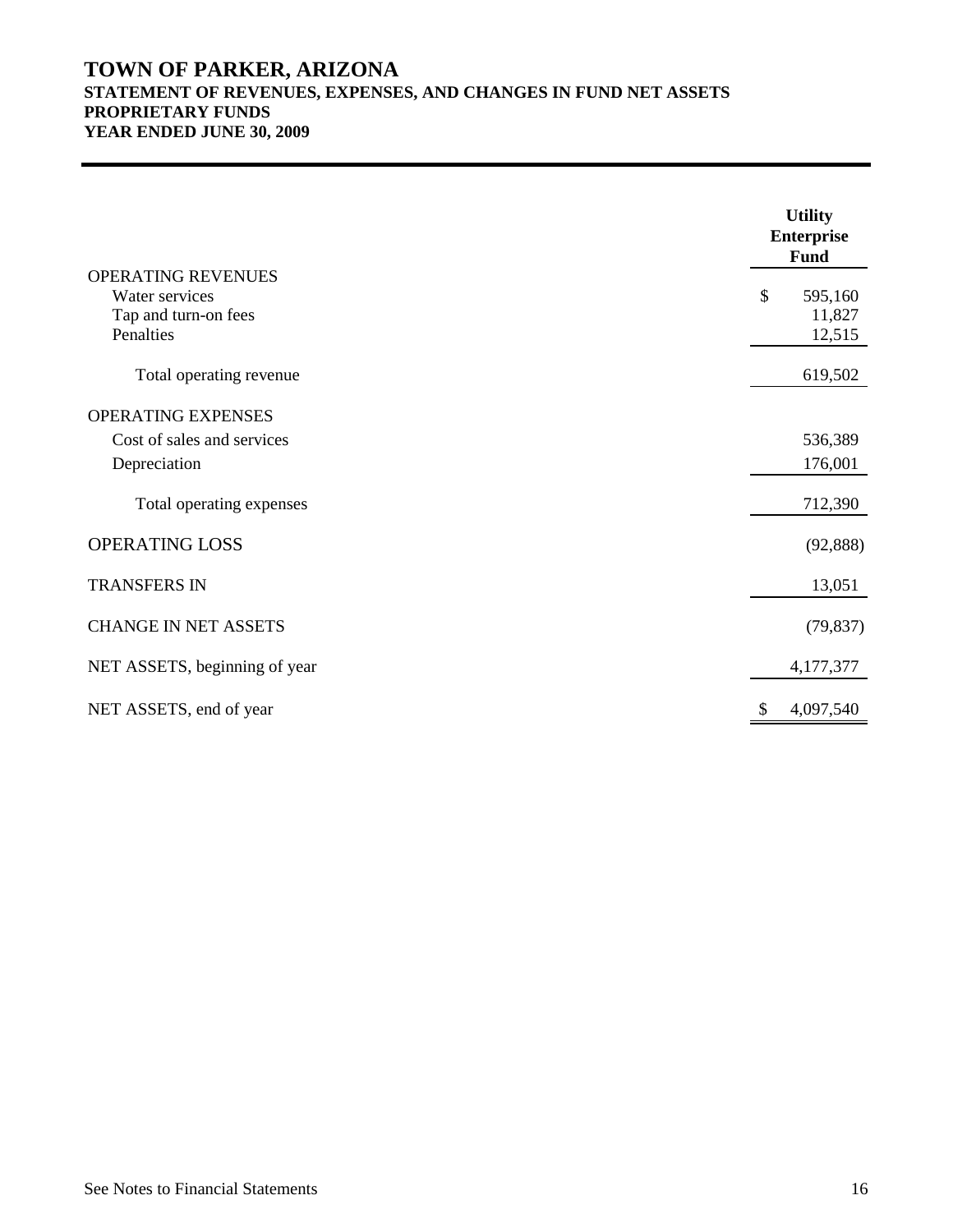# **TOWN OF PARKER, ARIZONA STATEMENT OF REVENUES, EXPENSES, AND CHANGES IN FUND NET ASSETS PROPRIETARY FUNDS YEAR ENDED JUNE 30, 2009**

|                                                                           | <b>Utility</b><br><b>Enterprise</b><br><b>Fund</b> |
|---------------------------------------------------------------------------|----------------------------------------------------|
| OPERATING REVENUES<br>Water services<br>Tap and turn-on fees<br>Penalties | \$<br>595,160<br>11,827<br>12,515                  |
| Total operating revenue                                                   | 619,502                                            |
| OPERATING EXPENSES<br>Cost of sales and services<br>Depreciation          | 536,389<br>176,001                                 |
| Total operating expenses                                                  | 712,390                                            |
| <b>OPERATING LOSS</b>                                                     | (92, 888)                                          |
| <b>TRANSFERS IN</b>                                                       | 13,051                                             |
| <b>CHANGE IN NET ASSETS</b>                                               | (79, 837)                                          |
| NET ASSETS, beginning of year                                             | 4,177,377                                          |
| NET ASSETS, end of year                                                   | 4,097,540                                          |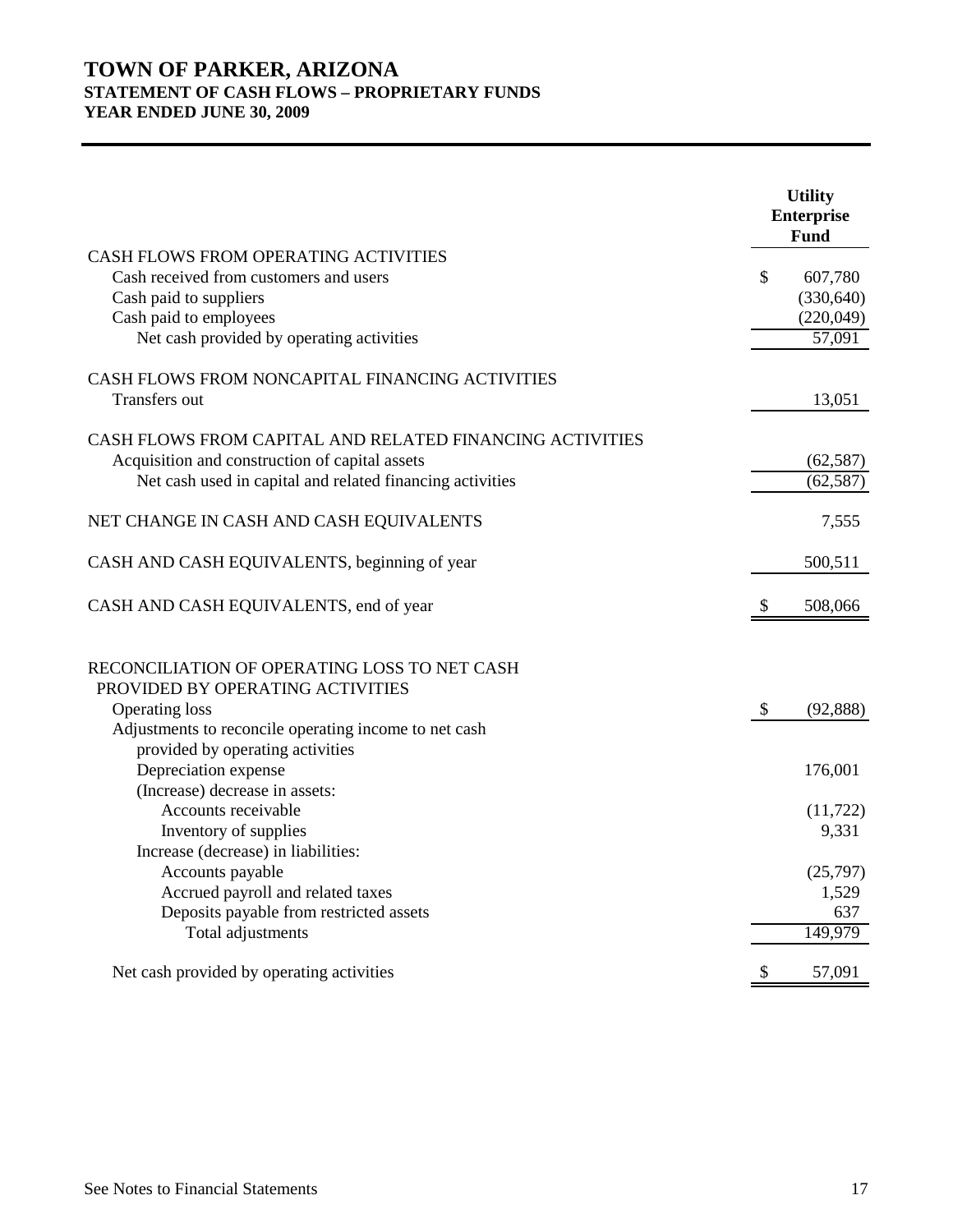# **TOWN OF PARKER, ARIZONA STATEMENT OF CASH FLOWS – PROPRIETARY FUNDS YEAR ENDED JUNE 30, 2009**

|                                                           |    | <b>Utility</b><br><b>Enterprise</b><br>Fund |
|-----------------------------------------------------------|----|---------------------------------------------|
| CASH FLOWS FROM OPERATING ACTIVITIES                      |    |                                             |
| Cash received from customers and users                    | \$ | 607,780                                     |
| Cash paid to suppliers                                    |    | (330, 640)                                  |
| Cash paid to employees                                    |    | (220,049)                                   |
| Net cash provided by operating activities                 |    | 57,091                                      |
| CASH FLOWS FROM NONCAPITAL FINANCING ACTIVITIES           |    |                                             |
| Transfers out                                             |    | 13,051                                      |
| CASH FLOWS FROM CAPITAL AND RELATED FINANCING ACTIVITIES  |    |                                             |
| Acquisition and construction of capital assets            |    | (62, 587)                                   |
| Net cash used in capital and related financing activities |    | (62, 587)                                   |
| NET CHANGE IN CASH AND CASH EQUIVALENTS                   |    | 7,555                                       |
| CASH AND CASH EQUIVALENTS, beginning of year              |    | 500,511                                     |
| CASH AND CASH EQUIVALENTS, end of year                    | S  | 508,066                                     |
| RECONCILIATION OF OPERATING LOSS TO NET CASH              |    |                                             |
| PROVIDED BY OPERATING ACTIVITIES                          |    |                                             |
| <b>Operating loss</b>                                     | \$ | (92, 888)                                   |
| Adjustments to reconcile operating income to net cash     |    |                                             |
| provided by operating activities                          |    |                                             |
| Depreciation expense                                      |    | 176,001                                     |
| (Increase) decrease in assets:                            |    |                                             |
| Accounts receivable                                       |    | (11, 722)                                   |
| Inventory of supplies                                     |    | 9,331                                       |
| Increase (decrease) in liabilities:                       |    |                                             |
| Accounts payable                                          |    | (25,797)                                    |
| Accrued payroll and related taxes                         |    | 1,529                                       |
| Deposits payable from restricted assets                   |    | 637                                         |
| Total adjustments                                         |    | 149,979                                     |
| Net cash provided by operating activities                 | \$ | 57,091                                      |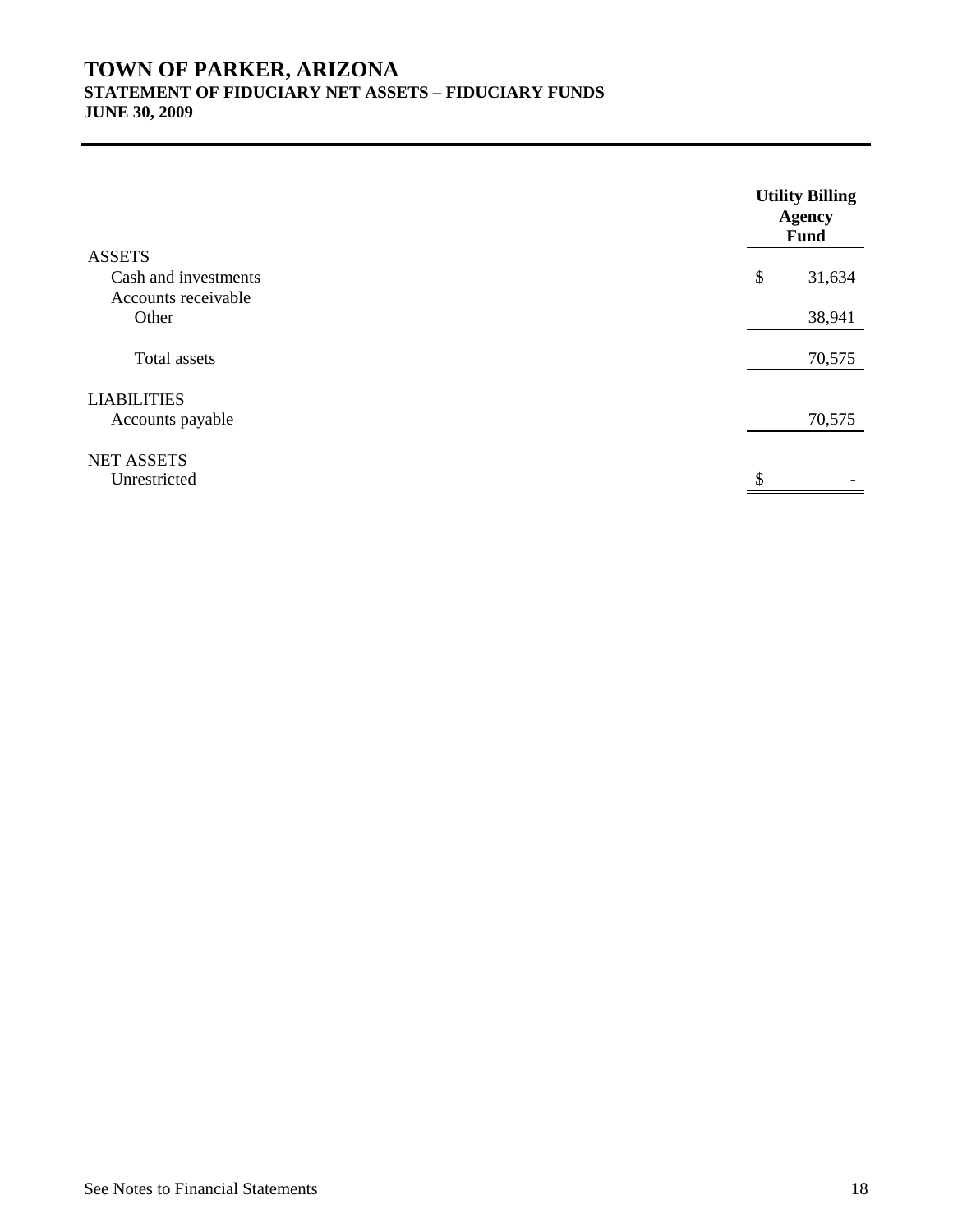# **TOWN OF PARKER, ARIZONA STATEMENT OF FIDUCIARY NET ASSETS – FIDUCIARY FUNDS JUNE 30, 2009**

**Utility Billing Agency Fund** ASSETS Cash and investments  $\qquad$  31,634 Accounts receivable Other 38,941 Total assets 70,575 LIABILITIES Accounts payable 70,575 NET ASSETS  $\begin{array}{c|c|c|c|c} \hline \mathbb{S} & & - \\ \hline \end{array}$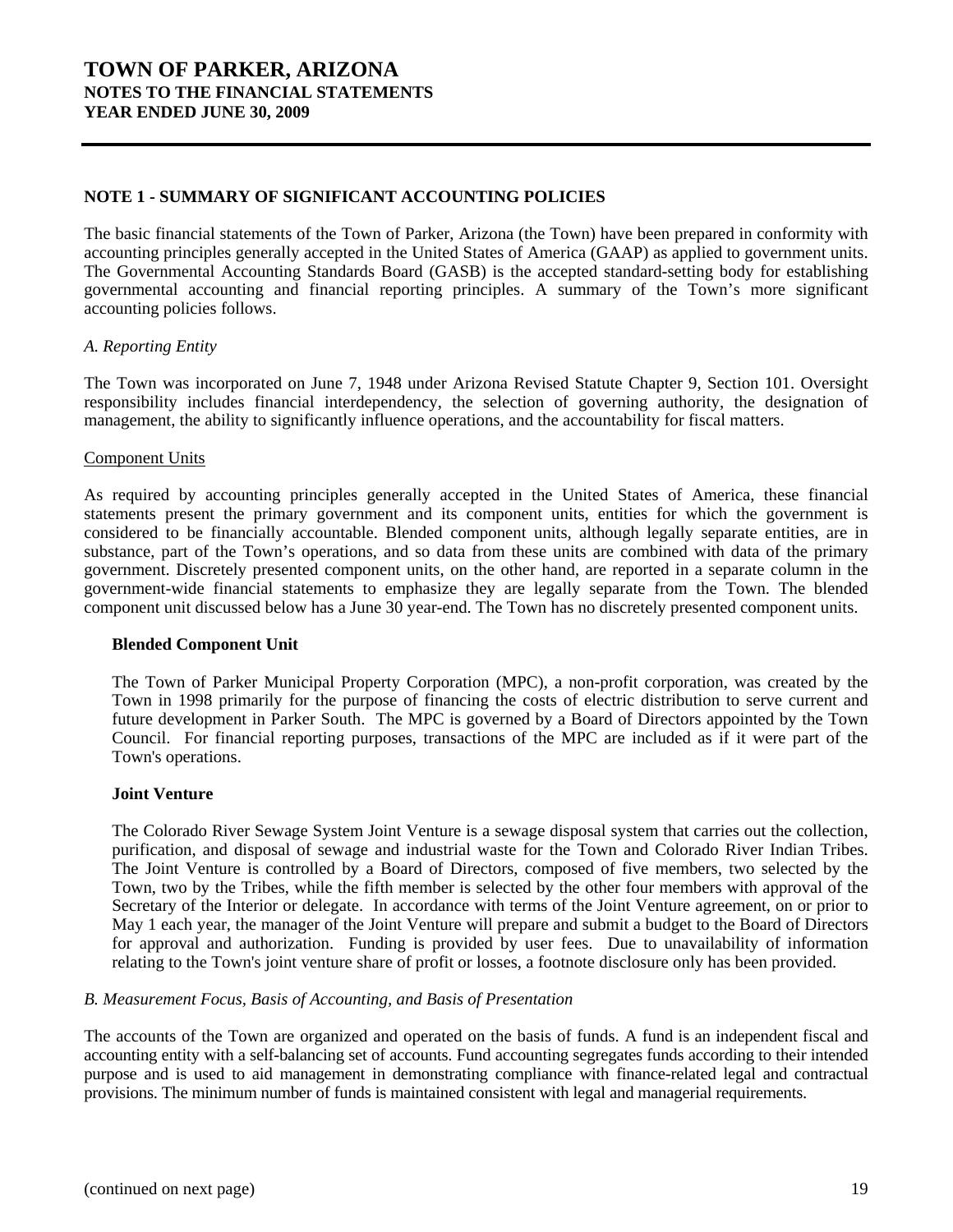# **TOWN OF PARKER, ARIZONA NOTES TO THE FINANCIAL STATEMENTS YEAR ENDED JUNE 30, 2009**

## **NOTE 1 - SUMMARY OF SIGNIFICANT ACCOUNTING POLICIES**

The basic financial statements of the Town of Parker, Arizona (the Town) have been prepared in conformity with accounting principles generally accepted in the United States of America (GAAP) as applied to government units. The Governmental Accounting Standards Board (GASB) is the accepted standard-setting body for establishing governmental accounting and financial reporting principles. A summary of the Town's more significant accounting policies follows.

#### *A. Reporting Entity*

The Town was incorporated on June 7, 1948 under Arizona Revised Statute Chapter 9, Section 101. Oversight responsibility includes financial interdependency, the selection of governing authority, the designation of management, the ability to significantly influence operations, and the accountability for fiscal matters.

#### Component Units

As required by accounting principles generally accepted in the United States of America, these financial statements present the primary government and its component units, entities for which the government is considered to be financially accountable. Blended component units, although legally separate entities, are in substance, part of the Town's operations, and so data from these units are combined with data of the primary government. Discretely presented component units, on the other hand, are reported in a separate column in the government-wide financial statements to emphasize they are legally separate from the Town. The blended component unit discussed below has a June 30 year-end. The Town has no discretely presented component units.

#### **Blended Component Unit**

The Town of Parker Municipal Property Corporation (MPC), a non-profit corporation, was created by the Town in 1998 primarily for the purpose of financing the costs of electric distribution to serve current and future development in Parker South. The MPC is governed by a Board of Directors appointed by the Town Council. For financial reporting purposes, transactions of the MPC are included as if it were part of the Town's operations.

#### **Joint Venture**

The Colorado River Sewage System Joint Venture is a sewage disposal system that carries out the collection, purification, and disposal of sewage and industrial waste for the Town and Colorado River Indian Tribes. The Joint Venture is controlled by a Board of Directors, composed of five members, two selected by the Town, two by the Tribes, while the fifth member is selected by the other four members with approval of the Secretary of the Interior or delegate. In accordance with terms of the Joint Venture agreement, on or prior to May 1 each year, the manager of the Joint Venture will prepare and submit a budget to the Board of Directors for approval and authorization. Funding is provided by user fees. Due to unavailability of information relating to the Town's joint venture share of profit or losses, a footnote disclosure only has been provided.

#### *B. Measurement Focus, Basis of Accounting, and Basis of Presentation*

The accounts of the Town are organized and operated on the basis of funds. A fund is an independent fiscal and accounting entity with a self-balancing set of accounts. Fund accounting segregates funds according to their intended purpose and is used to aid management in demonstrating compliance with finance-related legal and contractual provisions. The minimum number of funds is maintained consistent with legal and managerial requirements.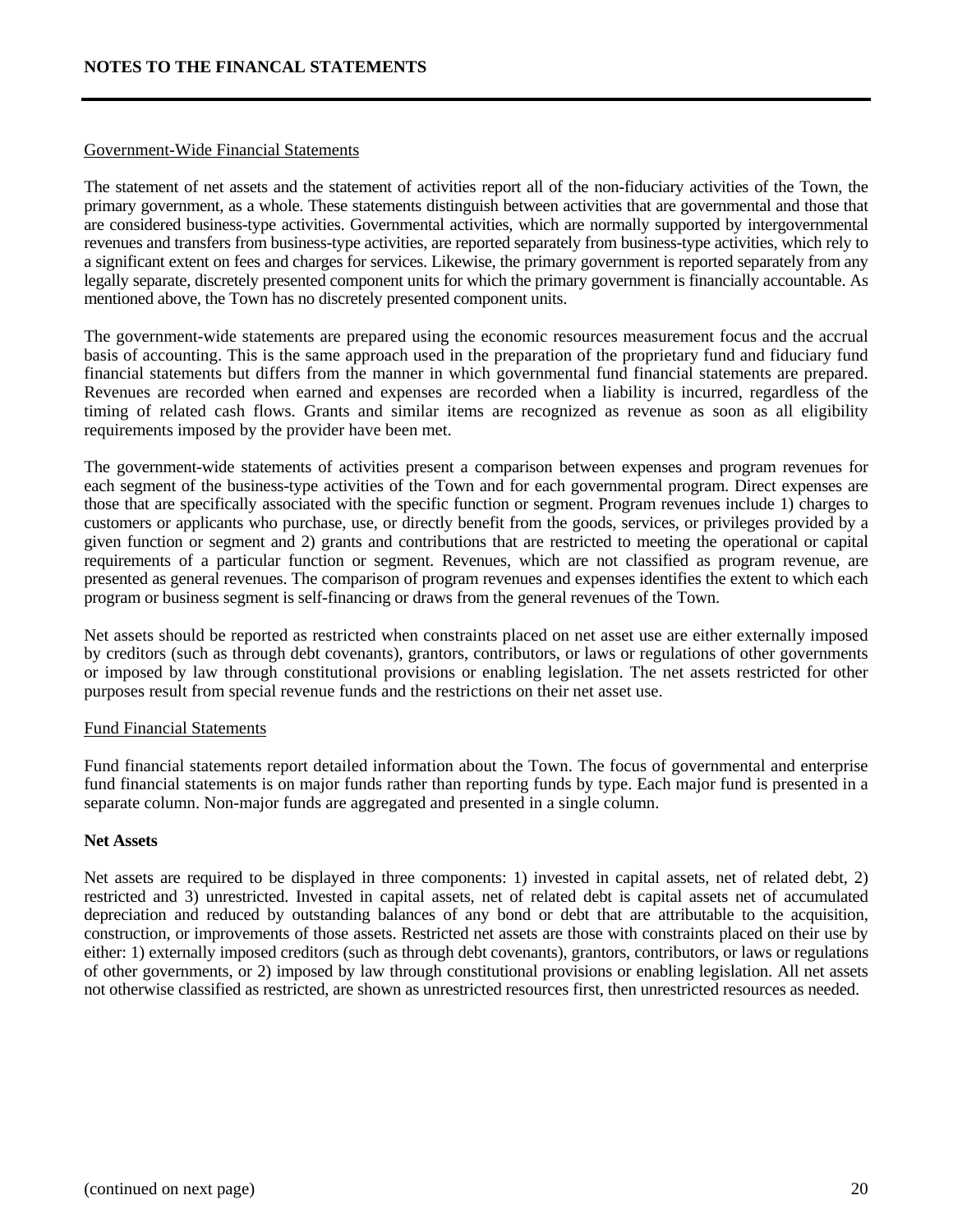#### Government-Wide Financial Statements

The statement of net assets and the statement of activities report all of the non-fiduciary activities of the Town, the primary government, as a whole. These statements distinguish between activities that are governmental and those that are considered business-type activities. Governmental activities, which are normally supported by intergovernmental revenues and transfers from business-type activities, are reported separately from business-type activities, which rely to a significant extent on fees and charges for services. Likewise, the primary government is reported separately from any legally separate, discretely presented component units for which the primary government is financially accountable. As mentioned above, the Town has no discretely presented component units.

The government-wide statements are prepared using the economic resources measurement focus and the accrual basis of accounting. This is the same approach used in the preparation of the proprietary fund and fiduciary fund financial statements but differs from the manner in which governmental fund financial statements are prepared. Revenues are recorded when earned and expenses are recorded when a liability is incurred, regardless of the timing of related cash flows. Grants and similar items are recognized as revenue as soon as all eligibility requirements imposed by the provider have been met.

The government-wide statements of activities present a comparison between expenses and program revenues for each segment of the business-type activities of the Town and for each governmental program. Direct expenses are those that are specifically associated with the specific function or segment. Program revenues include 1) charges to customers or applicants who purchase, use, or directly benefit from the goods, services, or privileges provided by a given function or segment and 2) grants and contributions that are restricted to meeting the operational or capital requirements of a particular function or segment. Revenues, which are not classified as program revenue, are presented as general revenues. The comparison of program revenues and expenses identifies the extent to which each program or business segment is self-financing or draws from the general revenues of the Town.

Net assets should be reported as restricted when constraints placed on net asset use are either externally imposed by creditors (such as through debt covenants), grantors, contributors, or laws or regulations of other governments or imposed by law through constitutional provisions or enabling legislation. The net assets restricted for other purposes result from special revenue funds and the restrictions on their net asset use.

#### Fund Financial Statements

Fund financial statements report detailed information about the Town. The focus of governmental and enterprise fund financial statements is on major funds rather than reporting funds by type. Each major fund is presented in a separate column. Non-major funds are aggregated and presented in a single column.

#### **Net Assets**

Net assets are required to be displayed in three components: 1) invested in capital assets, net of related debt, 2) restricted and 3) unrestricted. Invested in capital assets, net of related debt is capital assets net of accumulated depreciation and reduced by outstanding balances of any bond or debt that are attributable to the acquisition, construction, or improvements of those assets. Restricted net assets are those with constraints placed on their use by either: 1) externally imposed creditors (such as through debt covenants), grantors, contributors, or laws or regulations of other governments, or 2) imposed by law through constitutional provisions or enabling legislation. All net assets not otherwise classified as restricted, are shown as unrestricted resources first, then unrestricted resources as needed.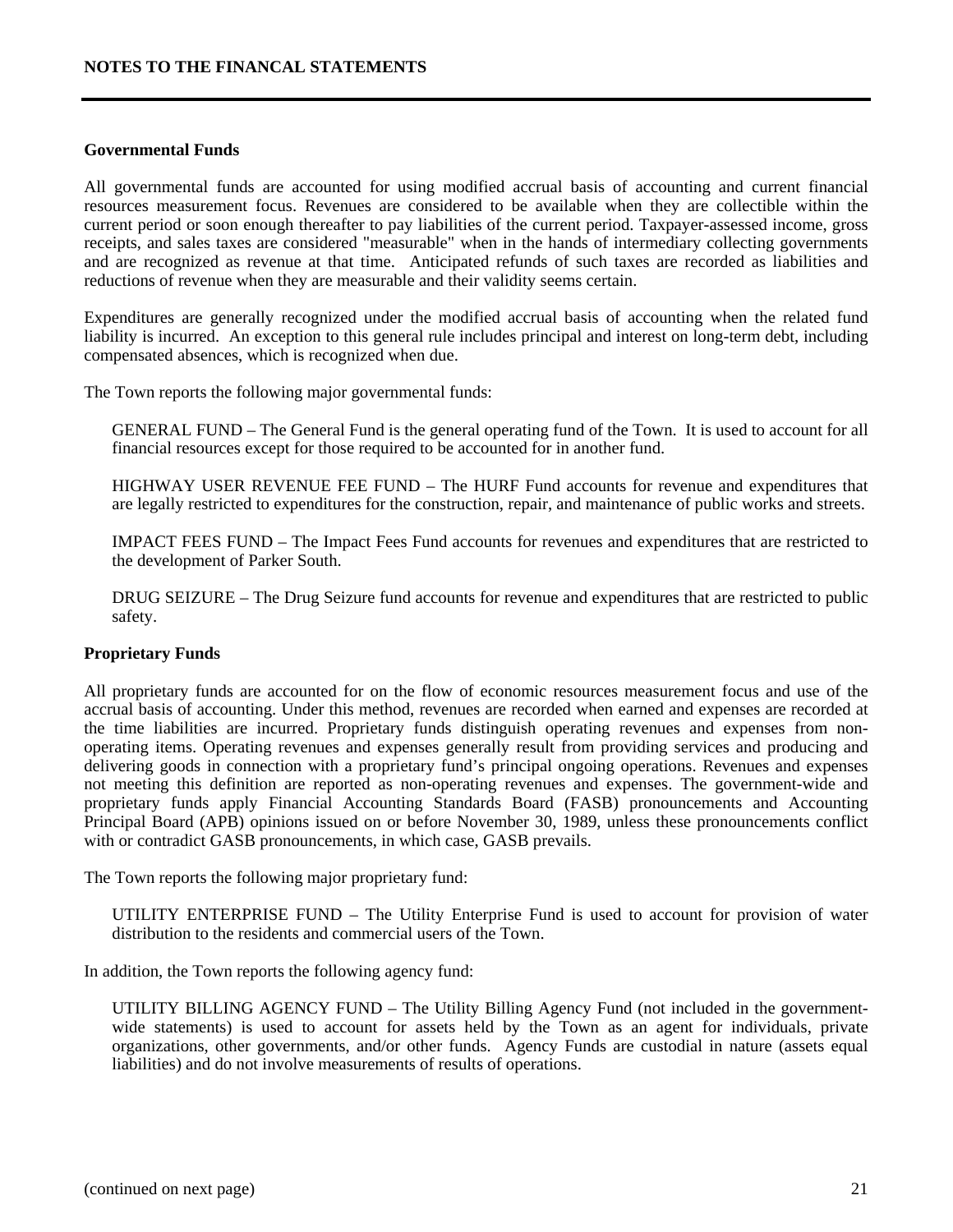#### **Governmental Funds**

All governmental funds are accounted for using modified accrual basis of accounting and current financial resources measurement focus. Revenues are considered to be available when they are collectible within the current period or soon enough thereafter to pay liabilities of the current period. Taxpayer-assessed income, gross receipts, and sales taxes are considered "measurable" when in the hands of intermediary collecting governments and are recognized as revenue at that time. Anticipated refunds of such taxes are recorded as liabilities and reductions of revenue when they are measurable and their validity seems certain.

Expenditures are generally recognized under the modified accrual basis of accounting when the related fund liability is incurred. An exception to this general rule includes principal and interest on long-term debt, including compensated absences, which is recognized when due.

The Town reports the following major governmental funds:

 GENERAL FUND – The General Fund is the general operating fund of the Town. It is used to account for all financial resources except for those required to be accounted for in another fund.

 HIGHWAY USER REVENUE FEE FUND – The HURF Fund accounts for revenue and expenditures that are legally restricted to expenditures for the construction, repair, and maintenance of public works and streets.

 IMPACT FEES FUND – The Impact Fees Fund accounts for revenues and expenditures that are restricted to the development of Parker South.

 DRUG SEIZURE – The Drug Seizure fund accounts for revenue and expenditures that are restricted to public safety.

#### **Proprietary Funds**

All proprietary funds are accounted for on the flow of economic resources measurement focus and use of the accrual basis of accounting. Under this method, revenues are recorded when earned and expenses are recorded at the time liabilities are incurred. Proprietary funds distinguish operating revenues and expenses from nonoperating items. Operating revenues and expenses generally result from providing services and producing and delivering goods in connection with a proprietary fund's principal ongoing operations. Revenues and expenses not meeting this definition are reported as non-operating revenues and expenses. The government-wide and proprietary funds apply Financial Accounting Standards Board (FASB) pronouncements and Accounting Principal Board (APB) opinions issued on or before November 30, 1989, unless these pronouncements conflict with or contradict GASB pronouncements, in which case, GASB prevails.

The Town reports the following major proprietary fund:

 UTILITY ENTERPRISE FUND – The Utility Enterprise Fund is used to account for provision of water distribution to the residents and commercial users of the Town.

In addition, the Town reports the following agency fund:

 UTILITY BILLING AGENCY FUND – The Utility Billing Agency Fund (not included in the governmentwide statements) is used to account for assets held by the Town as an agent for individuals, private organizations, other governments, and/or other funds. Agency Funds are custodial in nature (assets equal liabilities) and do not involve measurements of results of operations.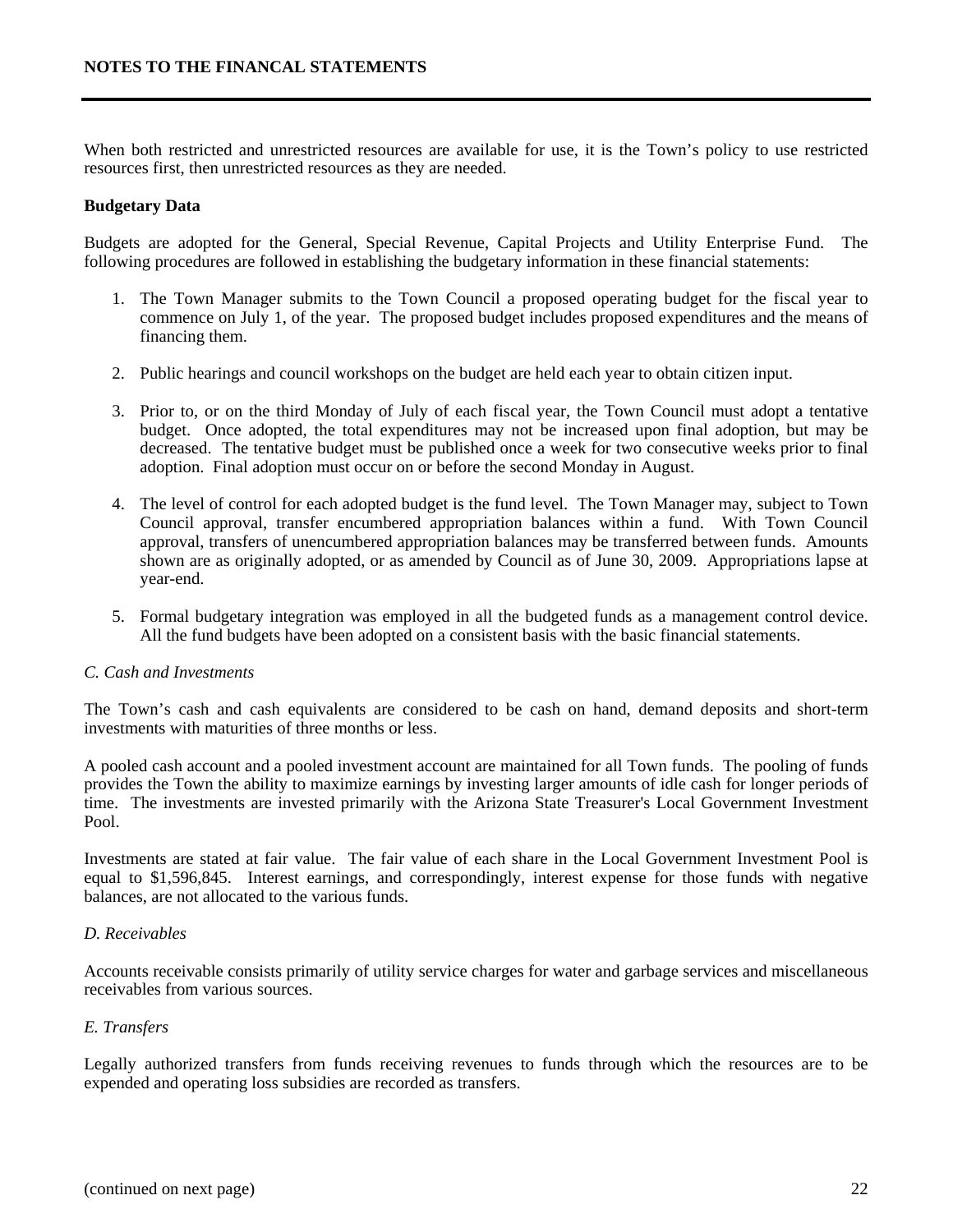When both restricted and unrestricted resources are available for use, it is the Town's policy to use restricted resources first, then unrestricted resources as they are needed.

#### **Budgetary Data**

Budgets are adopted for the General, Special Revenue, Capital Projects and Utility Enterprise Fund. The following procedures are followed in establishing the budgetary information in these financial statements:

- 1. The Town Manager submits to the Town Council a proposed operating budget for the fiscal year to commence on July 1, of the year. The proposed budget includes proposed expenditures and the means of financing them.
- 2. Public hearings and council workshops on the budget are held each year to obtain citizen input.
- 3. Prior to, or on the third Monday of July of each fiscal year, the Town Council must adopt a tentative budget. Once adopted, the total expenditures may not be increased upon final adoption, but may be decreased. The tentative budget must be published once a week for two consecutive weeks prior to final adoption. Final adoption must occur on or before the second Monday in August.
- 4. The level of control for each adopted budget is the fund level. The Town Manager may, subject to Town Council approval, transfer encumbered appropriation balances within a fund. With Town Council approval, transfers of unencumbered appropriation balances may be transferred between funds. Amounts shown are as originally adopted, or as amended by Council as of June 30, 2009. Appropriations lapse at year-end.
- 5. Formal budgetary integration was employed in all the budgeted funds as a management control device. All the fund budgets have been adopted on a consistent basis with the basic financial statements.

#### *C. Cash and Investments*

The Town's cash and cash equivalents are considered to be cash on hand, demand deposits and short-term investments with maturities of three months or less.

A pooled cash account and a pooled investment account are maintained for all Town funds. The pooling of funds provides the Town the ability to maximize earnings by investing larger amounts of idle cash for longer periods of time. The investments are invested primarily with the Arizona State Treasurer's Local Government Investment Pool.

Investments are stated at fair value. The fair value of each share in the Local Government Investment Pool is equal to \$1,596,845. Interest earnings, and correspondingly, interest expense for those funds with negative balances, are not allocated to the various funds.

#### *D. Receivables*

Accounts receivable consists primarily of utility service charges for water and garbage services and miscellaneous receivables from various sources.

#### *E. Transfers*

Legally authorized transfers from funds receiving revenues to funds through which the resources are to be expended and operating loss subsidies are recorded as transfers.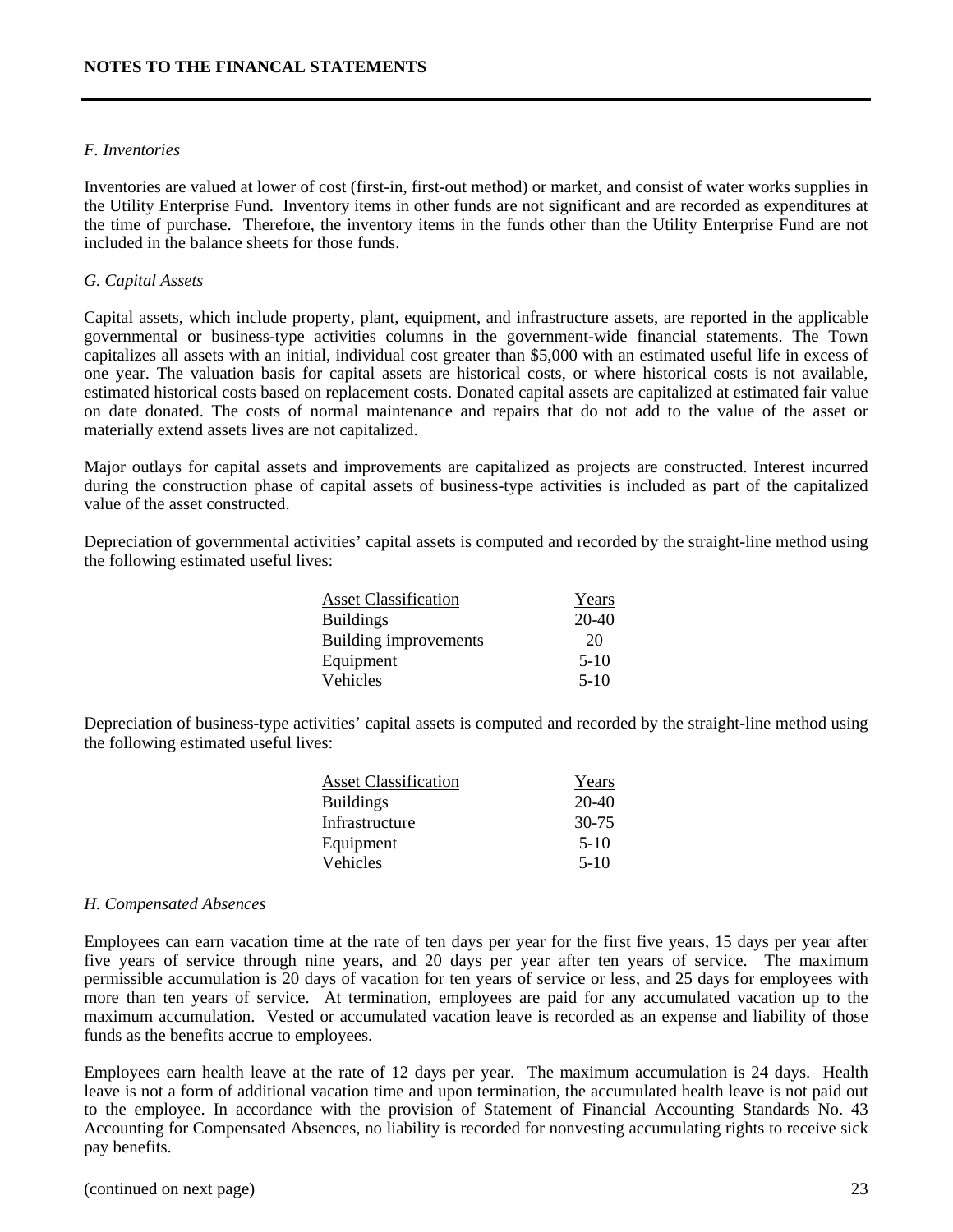#### *F. Inventories*

Inventories are valued at lower of cost (first-in, first-out method) or market, and consist of water works supplies in the Utility Enterprise Fund. Inventory items in other funds are not significant and are recorded as expenditures at the time of purchase. Therefore, the inventory items in the funds other than the Utility Enterprise Fund are not included in the balance sheets for those funds.

#### *G. Capital Assets*

Capital assets, which include property, plant, equipment, and infrastructure assets, are reported in the applicable governmental or business-type activities columns in the government-wide financial statements. The Town capitalizes all assets with an initial, individual cost greater than \$5,000 with an estimated useful life in excess of one year. The valuation basis for capital assets are historical costs, or where historical costs is not available, estimated historical costs based on replacement costs. Donated capital assets are capitalized at estimated fair value on date donated. The costs of normal maintenance and repairs that do not add to the value of the asset or materially extend assets lives are not capitalized.

Major outlays for capital assets and improvements are capitalized as projects are constructed. Interest incurred during the construction phase of capital assets of business-type activities is included as part of the capitalized value of the asset constructed.

Depreciation of governmental activities' capital assets is computed and recorded by the straight-line method using the following estimated useful lives:

| <b>Asset Classification</b> | Years   |
|-----------------------------|---------|
| <b>Buildings</b>            | $20-40$ |
| Building improvements       | 20      |
| Equipment                   | $5-10$  |
| Vehicles                    | $5-10$  |

Depreciation of business-type activities' capital assets is computed and recorded by the straight-line method using the following estimated useful lives:

| <b>Asset Classification</b> | Years     |
|-----------------------------|-----------|
| <b>Buildings</b>            | $20-40$   |
| Infrastructure              | $30 - 75$ |
| Equipment                   | $5-10$    |
| Vehicles                    | $5-10$    |
|                             |           |

#### *H. Compensated Absences*

Employees can earn vacation time at the rate of ten days per year for the first five years, 15 days per year after five years of service through nine years, and 20 days per year after ten years of service. The maximum permissible accumulation is 20 days of vacation for ten years of service or less, and 25 days for employees with more than ten years of service. At termination, employees are paid for any accumulated vacation up to the maximum accumulation. Vested or accumulated vacation leave is recorded as an expense and liability of those funds as the benefits accrue to employees.

Employees earn health leave at the rate of 12 days per year. The maximum accumulation is 24 days. Health leave is not a form of additional vacation time and upon termination, the accumulated health leave is not paid out to the employee. In accordance with the provision of Statement of Financial Accounting Standards No. 43 Accounting for Compensated Absences, no liability is recorded for nonvesting accumulating rights to receive sick pay benefits.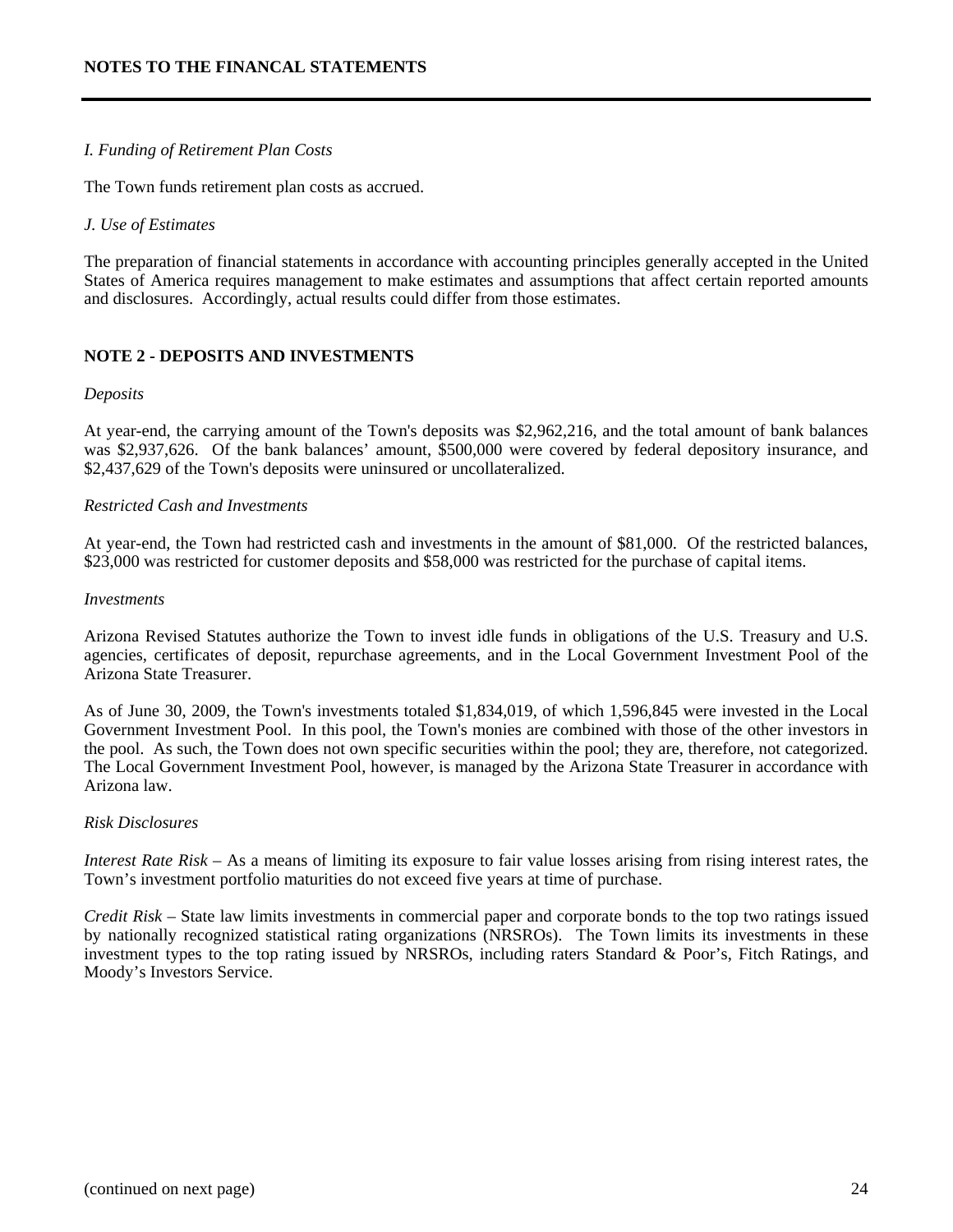#### *I. Funding of Retirement Plan Costs*

The Town funds retirement plan costs as accrued.

#### *J. Use of Estimates*

The preparation of financial statements in accordance with accounting principles generally accepted in the United States of America requires management to make estimates and assumptions that affect certain reported amounts and disclosures. Accordingly, actual results could differ from those estimates.

#### **NOTE 2 - DEPOSITS AND INVESTMENTS**

#### *Deposits*

At year-end, the carrying amount of the Town's deposits was \$2,962,216, and the total amount of bank balances was \$2,937,626. Of the bank balances' amount, \$500,000 were covered by federal depository insurance, and \$2,437,629 of the Town's deposits were uninsured or uncollateralized.

#### *Restricted Cash and Investments*

At year-end, the Town had restricted cash and investments in the amount of \$81,000. Of the restricted balances, \$23,000 was restricted for customer deposits and \$58,000 was restricted for the purchase of capital items.

#### *Investments*

Arizona Revised Statutes authorize the Town to invest idle funds in obligations of the U.S. Treasury and U.S. agencies, certificates of deposit, repurchase agreements, and in the Local Government Investment Pool of the Arizona State Treasurer.

As of June 30, 2009, the Town's investments totaled \$1,834,019, of which 1,596,845 were invested in the Local Government Investment Pool. In this pool, the Town's monies are combined with those of the other investors in the pool. As such, the Town does not own specific securities within the pool; they are, therefore, not categorized. The Local Government Investment Pool, however, is managed by the Arizona State Treasurer in accordance with Arizona law.

#### *Risk Disclosures*

*Interest Rate Risk* – As a means of limiting its exposure to fair value losses arising from rising interest rates, the Town's investment portfolio maturities do not exceed five years at time of purchase.

*Credit Risk* – State law limits investments in commercial paper and corporate bonds to the top two ratings issued by nationally recognized statistical rating organizations (NRSROs). The Town limits its investments in these investment types to the top rating issued by NRSROs, including raters Standard & Poor's, Fitch Ratings, and Moody's Investors Service.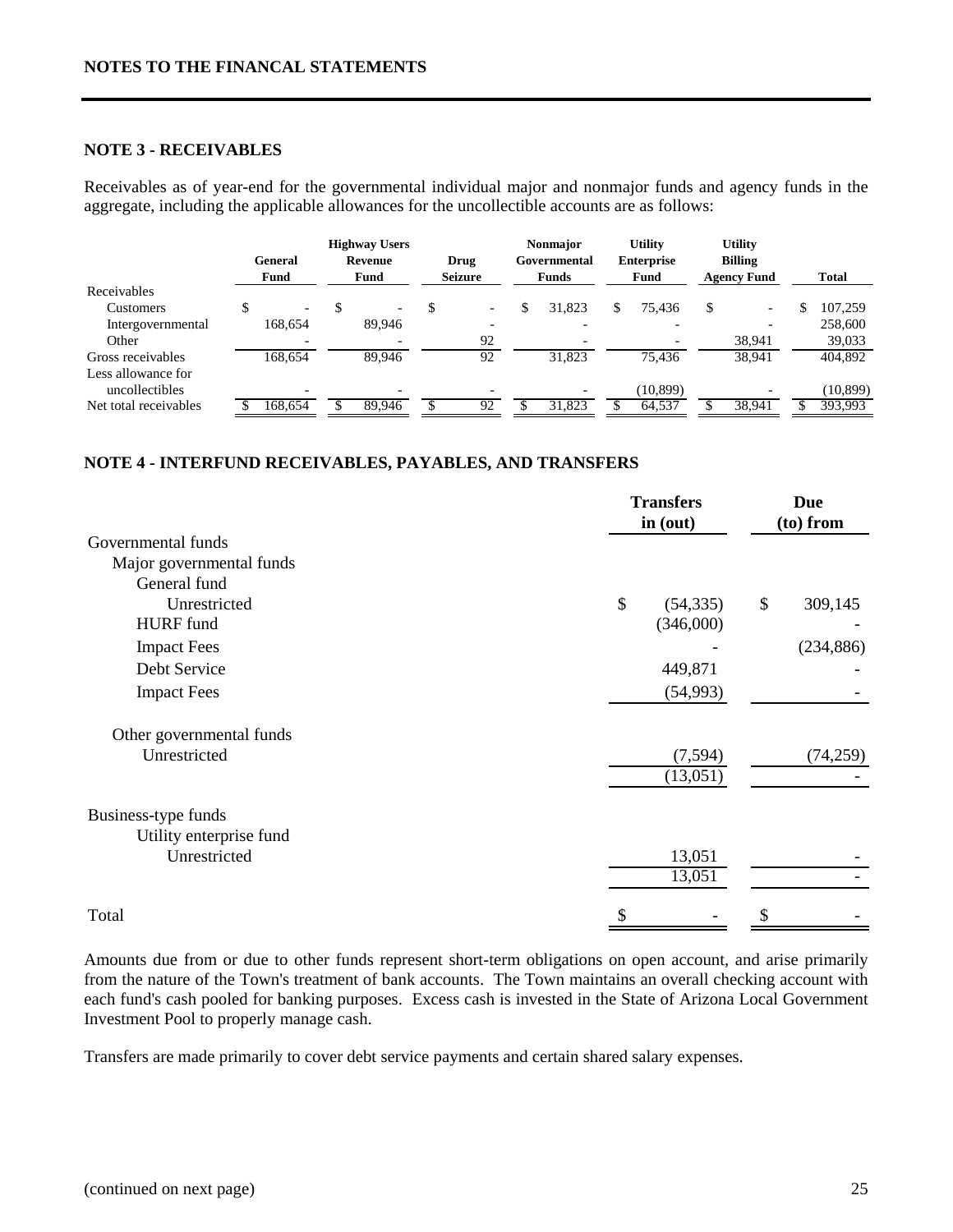#### **NOTE 3 - RECEIVABLES**

Receivables as of year-end for the governmental individual major and nonmajor funds and agency funds in the aggregate, including the applicable allowances for the uncollectible accounts are as follows:

|                       |                          | <b>Highway Users</b>     |                          | <b>Nonmajor</b>              | <b>Utility</b>            |     | <b>Utility</b>                       |              |
|-----------------------|--------------------------|--------------------------|--------------------------|------------------------------|---------------------------|-----|--------------------------------------|--------------|
|                       | General<br><b>Fund</b>   | Revenue<br><b>Fund</b>   | Drug<br><b>Seizure</b>   | Governmental<br><b>Funds</b> | <b>Enterprise</b><br>Fund |     | <b>Billing</b><br><b>Agency Fund</b> | <b>Total</b> |
| Receivables           |                          |                          |                          |                              |                           |     |                                      |              |
| <b>Customers</b>      | $\overline{\phantom{0}}$ | $\overline{\phantom{0}}$ | $\overline{\phantom{a}}$ | \$<br>31,823                 | \$<br>75,436              | \$. | $\overline{\phantom{0}}$             | 107.259      |
| Intergovernmental     | 168.654                  | 89,946                   |                          |                              |                           |     |                                      | 258,600      |
| Other                 |                          |                          | 92                       | $\overline{\phantom{0}}$     |                           |     | 38,941                               | 39,033       |
| Gross receivables     | 168.654                  | 89.946                   | 92                       | 31.823                       | 75.436                    |     | 38,941                               | 404,892      |
| Less allowance for    |                          |                          |                          |                              |                           |     |                                      |              |
| uncollectibles        |                          |                          |                          |                              | (10, 899)                 |     |                                      | (10, 899)    |
| Net total receivables | 168,654                  | 89,946                   | 92                       | 31,823                       | 64,537                    |     | 38,941                               | 393,993      |

#### **NOTE 4 - INTERFUND RECEIVABLES, PAYABLES, AND TRANSFERS**

|                          | <b>Transfers</b><br>in (out) | <b>Due</b><br>(to) from |
|--------------------------|------------------------------|-------------------------|
| Governmental funds       |                              |                         |
| Major governmental funds |                              |                         |
| General fund             |                              |                         |
| Unrestricted             | $\mathcal{S}$<br>(54, 335)   | \$<br>309,145           |
| <b>HURF</b> fund         | (346,000)                    |                         |
| <b>Impact Fees</b>       |                              | (234, 886)              |
| Debt Service             | 449,871                      |                         |
| <b>Impact Fees</b>       | (54,993)                     |                         |
| Other governmental funds |                              |                         |
| Unrestricted             | (7, 594)                     | (74,259)                |
|                          | (13,051)                     |                         |
| Business-type funds      |                              |                         |
| Utility enterprise fund  |                              |                         |
| Unrestricted             | 13,051                       |                         |
|                          | 13,051                       |                         |
| Total                    | S                            |                         |

Amounts due from or due to other funds represent short-term obligations on open account, and arise primarily from the nature of the Town's treatment of bank accounts. The Town maintains an overall checking account with each fund's cash pooled for banking purposes. Excess cash is invested in the State of Arizona Local Government Investment Pool to properly manage cash.

Transfers are made primarily to cover debt service payments and certain shared salary expenses.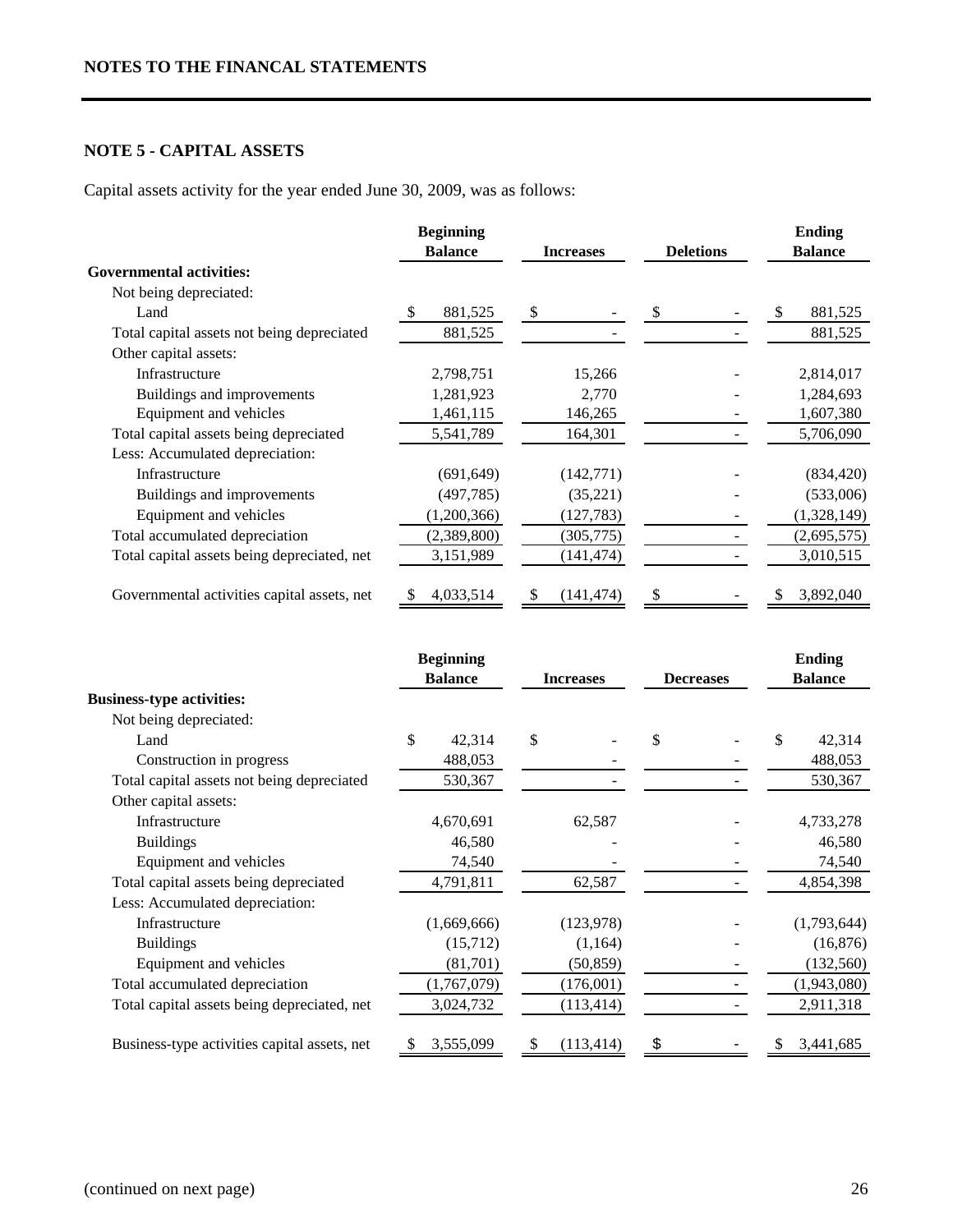# **NOTE 5 - CAPITAL ASSETS**

Capital assets activity for the year ended June 30, 2009, was as follows:

|                                             | <b>Beginning</b> |                  |                  | <b>Ending</b>  |
|---------------------------------------------|------------------|------------------|------------------|----------------|
|                                             | <b>Balance</b>   | <b>Increases</b> | <b>Deletions</b> | <b>Balance</b> |
| <b>Governmental activities:</b>             |                  |                  |                  |                |
| Not being depreciated:                      |                  |                  |                  |                |
| Land                                        | 881,525          | \$               |                  | S<br>881,525   |
| Total capital assets not being depreciated  | 881,525          |                  |                  | 881,525        |
| Other capital assets:                       |                  |                  |                  |                |
| Infrastructure                              | 2,798,751        | 15,266           |                  | 2,814,017      |
| Buildings and improvements                  | 1,281,923        | 2,770            |                  | 1,284,693      |
| Equipment and vehicles                      | 1,461,115        | 146,265          |                  | 1,607,380      |
| Total capital assets being depreciated      | 5,541,789        | 164,301          |                  | 5,706,090      |
| Less: Accumulated depreciation:             |                  |                  |                  |                |
| Infrastructure                              | (691, 649)       | (142,771)        |                  | (834, 420)     |
| Buildings and improvements                  | (497, 785)       | (35, 221)        |                  | (533,006)      |
| Equipment and vehicles                      | (1,200,366)      | (127, 783)       |                  | (1,328,149)    |
| Total accumulated depreciation              | (2,389,800)      | (305, 775)       |                  | (2,695,575)    |
| Total capital assets being depreciated, net | 3,151,989        | (141, 474)       |                  | 3,010,515      |
| Governmental activities capital assets, net | 4,033,514        | (141, 474)<br>S  |                  | 3,892,040      |

|                                              | <b>Beginning</b> |                  |                  | <b>Ending</b>  |  |
|----------------------------------------------|------------------|------------------|------------------|----------------|--|
|                                              | <b>Balance</b>   | <b>Increases</b> | <b>Decreases</b> | <b>Balance</b> |  |
| <b>Business-type activities:</b>             |                  |                  |                  |                |  |
| Not being depreciated:                       |                  |                  |                  |                |  |
| Land                                         | \$<br>42,314     | \$               | \$               | \$<br>42,314   |  |
| Construction in progress                     | 488,053          |                  |                  | 488,053        |  |
| Total capital assets not being depreciated   | 530,367          |                  |                  | 530,367        |  |
| Other capital assets:                        |                  |                  |                  |                |  |
| Infrastructure                               | 4,670,691        | 62,587           |                  | 4,733,278      |  |
| <b>Buildings</b>                             | 46,580           |                  |                  | 46,580         |  |
| Equipment and vehicles                       | 74,540           |                  |                  | 74,540         |  |
| Total capital assets being depreciated       | 4,791,811        | 62,587           |                  | 4,854,398      |  |
| Less: Accumulated depreciation:              |                  |                  |                  |                |  |
| Infrastructure                               | (1,669,666)      | (123, 978)       |                  | (1,793,644)    |  |
| <b>Buildings</b>                             | (15,712)         | (1,164)          |                  | (16, 876)      |  |
| Equipment and vehicles                       | (81,701)         | (50, 859)        |                  | (132, 560)     |  |
| Total accumulated depreciation               | (1,767,079)      | (176,001)        |                  | (1,943,080)    |  |
| Total capital assets being depreciated, net  | 3,024,732        | (113, 414)       |                  | 2,911,318      |  |
| Business-type activities capital assets, net | 3,555,099        | (113, 414)<br>\$ | \$               | 3,441,685      |  |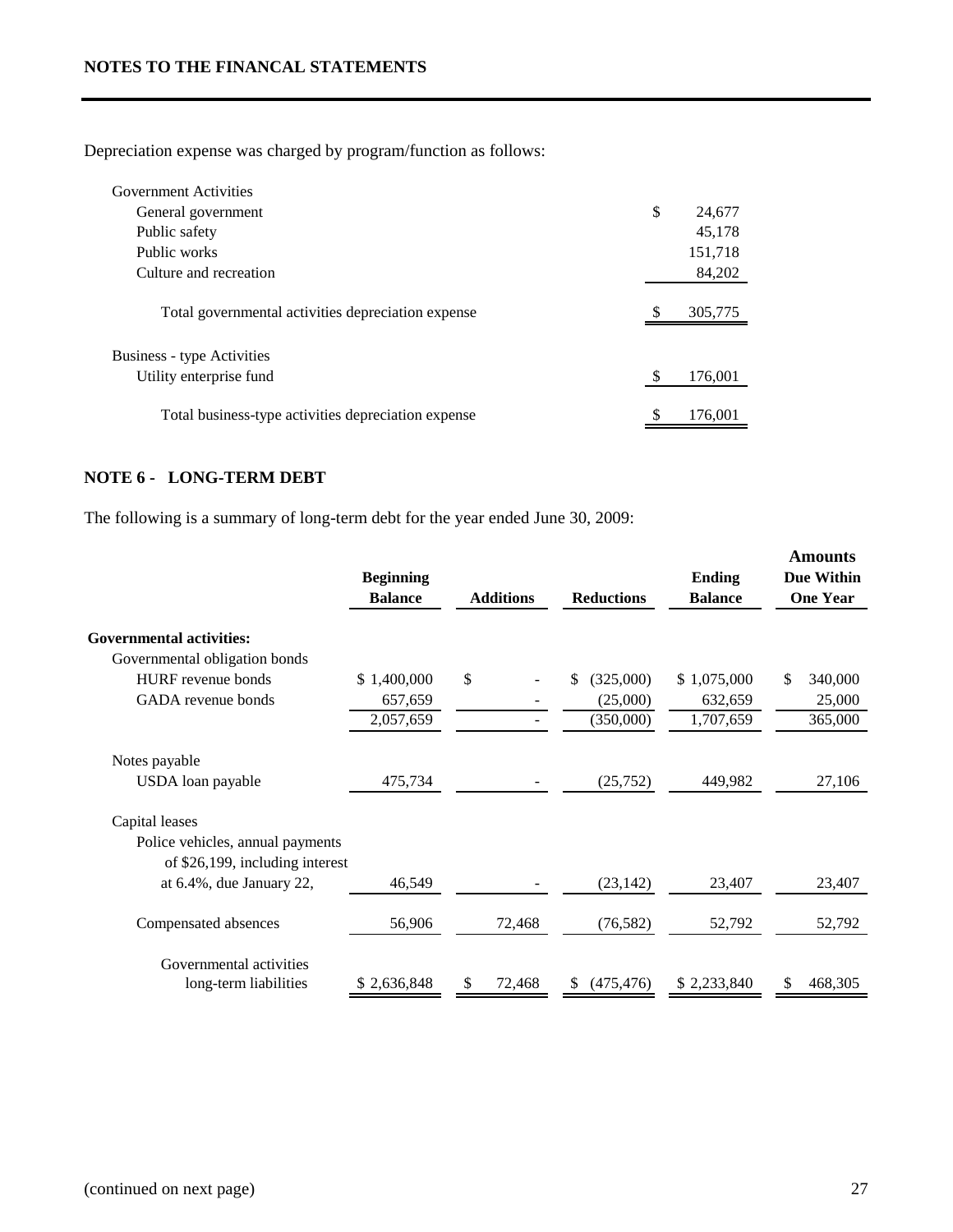Depreciation expense was charged by program/function as follows:

| Government Activities                               |              |
|-----------------------------------------------------|--------------|
| General government                                  | \$<br>24,677 |
| Public safety                                       | 45,178       |
| Public works                                        | 151,718      |
| Culture and recreation                              | 84,202       |
| Total governmental activities depreciation expense  | 305,775      |
| <b>Business - type Activities</b>                   |              |
| Utility enterprise fund                             | 176,001      |
| Total business-type activities depreciation expense | 176,001      |

# **NOTE 6 - LONG-TERM DEBT**

The following is a summary of long-term debt for the year ended June 30, 2009:

|                                  | <b>Beginning</b><br><b>Balance</b> | <b>Additions</b> | <b>Reductions</b> | <b>Ending</b><br><b>Balance</b> | <b>Amounts</b><br><b>Due Within</b><br><b>One Year</b> |
|----------------------------------|------------------------------------|------------------|-------------------|---------------------------------|--------------------------------------------------------|
| <b>Governmental activities:</b>  |                                    |                  |                   |                                 |                                                        |
| Governmental obligation bonds    |                                    |                  |                   |                                 |                                                        |
| <b>HURF</b> revenue bonds        | \$1,400,000                        | \$               | \$<br>(325,000)   | \$1,075,000                     | 340,000<br>S                                           |
| GADA revenue bonds               | 657,659                            |                  | (25,000)          | 632,659                         | 25,000                                                 |
|                                  | 2,057,659                          |                  | (350,000)         | 1,707,659                       | 365,000                                                |
| Notes payable                    |                                    |                  |                   |                                 |                                                        |
| USDA loan payable                | 475,734                            |                  | (25, 752)         | 449,982                         | 27,106                                                 |
| Capital leases                   |                                    |                  |                   |                                 |                                                        |
| Police vehicles, annual payments |                                    |                  |                   |                                 |                                                        |
| of \$26,199, including interest  |                                    |                  |                   |                                 |                                                        |
| at 6.4%, due January 22,         | 46,549                             |                  | (23, 142)         | 23,407                          | 23,407                                                 |
| Compensated absences             | 56,906                             | 72,468           | (76, 582)         | 52,792                          | 52,792                                                 |
| Governmental activities          |                                    |                  |                   |                                 |                                                        |
| long-term liabilities            | \$2,636,848                        | \$<br>72,468     | \$<br>(475, 476)  | \$2,233,840                     | \$<br>468,305                                          |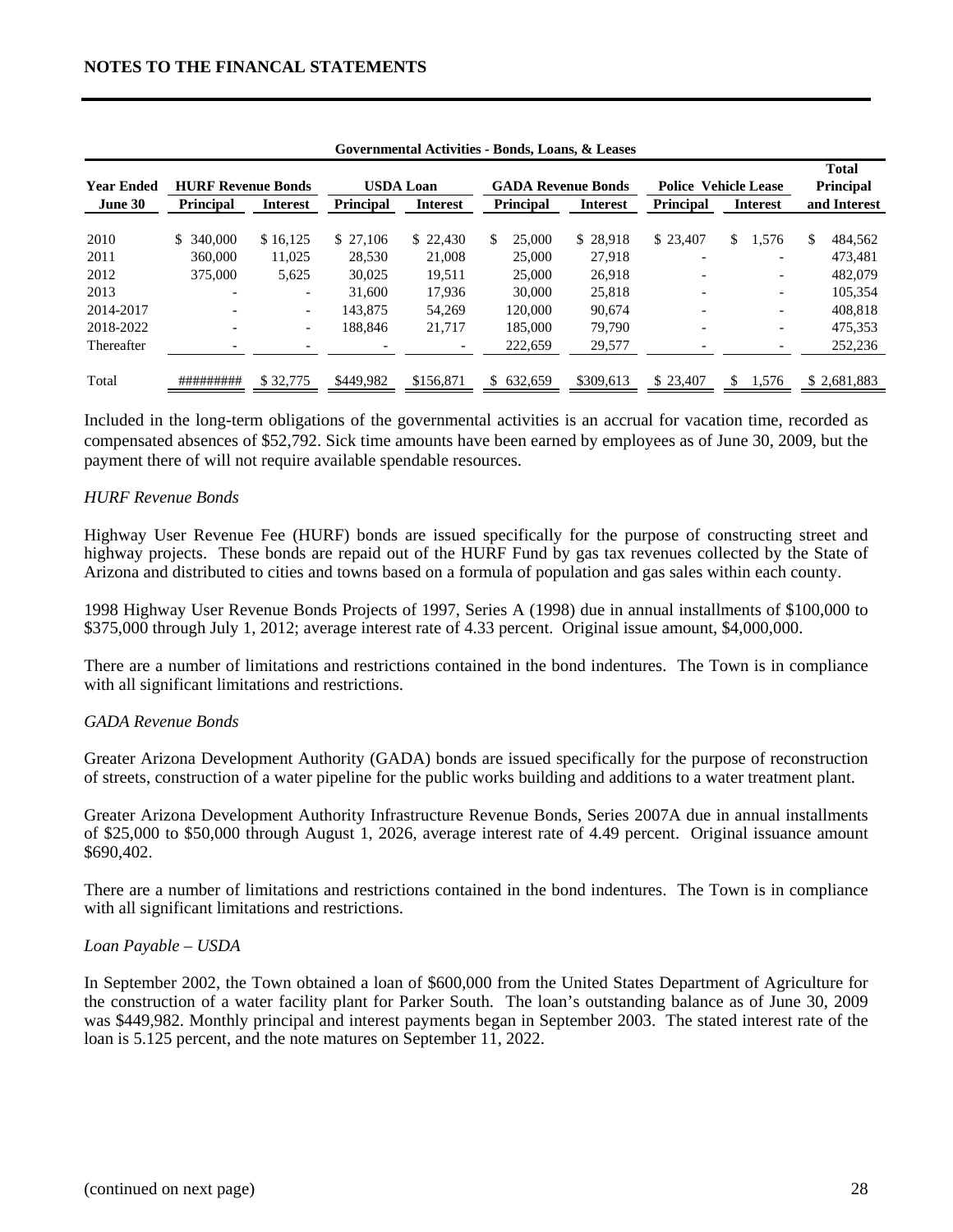| <b>Year Ended</b> | <b>HURF Revenue Bonds</b> |                          |                  | USDA Loan       | <b>GADA Revenue Bonds</b> |                 | <b>Police Vehicle Lease</b> |    |                          | <b>Total</b><br><b>Principal</b> |
|-------------------|---------------------------|--------------------------|------------------|-----------------|---------------------------|-----------------|-----------------------------|----|--------------------------|----------------------------------|
| June 30           | <b>Principal</b>          | <b>Interest</b>          | <b>Principal</b> | <b>Interest</b> | <b>Principal</b>          | <b>Interest</b> | <b>Principal</b>            |    | <b>Interest</b>          | and Interest                     |
| 2010              | \$ 340,000                | \$16,125                 | \$27.106         | \$22.430        | 25,000<br>S.              | \$28,918        | \$23,407                    | \$ | 1,576                    | \$<br>484,562                    |
| 2011              | 360,000                   | 11.025                   | 28.530           | 21,008          | 25,000                    | 27.918          |                             |    |                          | 473.481                          |
| 2012              | 375,000                   | 5,625                    | 30,025           | 19.511          | 25,000                    | 26,918          |                             |    | -                        | 482,079                          |
| 2013              |                           | $\overline{\phantom{0}}$ | 31,600           | 17.936          | 30,000                    | 25,818          |                             |    | $\overline{\phantom{0}}$ | 105.354                          |
| 2014-2017         |                           | $\overline{\phantom{0}}$ | 143,875          | 54,269          | 120,000                   | 90.674          |                             |    | -                        | 408.818                          |
| 2018-2022         |                           | $\overline{\phantom{0}}$ | 188.846          | 21,717          | 185,000                   | 79,790          |                             |    | -                        | 475,353                          |
| Thereafter        |                           |                          |                  |                 | 222,659                   | 29,577          |                             |    |                          | 252,236                          |
| Total             | #########                 | \$32,775                 | \$449.982        | \$156.871       | 632,659<br>SS.            | \$309.613       | \$23,407                    | S  | 1,576                    | \$2,681,883                      |

**Governmental Activities - Bonds, Loans, & Leases**

Included in the long-term obligations of the governmental activities is an accrual for vacation time, recorded as compensated absences of \$52,792. Sick time amounts have been earned by employees as of June 30, 2009, but the payment there of will not require available spendable resources.

#### *HURF Revenue Bonds*

Highway User Revenue Fee (HURF) bonds are issued specifically for the purpose of constructing street and highway projects. These bonds are repaid out of the HURF Fund by gas tax revenues collected by the State of Arizona and distributed to cities and towns based on a formula of population and gas sales within each county.

1998 Highway User Revenue Bonds Projects of 1997, Series A (1998) due in annual installments of \$100,000 to \$375,000 through July 1, 2012; average interest rate of 4.33 percent. Original issue amount, \$4,000,000.

There are a number of limitations and restrictions contained in the bond indentures. The Town is in compliance with all significant limitations and restrictions.

#### *GADA Revenue Bonds*

Greater Arizona Development Authority (GADA) bonds are issued specifically for the purpose of reconstruction of streets, construction of a water pipeline for the public works building and additions to a water treatment plant.

Greater Arizona Development Authority Infrastructure Revenue Bonds, Series 2007A due in annual installments of \$25,000 to \$50,000 through August 1, 2026, average interest rate of 4.49 percent. Original issuance amount \$690,402.

There are a number of limitations and restrictions contained in the bond indentures. The Town is in compliance with all significant limitations and restrictions.

#### *Loan Payable – USDA*

In September 2002, the Town obtained a loan of \$600,000 from the United States Department of Agriculture for the construction of a water facility plant for Parker South. The loan's outstanding balance as of June 30, 2009 was \$449,982. Monthly principal and interest payments began in September 2003. The stated interest rate of the loan is 5.125 percent, and the note matures on September 11, 2022.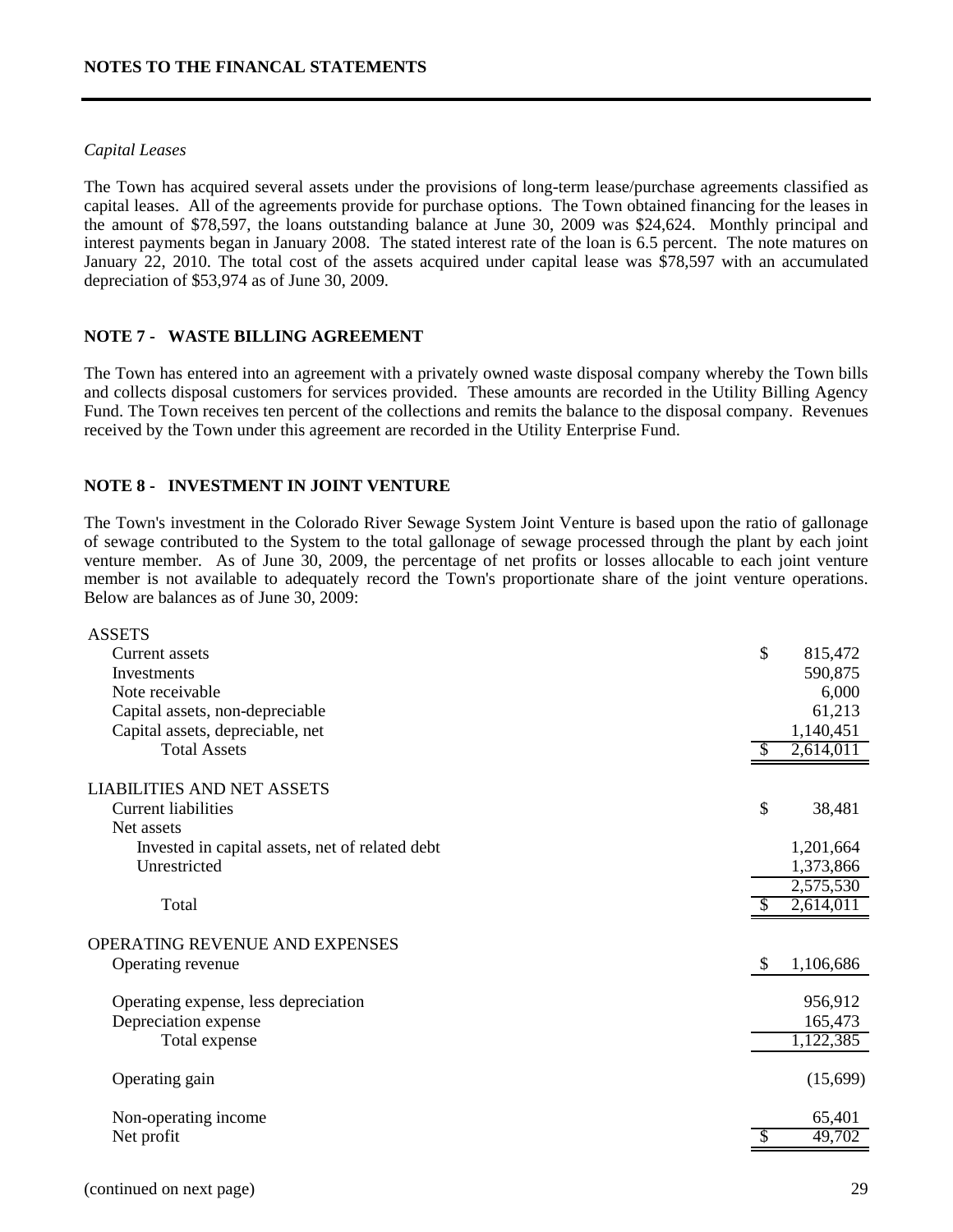#### *Capital Leases*

The Town has acquired several assets under the provisions of long-term lease/purchase agreements classified as capital leases. All of the agreements provide for purchase options. The Town obtained financing for the leases in the amount of \$78,597, the loans outstanding balance at June 30, 2009 was \$24,624. Monthly principal and interest payments began in January 2008. The stated interest rate of the loan is 6.5 percent. The note matures on January 22, 2010. The total cost of the assets acquired under capital lease was \$78,597 with an accumulated depreciation of \$53,974 as of June 30, 2009.

#### **NOTE 7 - WASTE BILLING AGREEMENT**

The Town has entered into an agreement with a privately owned waste disposal company whereby the Town bills and collects disposal customers for services provided. These amounts are recorded in the Utility Billing Agency Fund. The Town receives ten percent of the collections and remits the balance to the disposal company. Revenues received by the Town under this agreement are recorded in the Utility Enterprise Fund.

#### **NOTE 8 - INVESTMENT IN JOINT VENTURE**

The Town's investment in the Colorado River Sewage System Joint Venture is based upon the ratio of gallonage of sewage contributed to the System to the total gallonage of sewage processed through the plant by each joint venture member. As of June 30, 2009, the percentage of net profits or losses allocable to each joint venture member is not available to adequately record the Town's proportionate share of the joint venture operations. Below are balances as of June 30, 2009:

| <b>ASSETS</b>                                   |                 |
|-------------------------------------------------|-----------------|
| Current assets                                  | \$<br>815,472   |
| Investments                                     | 590,875         |
| Note receivable                                 | 6,000           |
| Capital assets, non-depreciable                 | 61,213          |
| Capital assets, depreciable, net                | 1,140,451       |
| <b>Total Assets</b>                             | 2,614,011       |
| <b>LIABILITIES AND NET ASSETS</b>               |                 |
| <b>Current liabilities</b>                      | \$<br>38,481    |
| Net assets                                      |                 |
| Invested in capital assets, net of related debt | 1,201,664       |
| Unrestricted                                    | 1,373,866       |
|                                                 | 2,575,530       |
| Total                                           | 2,614,011       |
| OPERATING REVENUE AND EXPENSES                  |                 |
| Operating revenue                               | \$<br>1,106,686 |
| Operating expense, less depreciation            | 956,912         |
| Depreciation expense                            | 165,473         |
| Total expense                                   | 1,122,385       |
| Operating gain                                  | (15,699)        |
| Non-operating income                            | 65,401          |
| Net profit                                      | 49,702          |
|                                                 |                 |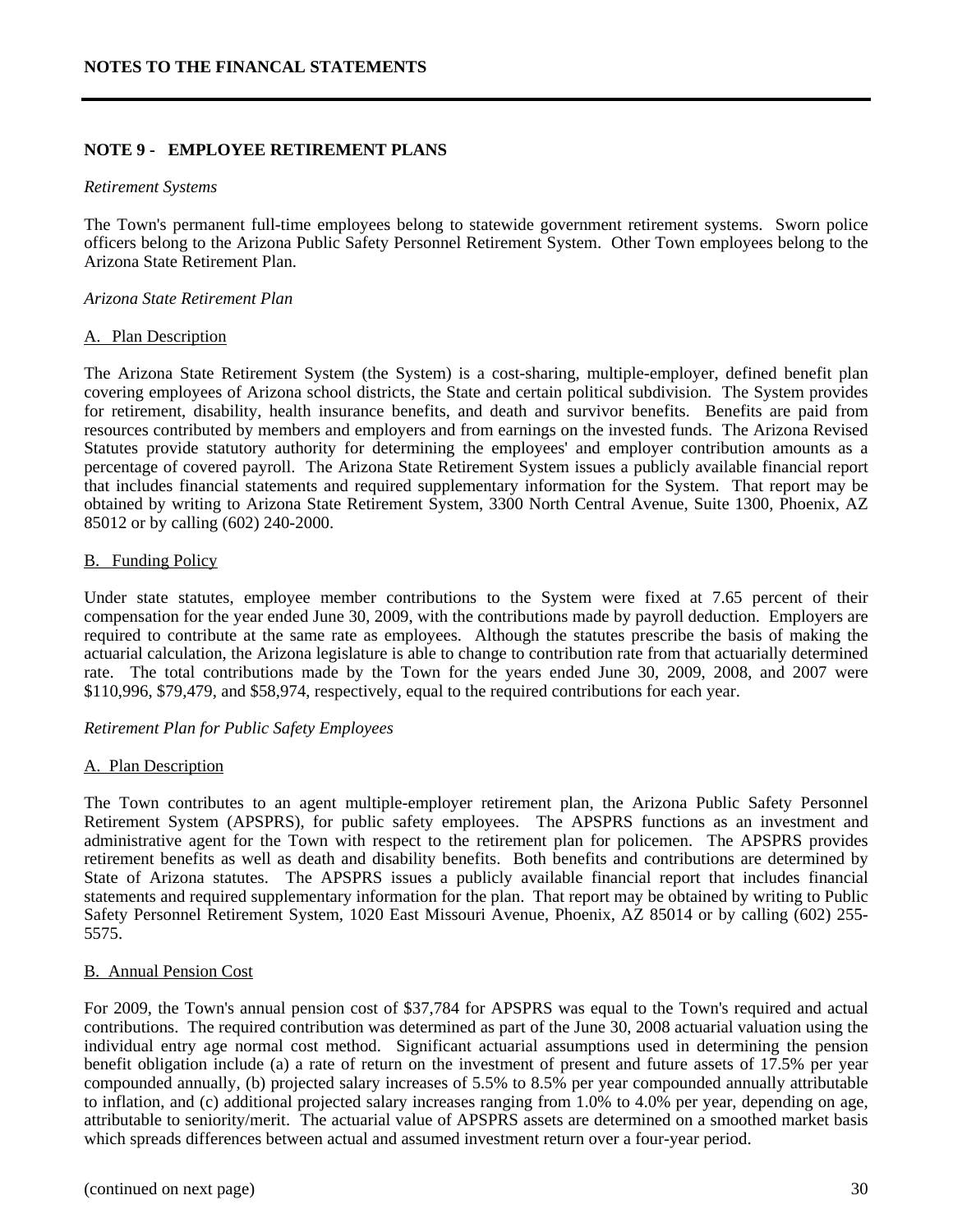#### **NOTE 9 - EMPLOYEE RETIREMENT PLANS**

#### *Retirement Systems*

The Town's permanent full-time employees belong to statewide government retirement systems. Sworn police officers belong to the Arizona Public Safety Personnel Retirement System. Other Town employees belong to the Arizona State Retirement Plan.

#### *Arizona State Retirement Plan*

#### A. Plan Description

The Arizona State Retirement System (the System) is a cost-sharing, multiple-employer, defined benefit plan covering employees of Arizona school districts, the State and certain political subdivision. The System provides for retirement, disability, health insurance benefits, and death and survivor benefits. Benefits are paid from resources contributed by members and employers and from earnings on the invested funds. The Arizona Revised Statutes provide statutory authority for determining the employees' and employer contribution amounts as a percentage of covered payroll. The Arizona State Retirement System issues a publicly available financial report that includes financial statements and required supplementary information for the System. That report may be obtained by writing to Arizona State Retirement System, 3300 North Central Avenue, Suite 1300, Phoenix, AZ 85012 or by calling (602) 240-2000.

#### B. Funding Policy

Under state statutes, employee member contributions to the System were fixed at 7.65 percent of their compensation for the year ended June 30, 2009, with the contributions made by payroll deduction. Employers are required to contribute at the same rate as employees. Although the statutes prescribe the basis of making the actuarial calculation, the Arizona legislature is able to change to contribution rate from that actuarially determined rate. The total contributions made by the Town for the years ended June 30, 2009, 2008, and 2007 were \$110,996, \$79,479, and \$58,974, respectively, equal to the required contributions for each year.

#### *Retirement Plan for Public Safety Employees*

#### A. Plan Description

The Town contributes to an agent multiple-employer retirement plan, the Arizona Public Safety Personnel Retirement System (APSPRS), for public safety employees. The APSPRS functions as an investment and administrative agent for the Town with respect to the retirement plan for policemen. The APSPRS provides retirement benefits as well as death and disability benefits. Both benefits and contributions are determined by State of Arizona statutes. The APSPRS issues a publicly available financial report that includes financial statements and required supplementary information for the plan. That report may be obtained by writing to Public Safety Personnel Retirement System, 1020 East Missouri Avenue, Phoenix, AZ 85014 or by calling (602) 255- 5575.

#### B. Annual Pension Cost

For 2009, the Town's annual pension cost of \$37,784 for APSPRS was equal to the Town's required and actual contributions. The required contribution was determined as part of the June 30, 2008 actuarial valuation using the individual entry age normal cost method. Significant actuarial assumptions used in determining the pension benefit obligation include (a) a rate of return on the investment of present and future assets of 17.5% per year compounded annually, (b) projected salary increases of 5.5% to 8.5% per year compounded annually attributable to inflation, and (c) additional projected salary increases ranging from 1.0% to 4.0% per year, depending on age, attributable to seniority/merit. The actuarial value of APSPRS assets are determined on a smoothed market basis which spreads differences between actual and assumed investment return over a four-year period.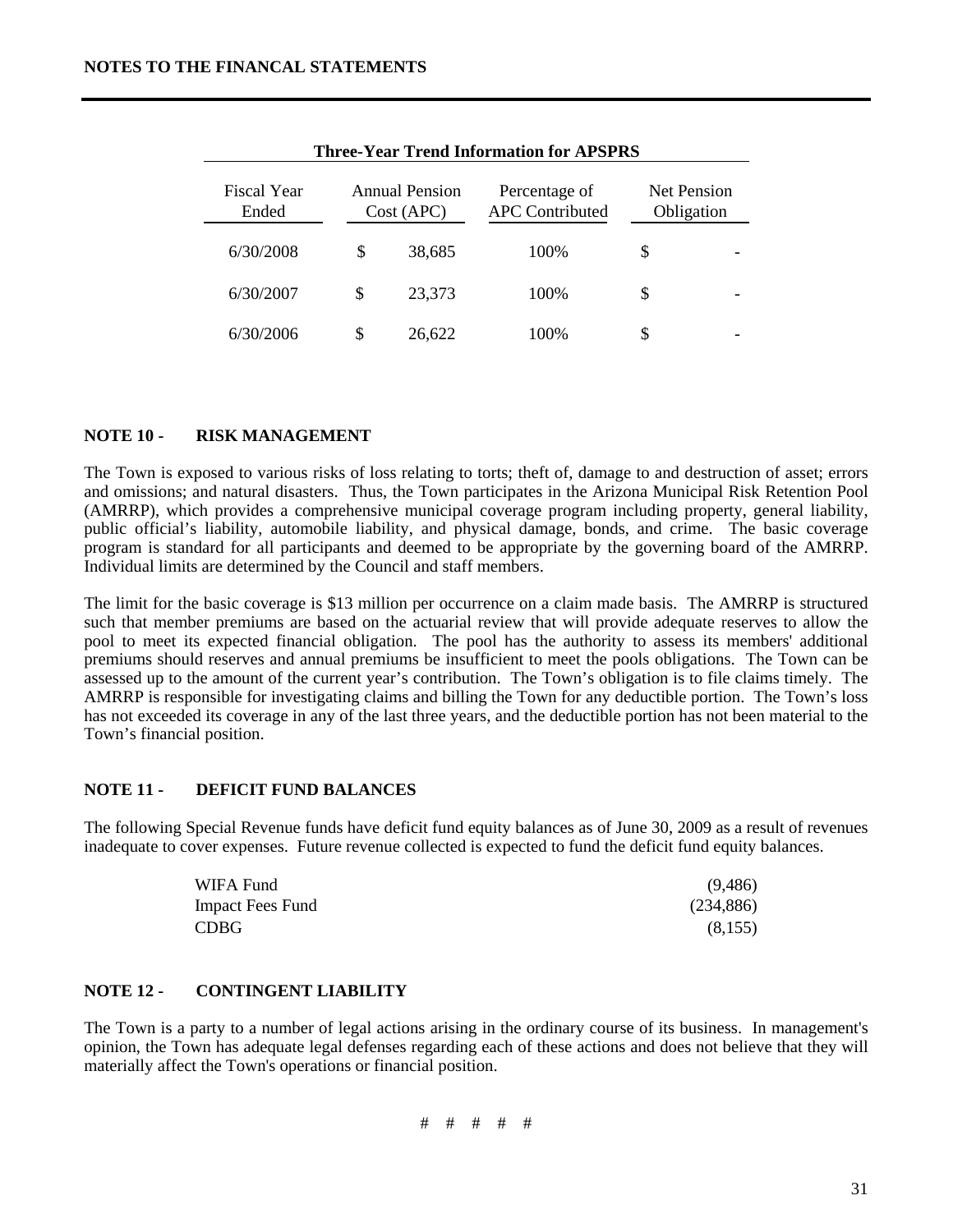|                                                             |    |        | THE C-Teat Treng Hilbringhon for AT 51 KG |                                  |  |  |
|-------------------------------------------------------------|----|--------|-------------------------------------------|----------------------------------|--|--|
| <b>Annual Pension</b><br>Fiscal Year<br>Ended<br>Cost (APC) |    |        | Percentage of<br><b>APC</b> Contributed   | <b>Net Pension</b><br>Obligation |  |  |
| 6/30/2008                                                   | \$ | 38,685 | 100%                                      | \$                               |  |  |
| 6/30/2007                                                   | \$ | 23,373 | 100%                                      | \$                               |  |  |
| 6/30/2006                                                   | S  | 26,622 | 100%                                      | S                                |  |  |

**Three-Year Trend Information for APSPRS**

## **NOTE 10 - RISK MANAGEMENT**

The Town is exposed to various risks of loss relating to torts; theft of, damage to and destruction of asset; errors and omissions; and natural disasters. Thus, the Town participates in the Arizona Municipal Risk Retention Pool (AMRRP), which provides a comprehensive municipal coverage program including property, general liability, public official's liability, automobile liability, and physical damage, bonds, and crime. The basic coverage program is standard for all participants and deemed to be appropriate by the governing board of the AMRRP. Individual limits are determined by the Council and staff members.

The limit for the basic coverage is \$13 million per occurrence on a claim made basis. The AMRRP is structured such that member premiums are based on the actuarial review that will provide adequate reserves to allow the pool to meet its expected financial obligation. The pool has the authority to assess its members' additional premiums should reserves and annual premiums be insufficient to meet the pools obligations. The Town can be assessed up to the amount of the current year's contribution. The Town's obligation is to file claims timely. The AMRRP is responsible for investigating claims and billing the Town for any deductible portion. The Town's loss has not exceeded its coverage in any of the last three years, and the deductible portion has not been material to the Town's financial position.

#### **NOTE 11 - DEFICIT FUND BALANCES**

The following Special Revenue funds have deficit fund equity balances as of June 30, 2009 as a result of revenues inadequate to cover expenses. Future revenue collected is expected to fund the deficit fund equity balances.

| WIFA Fund               | (9,486)    |
|-------------------------|------------|
| <b>Impact Fees Fund</b> | (234, 886) |
| <b>CDBG</b>             | (8,155)    |

#### **NOTE 12 - CONTINGENT LIABILITY**

The Town is a party to a number of legal actions arising in the ordinary course of its business. In management's opinion, the Town has adequate legal defenses regarding each of these actions and does not believe that they will materially affect the Town's operations or financial position.

# # # # #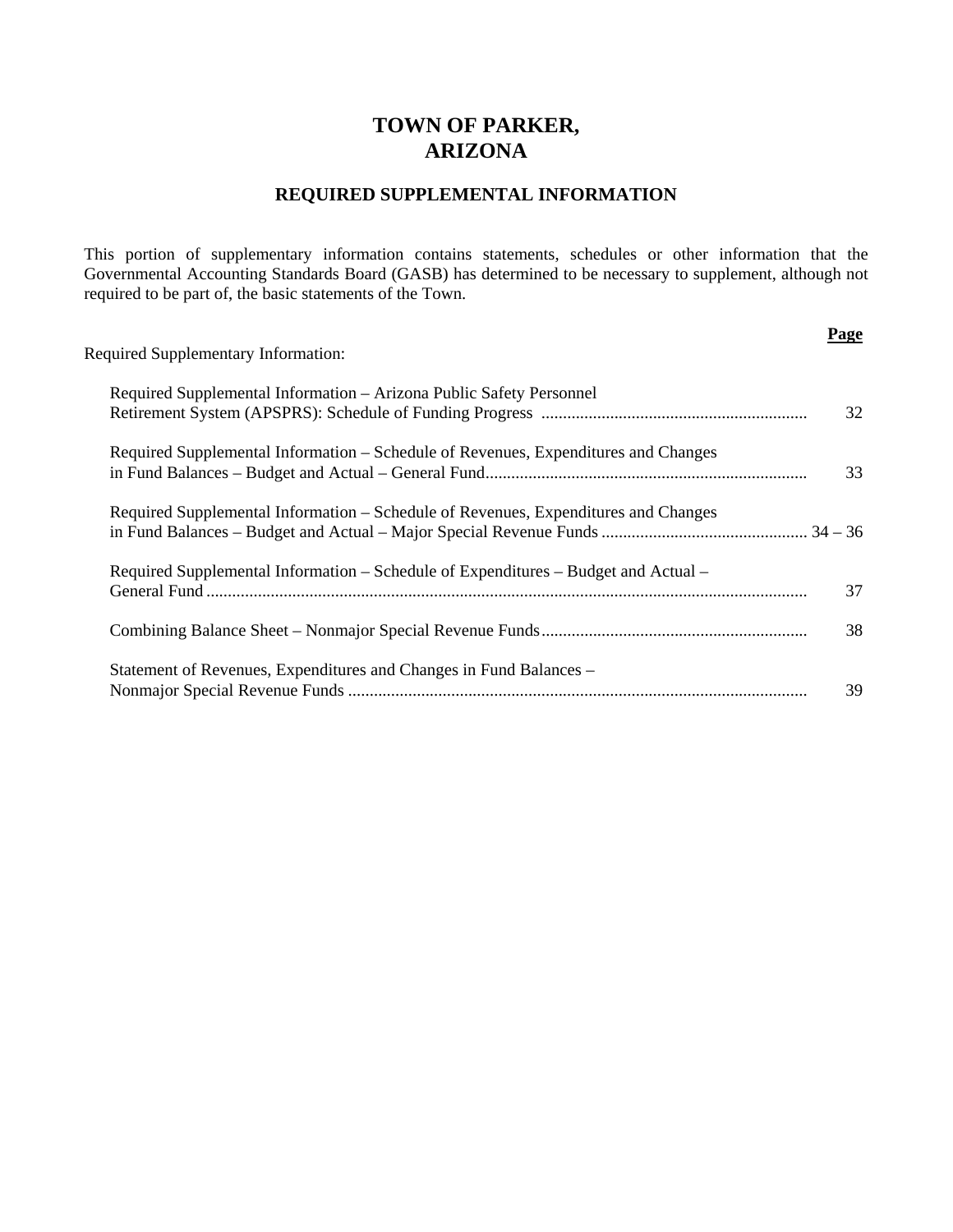# **TOWN OF PARKER, ARIZONA**

# **REQUIRED SUPPLEMENTAL INFORMATION**

This portion of supplementary information contains statements, schedules or other information that the Governmental Accounting Standards Board (GASB) has determined to be necessary to supplement, although not required to be part of, the basic statements of the Town.

| <b>Required Supplementary Information:</b>                                         | Page |
|------------------------------------------------------------------------------------|------|
| Required Supplemental Information - Arizona Public Safety Personnel                | 32   |
| Required Supplemental Information – Schedule of Revenues, Expenditures and Changes | 33   |
| Required Supplemental Information – Schedule of Revenues, Expenditures and Changes |      |
| Required Supplemental Information – Schedule of Expenditures – Budget and Actual – | 37   |
|                                                                                    | 38   |
| Statement of Revenues, Expenditures and Changes in Fund Balances –                 | 39   |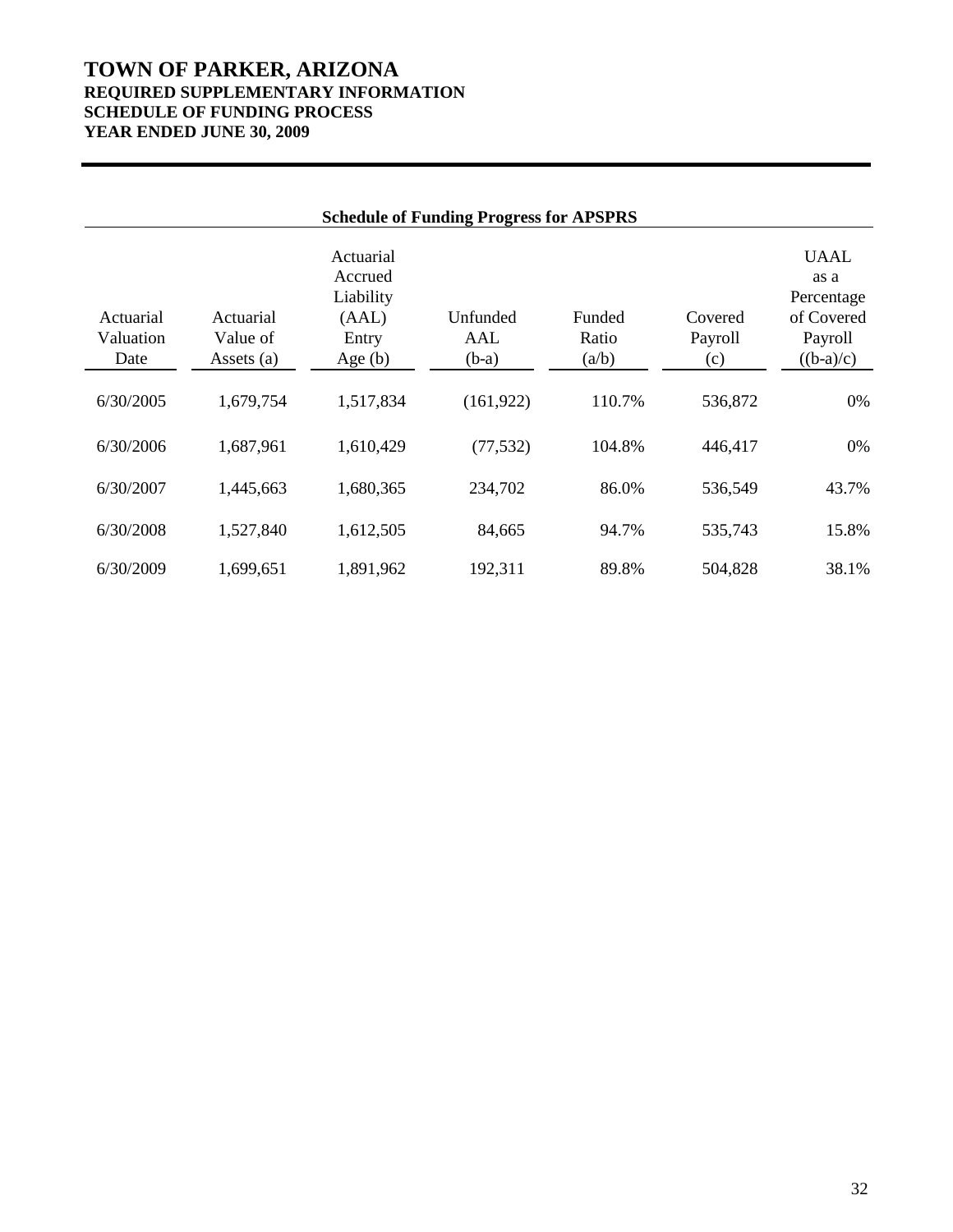# **TOWN OF PARKER, ARIZONA REQUIRED SUPPLEMENTARY INFORMATION SCHEDULE OF FUNDING PROCESS YEAR ENDED JUNE 30, 2009**

| <b>Schedule of Funding Progress for APSPRS</b> |                                     |                                                                  |                            |                          |                           |                                                                           |  |  |  |  |
|------------------------------------------------|-------------------------------------|------------------------------------------------------------------|----------------------------|--------------------------|---------------------------|---------------------------------------------------------------------------|--|--|--|--|
| Actuarial<br>Valuation<br>Date                 | Actuarial<br>Value of<br>Assets (a) | Actuarial<br>Accrued<br>Liability<br>(AAL)<br>Entry<br>Age $(b)$ | Unfunded<br>AAL<br>$(b-a)$ | Funded<br>Ratio<br>(a/b) | Covered<br>Payroll<br>(c) | <b>UAAL</b><br>as a<br>Percentage<br>of Covered<br>Payroll<br>$((b-a)/c)$ |  |  |  |  |
| 6/30/2005                                      | 1,679,754                           | 1,517,834                                                        | (161, 922)                 | 110.7%                   | 536,872                   | 0%                                                                        |  |  |  |  |
| 6/30/2006                                      | 1,687,961                           | 1,610,429                                                        | (77, 532)                  | 104.8%                   | 446,417                   | 0%                                                                        |  |  |  |  |
| 6/30/2007                                      | 1,445,663                           | 1,680,365                                                        | 234,702                    | 86.0%                    | 536,549                   | 43.7%                                                                     |  |  |  |  |
| 6/30/2008                                      | 1,527,840                           | 1,612,505                                                        | 84,665                     | 94.7%                    | 535,743                   | 15.8%                                                                     |  |  |  |  |
| 6/30/2009                                      | 1,699,651                           | 1,891,962                                                        | 192,311                    | 89.8%                    | 504,828                   | 38.1%                                                                     |  |  |  |  |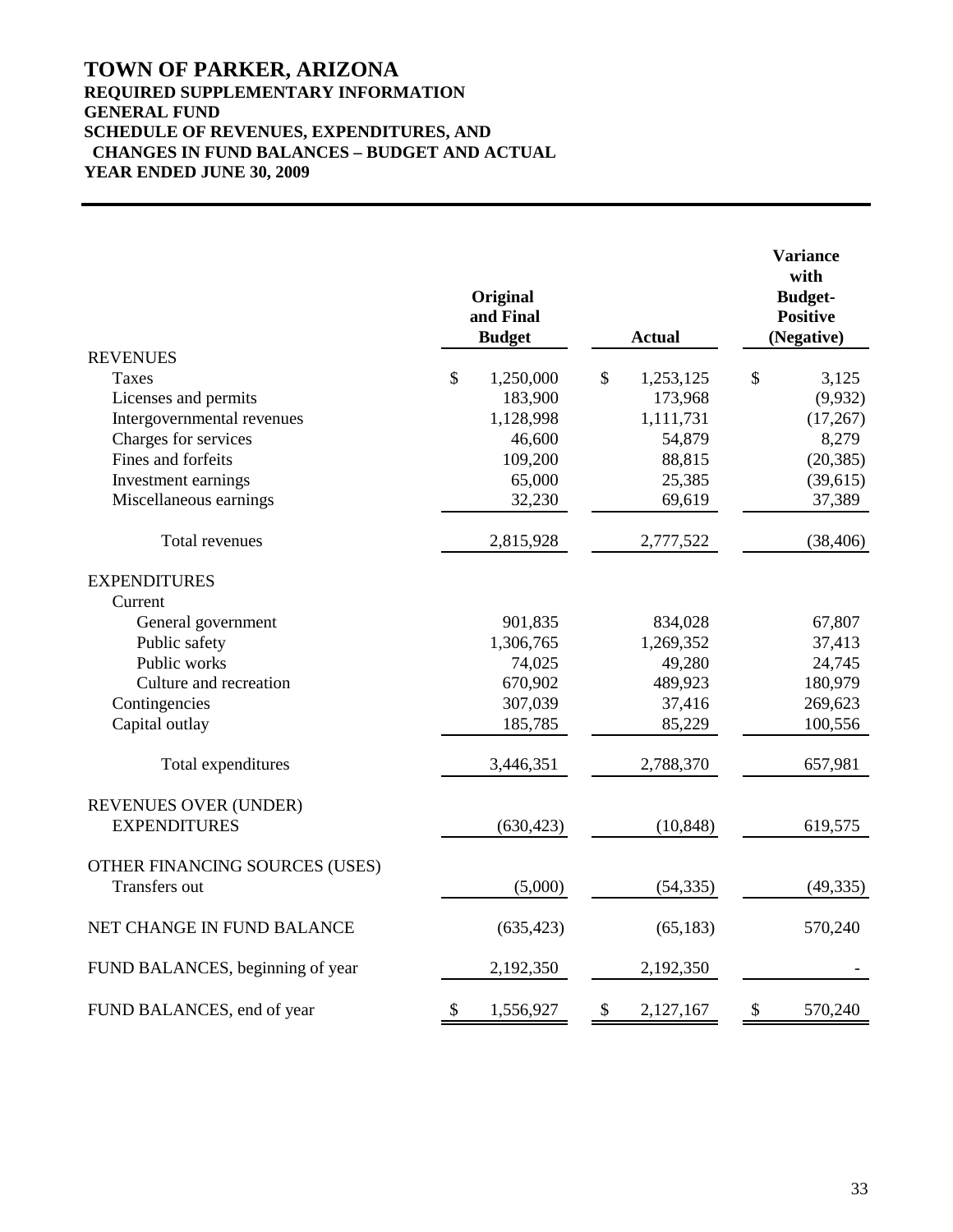# **TOWN OF PARKER, ARIZONA REQUIRED SUPPLEMENTARY INFORMATION GENERAL FUND SCHEDULE OF REVENUES, EXPENDITURES, AND CHANGES IN FUND BALANCES – BUDGET AND ACTUAL YEAR ENDED JUNE 30, 2009**

|                                  |              | Original<br>and Final<br><b>Budget</b> |               | <b>Actual</b> | <b>Variance</b><br>with<br><b>Budget-</b><br><b>Positive</b><br>(Negative) |           |  |
|----------------------------------|--------------|----------------------------------------|---------------|---------------|----------------------------------------------------------------------------|-----------|--|
| <b>REVENUES</b>                  |              |                                        |               |               |                                                                            |           |  |
| Taxes                            | $\mathbb{S}$ | 1,250,000                              | $\mathcal{S}$ | 1,253,125     | \$                                                                         | 3,125     |  |
| Licenses and permits             |              | 183,900                                |               | 173,968       |                                                                            | (9,932)   |  |
| Intergovernmental revenues       |              | 1,128,998                              |               | 1,111,731     |                                                                            | (17,267)  |  |
| Charges for services             |              | 46,600                                 |               | 54,879        |                                                                            | 8,279     |  |
| Fines and forfeits               |              | 109,200                                |               | 88,815        |                                                                            | (20, 385) |  |
| Investment earnings              |              | 65,000                                 |               | 25,385        |                                                                            | (39,615)  |  |
| Miscellaneous earnings           |              | 32,230                                 |               | 69,619        |                                                                            | 37,389    |  |
| Total revenues                   |              | 2,815,928                              |               | 2,777,522     |                                                                            | (38, 406) |  |
| <b>EXPENDITURES</b>              |              |                                        |               |               |                                                                            |           |  |
| Current                          |              |                                        |               |               |                                                                            |           |  |
| General government               |              | 901,835                                |               | 834,028       |                                                                            | 67,807    |  |
| Public safety                    |              | 1,306,765                              |               | 1,269,352     |                                                                            | 37,413    |  |
| Public works                     |              | 74,025                                 |               | 49,280        |                                                                            | 24,745    |  |
| Culture and recreation           |              | 670,902                                |               | 489,923       |                                                                            | 180,979   |  |
| Contingencies                    |              | 307,039                                |               | 37,416        |                                                                            | 269,623   |  |
| Capital outlay                   |              | 185,785                                |               | 85,229        |                                                                            | 100,556   |  |
| Total expenditures               |              | 3,446,351                              |               | 2,788,370     |                                                                            | 657,981   |  |
| REVENUES OVER (UNDER)            |              |                                        |               |               |                                                                            |           |  |
| <b>EXPENDITURES</b>              |              | (630, 423)                             |               | (10, 848)     |                                                                            | 619,575   |  |
| OTHER FINANCING SOURCES (USES)   |              |                                        |               |               |                                                                            |           |  |
| Transfers out                    |              | (5,000)                                |               | (54, 335)     |                                                                            | (49, 335) |  |
| NET CHANGE IN FUND BALANCE       |              | (635, 423)                             |               | (65, 183)     |                                                                            | 570,240   |  |
| FUND BALANCES, beginning of year |              | 2,192,350                              |               | 2,192,350     |                                                                            |           |  |
| FUND BALANCES, end of year       | \$           | 1,556,927                              | \$            | 2,127,167     | \$                                                                         | 570,240   |  |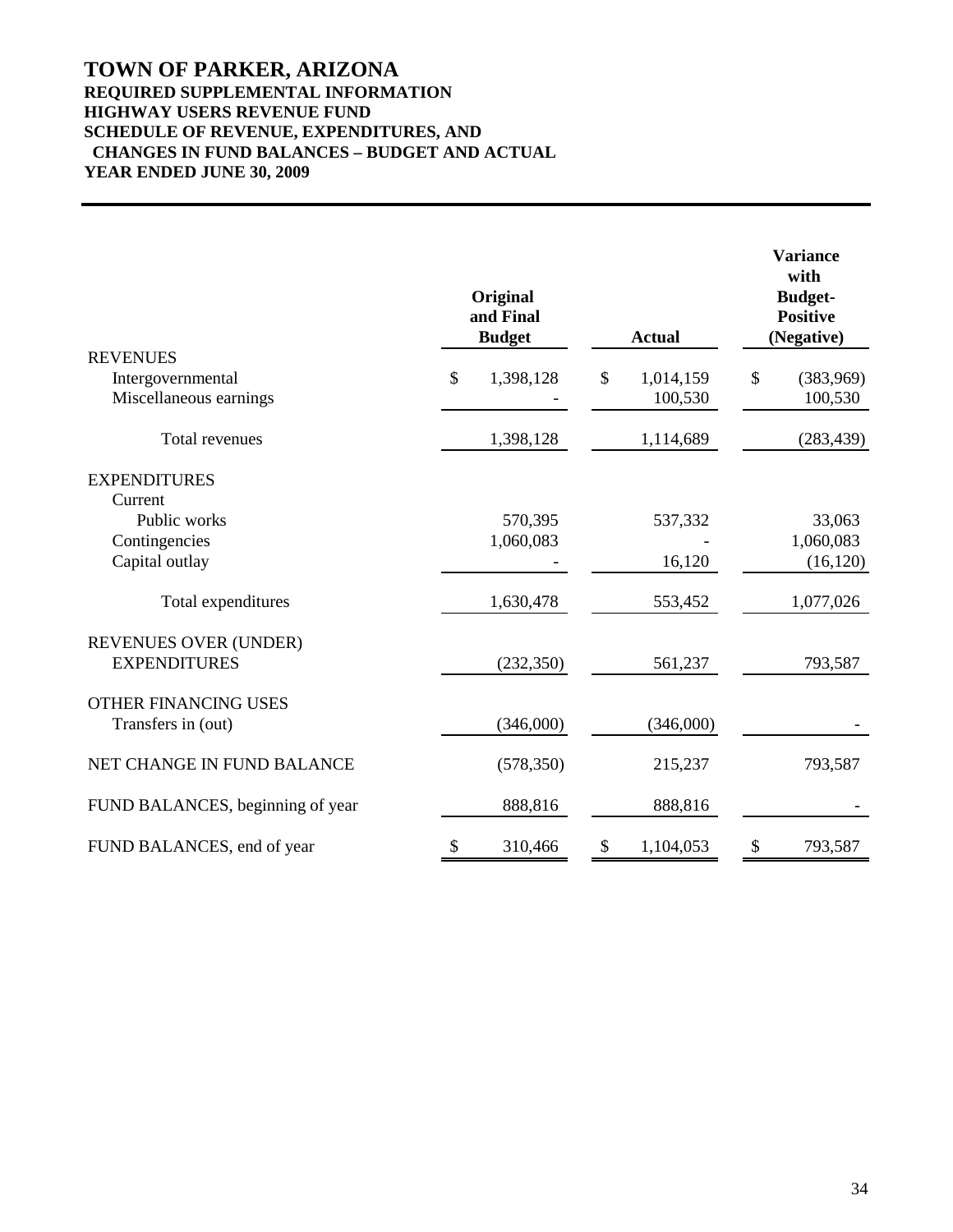# **TOWN OF PARKER, ARIZONA REQUIRED SUPPLEMENTAL INFORMATION HIGHWAY USERS REVENUE FUND SCHEDULE OF REVENUE, EXPENDITURES, AND CHANGES IN FUND BALANCES – BUDGET AND ACTUAL YEAR ENDED JUNE 30, 2009**

|                                  | Original<br>and Final<br><b>Budget</b> | <b>Actual</b>   | <b>Variance</b><br>with<br><b>Budget-</b><br><b>Positive</b><br>(Negative) |            |  |
|----------------------------------|----------------------------------------|-----------------|----------------------------------------------------------------------------|------------|--|
| <b>REVENUES</b>                  |                                        |                 |                                                                            |            |  |
| Intergovernmental                | \$<br>1,398,128                        | \$<br>1,014,159 | \$                                                                         | (383,969)  |  |
| Miscellaneous earnings           |                                        | 100,530         |                                                                            | 100,530    |  |
| Total revenues                   | 1,398,128                              | 1,114,689       |                                                                            | (283, 439) |  |
| <b>EXPENDITURES</b>              |                                        |                 |                                                                            |            |  |
| Current                          |                                        |                 |                                                                            |            |  |
| Public works                     | 570,395                                | 537,332         |                                                                            | 33,063     |  |
| Contingencies                    | 1,060,083                              |                 |                                                                            | 1,060,083  |  |
| Capital outlay                   |                                        | 16,120          |                                                                            | (16, 120)  |  |
| Total expenditures               | 1,630,478                              | 553,452         |                                                                            | 1,077,026  |  |
| REVENUES OVER (UNDER)            |                                        |                 |                                                                            |            |  |
| <b>EXPENDITURES</b>              | (232, 350)                             | 561,237         |                                                                            | 793,587    |  |
| <b>OTHER FINANCING USES</b>      |                                        |                 |                                                                            |            |  |
| Transfers in (out)               | (346,000)                              | (346,000)       |                                                                            |            |  |
| NET CHANGE IN FUND BALANCE       | (578, 350)                             | 215,237         |                                                                            | 793,587    |  |
| FUND BALANCES, beginning of year | 888,816                                | 888,816         |                                                                            |            |  |
| FUND BALANCES, end of year       | \$<br>310,466                          | \$<br>1,104,053 | \$                                                                         | 793,587    |  |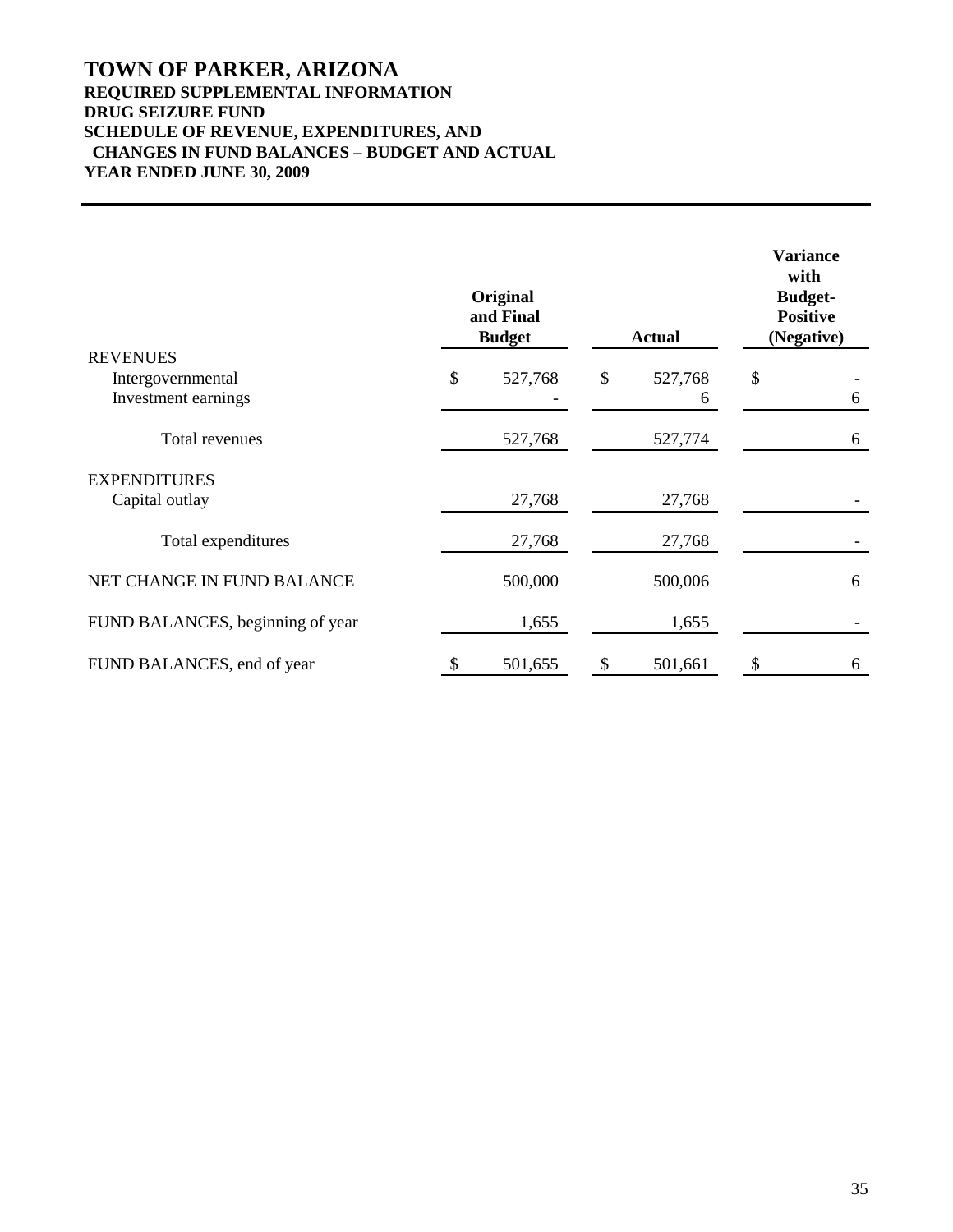# **TOWN OF PARKER, ARIZONA REQUIRED SUPPLEMENTAL INFORMATION DRUG SEIZURE FUND SCHEDULE OF REVENUE, EXPENDITURES, AND CHANGES IN FUND BALANCES – BUDGET AND ACTUAL YEAR ENDED JUNE 30, 2009**

|                                  | Original<br>and Final<br><b>Budget</b> |         |    | <b>Actual</b> | <b>Variance</b><br>with<br><b>Budget-</b><br><b>Positive</b><br>(Negative) |   |
|----------------------------------|----------------------------------------|---------|----|---------------|----------------------------------------------------------------------------|---|
| <b>REVENUES</b>                  |                                        |         |    |               |                                                                            |   |
| Intergovernmental                | \$                                     | 527,768 | \$ | 527,768       | \$                                                                         |   |
| Investment earnings              |                                        |         |    | 6             |                                                                            | 6 |
| Total revenues                   |                                        | 527,768 |    | 527,774       |                                                                            | 6 |
| <b>EXPENDITURES</b>              |                                        |         |    |               |                                                                            |   |
| Capital outlay                   |                                        | 27,768  |    | 27,768        |                                                                            |   |
| Total expenditures               |                                        | 27,768  |    | 27,768        |                                                                            |   |
| NET CHANGE IN FUND BALANCE       |                                        | 500,000 |    | 500,006       |                                                                            | 6 |
| FUND BALANCES, beginning of year |                                        | 1,655   |    | 1,655         |                                                                            |   |
| FUND BALANCES, end of year       |                                        | 501,655 |    | 501,661       | \$                                                                         | 6 |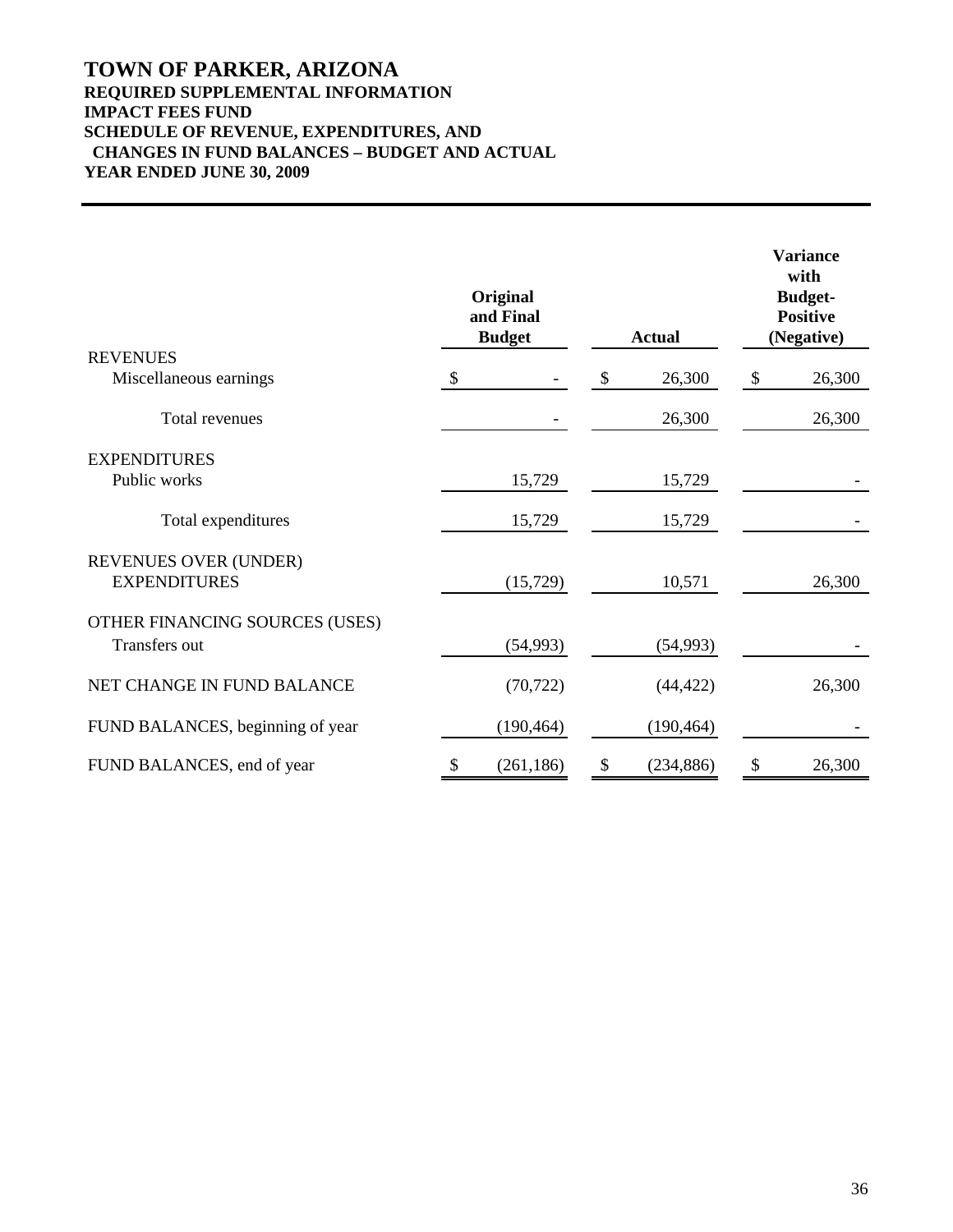# **TOWN OF PARKER, ARIZONA REQUIRED SUPPLEMENTAL INFORMATION IMPACT FEES FUND SCHEDULE OF REVENUE, EXPENDITURES, AND CHANGES IN FUND BALANCES – BUDGET AND ACTUAL YEAR ENDED JUNE 30, 2009**

|                                                 |               | Original<br>and Final<br><b>Budget</b> | <b>Actual</b>    | <b>Variance</b><br>with<br><b>Budget-</b><br><b>Positive</b><br>(Negative) |        |  |
|-------------------------------------------------|---------------|----------------------------------------|------------------|----------------------------------------------------------------------------|--------|--|
| <b>REVENUES</b><br>Miscellaneous earnings       | $\mathcal{S}$ |                                        | \$<br>26,300     | $\boldsymbol{\mathsf{S}}$                                                  | 26,300 |  |
| Total revenues                                  |               |                                        | 26,300           |                                                                            | 26,300 |  |
| <b>EXPENDITURES</b>                             |               |                                        |                  |                                                                            |        |  |
| Public works                                    |               | 15,729                                 | 15,729           |                                                                            |        |  |
| Total expenditures                              |               | 15,729                                 | 15,729           |                                                                            |        |  |
| REVENUES OVER (UNDER)<br><b>EXPENDITURES</b>    |               | (15, 729)                              | 10,571           |                                                                            | 26,300 |  |
| OTHER FINANCING SOURCES (USES)<br>Transfers out |               | (54, 993)                              | (54, 993)        |                                                                            |        |  |
| NET CHANGE IN FUND BALANCE                      |               | (70, 722)                              | (44, 422)        |                                                                            | 26,300 |  |
| FUND BALANCES, beginning of year                |               | (190, 464)                             | (190, 464)       |                                                                            |        |  |
| FUND BALANCES, end of year                      | \$            | (261, 186)                             | \$<br>(234, 886) | \$                                                                         | 26,300 |  |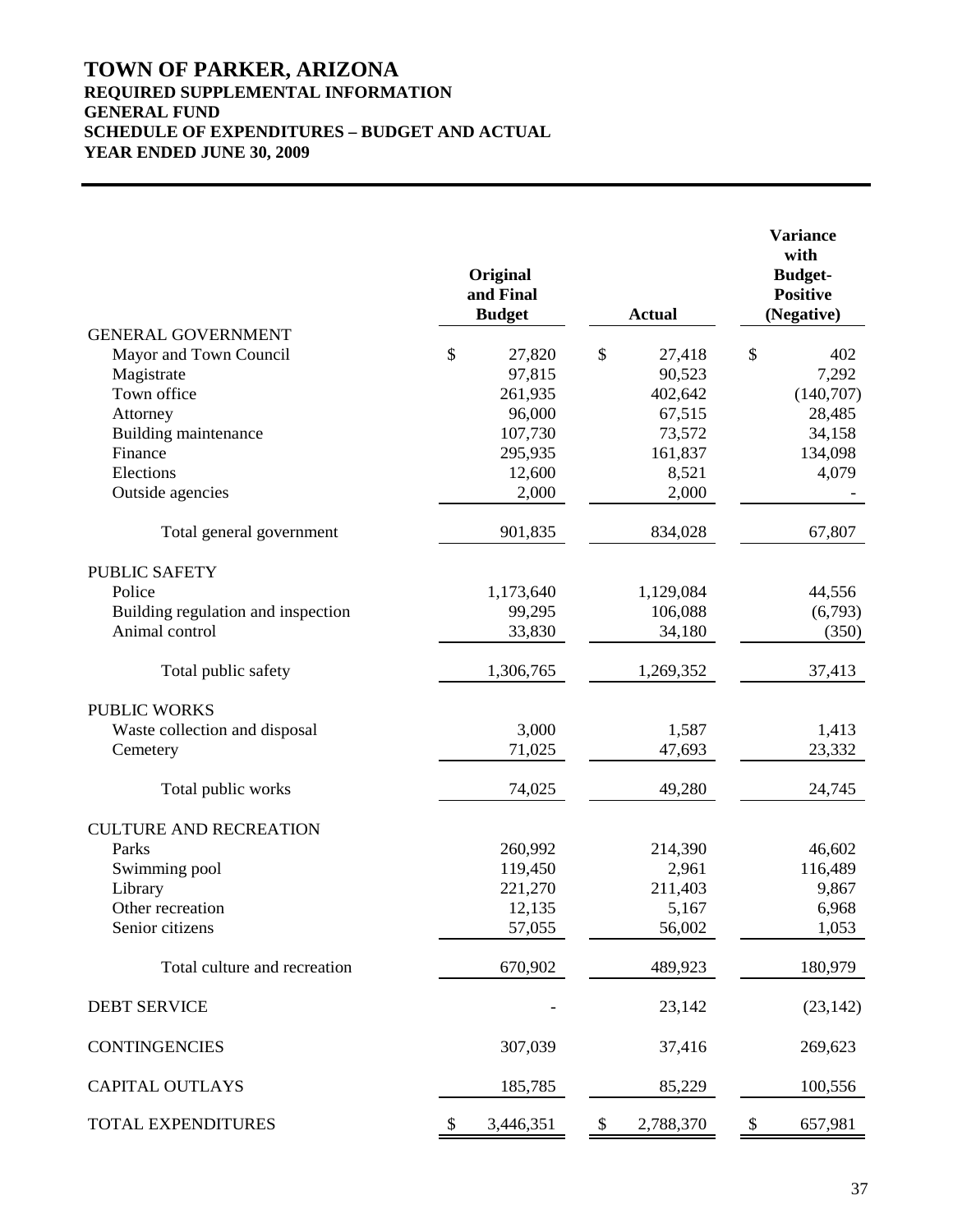# **TOWN OF PARKER, ARIZONA REQUIRED SUPPLEMENTAL INFORMATION GENERAL FUND SCHEDULE OF EXPENDITURES – BUDGET AND ACTUAL YEAR ENDED JUNE 30, 2009**

|                                                     | Original<br>and Final<br><b>Budget</b> |           | <b>Actual</b>   |       | <b>Variance</b><br>with<br><b>Budget-</b><br><b>Positive</b><br>(Negative) |           |  |  |
|-----------------------------------------------------|----------------------------------------|-----------|-----------------|-------|----------------------------------------------------------------------------|-----------|--|--|
| <b>GENERAL GOVERNMENT</b><br>Mayor and Town Council | \$                                     | 27,820    | \$<br>27,418    |       | \$                                                                         | 402       |  |  |
| Magistrate                                          |                                        | 97,815    | 90,523          |       |                                                                            | 7,292     |  |  |
| Town office                                         |                                        | 261,935   | 402,642         |       |                                                                            | (140,707) |  |  |
| Attorney                                            |                                        | 96,000    | 67,515          |       |                                                                            | 28,485    |  |  |
| Building maintenance                                |                                        | 107,730   | 73,572          |       |                                                                            | 34,158    |  |  |
| Finance                                             |                                        | 295,935   | 161,837         |       |                                                                            | 134,098   |  |  |
| Elections                                           |                                        | 12,600    |                 | 8,521 |                                                                            | 4,079     |  |  |
| Outside agencies                                    |                                        | 2,000     |                 | 2,000 |                                                                            |           |  |  |
| Total general government                            |                                        | 901,835   | 834,028         |       |                                                                            | 67,807    |  |  |
| <b>PUBLIC SAFETY</b>                                |                                        |           |                 |       |                                                                            |           |  |  |
| Police                                              |                                        | 1,173,640 | 1,129,084       |       |                                                                            | 44,556    |  |  |
| Building regulation and inspection                  |                                        | 99,295    | 106,088         |       |                                                                            | (6,793)   |  |  |
| Animal control                                      |                                        | 33,830    | 34,180          |       |                                                                            | (350)     |  |  |
| Total public safety                                 |                                        | 1,306,765 | 1,269,352       |       |                                                                            | 37,413    |  |  |
| <b>PUBLIC WORKS</b>                                 |                                        |           |                 |       |                                                                            |           |  |  |
| Waste collection and disposal                       |                                        | 3,000     |                 | 1,587 |                                                                            | 1,413     |  |  |
| Cemetery                                            |                                        | 71,025    | 47,693          |       |                                                                            | 23,332    |  |  |
| Total public works                                  |                                        | 74,025    | 49,280          |       |                                                                            | 24,745    |  |  |
| <b>CULTURE AND RECREATION</b>                       |                                        |           |                 |       |                                                                            |           |  |  |
| Parks                                               |                                        | 260,992   | 214,390         |       |                                                                            | 46,602    |  |  |
| Swimming pool                                       |                                        | 119,450   |                 | 2,961 |                                                                            | 116,489   |  |  |
| Library                                             |                                        | 221,270   | 211,403         |       |                                                                            | 9,867     |  |  |
| Other recreation                                    |                                        | 12,135    |                 | 5,167 |                                                                            | 6,968     |  |  |
| Senior citizens                                     |                                        | 57,055    | 56,002          |       |                                                                            | 1,053     |  |  |
| Total culture and recreation                        |                                        | 670,902   | 489,923         |       |                                                                            | 180,979   |  |  |
| <b>DEBT SERVICE</b>                                 |                                        |           | 23,142          |       |                                                                            | (23, 142) |  |  |
| <b>CONTINGENCIES</b>                                |                                        | 307,039   | 37,416          |       |                                                                            | 269,623   |  |  |
| <b>CAPITAL OUTLAYS</b>                              |                                        | 185,785   | 85,229          |       |                                                                            | 100,556   |  |  |
| TOTAL EXPENDITURES                                  | \$                                     | 3,446,351 | \$<br>2,788,370 |       | \$                                                                         | 657,981   |  |  |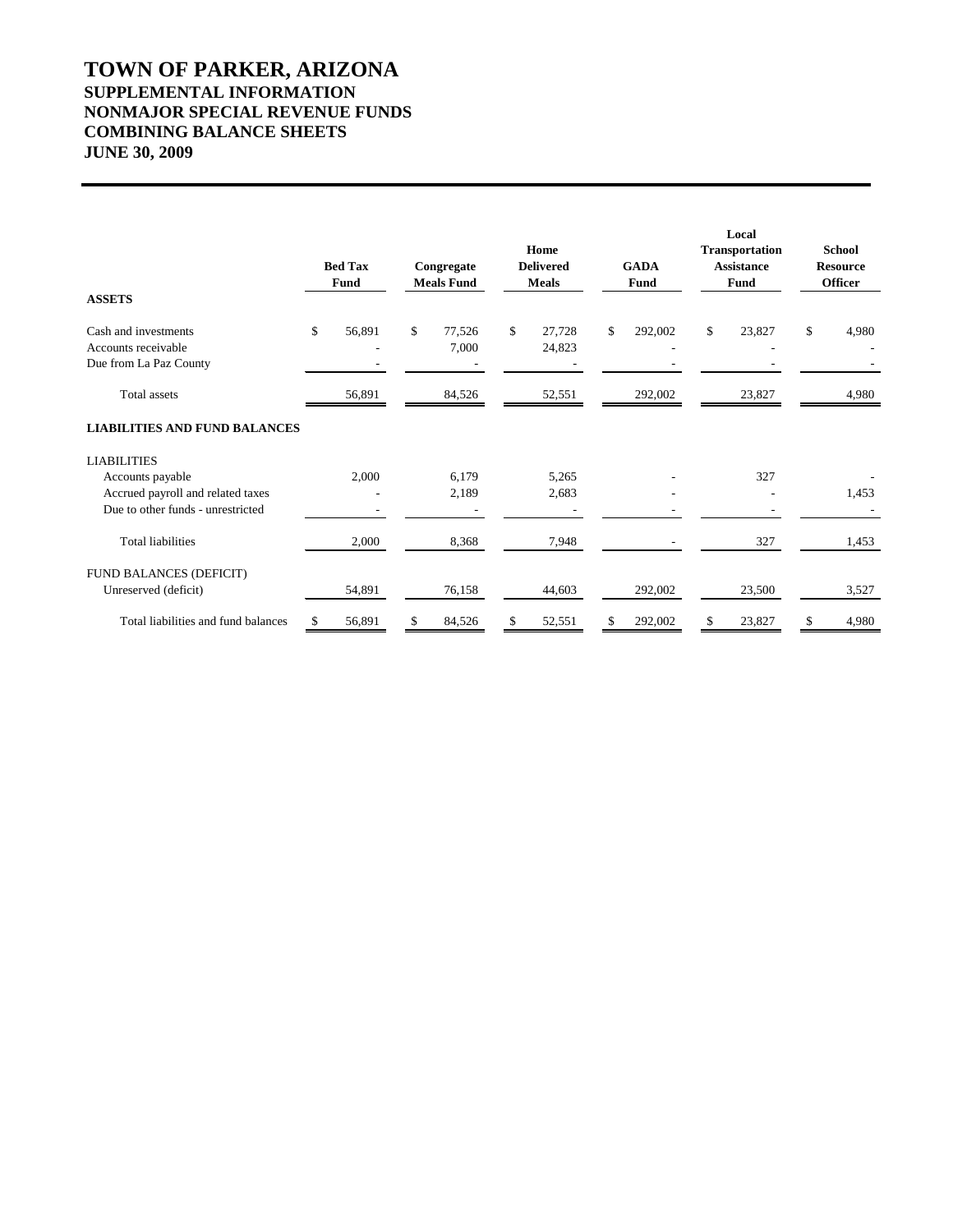# **TOWN OF PARKER, ARIZONA SUPPLEMENTAL INFORMATION NONMAJOR SPECIAL REVENUE FUNDS COMBINING BALANCE SHEETS JUNE 30, 2009**

|                                                                       |    | <b>Bed Tax</b><br>Fund |    | Congregate<br><b>Meals Fund</b> |    | Home<br><b>Delivered</b><br><b>Meals</b> |    | <b>GADA</b><br><b>Fund</b> |    | Local<br><b>Transportation</b><br><b>Assistance</b><br>Fund |    | <b>School</b><br><b>Resource</b><br><b>Officer</b> |
|-----------------------------------------------------------------------|----|------------------------|----|---------------------------------|----|------------------------------------------|----|----------------------------|----|-------------------------------------------------------------|----|----------------------------------------------------|
| <b>ASSETS</b>                                                         |    |                        |    |                                 |    |                                          |    |                            |    |                                                             |    |                                                    |
| Cash and investments<br>Accounts receivable<br>Due from La Paz County | \$ | 56,891                 | \$ | 77,526<br>7,000                 | \$ | 27,728<br>24,823                         | \$ | 292,002                    | \$ | 23,827                                                      | \$ | 4,980                                              |
| Total assets                                                          |    | 56,891                 |    | 84,526                          |    | 52,551                                   |    | 292,002                    |    | 23,827                                                      |    | 4,980                                              |
| <b>LIABILITIES AND FUND BALANCES</b>                                  |    |                        |    |                                 |    |                                          |    |                            |    |                                                             |    |                                                    |
| <b>LIABILITIES</b>                                                    |    |                        |    |                                 |    |                                          |    |                            |    |                                                             |    |                                                    |
| Accounts payable                                                      |    | 2,000                  |    | 6,179                           |    | 5,265                                    |    |                            |    | 327                                                         |    |                                                    |
| Accrued payroll and related taxes                                     |    |                        |    | 2,189                           |    | 2,683                                    |    |                            |    |                                                             |    | 1,453                                              |
| Due to other funds - unrestricted                                     |    |                        |    |                                 |    |                                          |    |                            |    |                                                             |    |                                                    |
| <b>Total liabilities</b>                                              |    | 2,000                  |    | 8,368                           |    | 7,948                                    |    |                            |    | 327                                                         |    | 1,453                                              |
| FUND BALANCES (DEFICIT)                                               |    |                        |    |                                 |    |                                          |    |                            |    |                                                             |    |                                                    |
| Unreserved (deficit)                                                  |    | 54,891                 |    | 76,158                          |    | 44,603                                   |    | 292,002                    |    | 23,500                                                      |    | 3,527                                              |
| Total liabilities and fund balances                                   | \$ | 56,891                 | \$ | 84,526                          | \$ | 52,551                                   | \$ | 292,002                    | \$ | 23,827                                                      | \$ | 4,980                                              |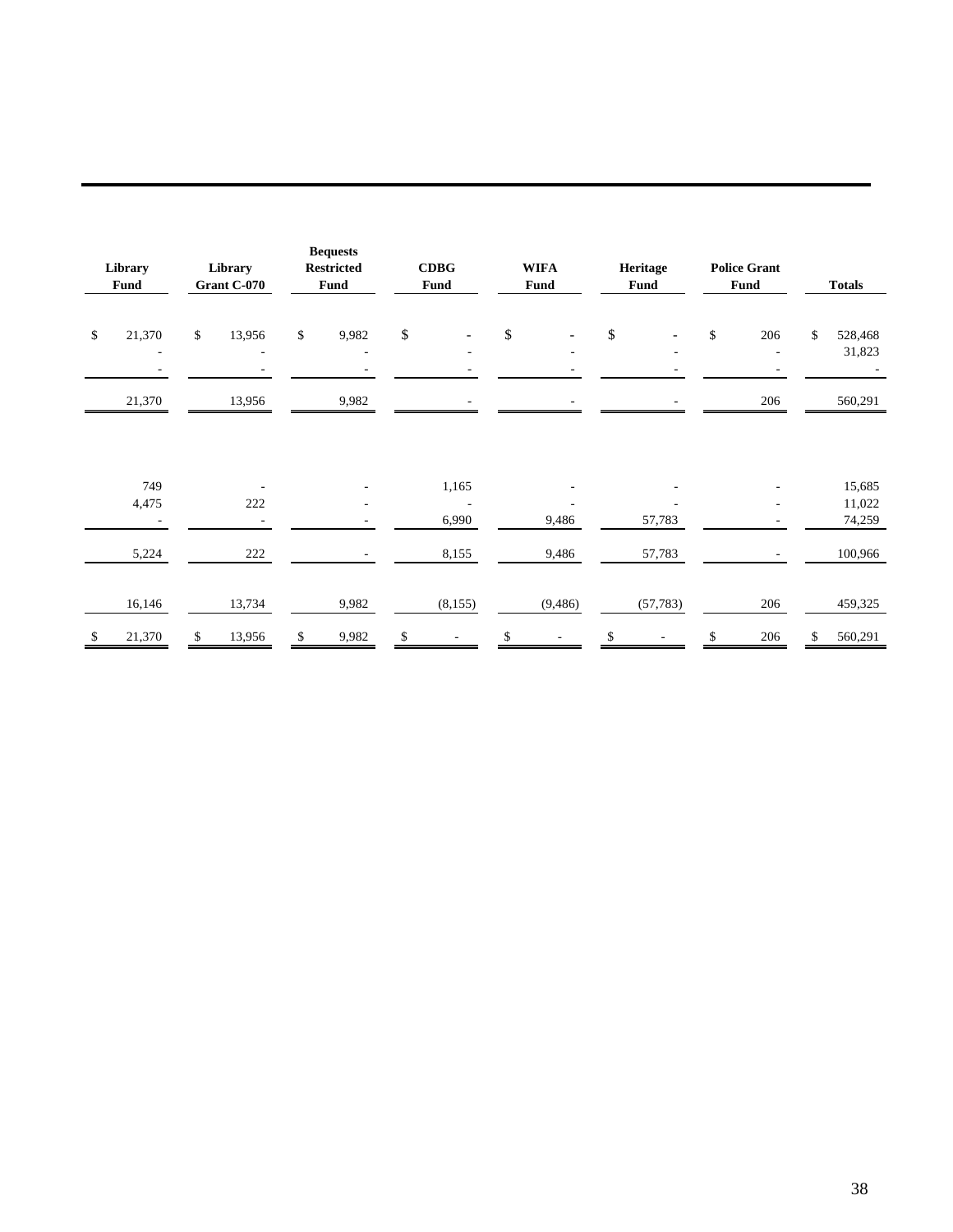| Library<br><b>Fund</b> |                                    | Library<br>Grant C-070 |        | <b>Bequests</b><br><b>Restricted</b><br>Fund |            | <b>CDBG</b><br>Fund |                          | <b>WIFA</b><br><b>Fund</b> |                          | Heritage<br>Fund |           | <b>Police Grant</b><br>Fund |                                 | <b>Totals</b> |                   |
|------------------------|------------------------------------|------------------------|--------|----------------------------------------------|------------|---------------------|--------------------------|----------------------------|--------------------------|------------------|-----------|-----------------------------|---------------------------------|---------------|-------------------|
| $\mathbb{S}$           | 21,370<br>$\overline{\phantom{a}}$ | $\mathbb{S}$           | 13,956 | $\mathbb{S}$                                 | 9,982<br>۰ | \$                  |                          | $\boldsymbol{\mathsf{S}}$  |                          | \$               |           | \$                          | 206<br>$\overline{\phantom{m}}$ | \$            | 528,468<br>31,823 |
|                        | 21,370                             |                        | 13,956 |                                              | 9,982      |                     |                          |                            |                          |                  |           |                             | 206                             |               | 560,291           |
|                        |                                    |                        |        |                                              |            |                     |                          |                            |                          |                  |           |                             |                                 |               |                   |
|                        | 749                                |                        |        |                                              |            |                     | 1,165                    |                            |                          |                  |           |                             |                                 |               | 15,685            |
|                        | 4,475                              |                        | 222    |                                              | ٠          |                     | $\sim$                   |                            |                          |                  |           |                             | ÷                               |               | 11,022            |
|                        |                                    |                        |        |                                              |            |                     | 6,990                    |                            | 9,486                    |                  | 57,783    |                             |                                 |               | 74,259            |
|                        | 5,224                              |                        | 222    |                                              |            |                     | 8,155                    |                            | 9,486                    |                  | 57,783    |                             |                                 |               | 100,966           |
|                        |                                    |                        |        |                                              |            |                     |                          |                            |                          |                  |           |                             |                                 |               |                   |
|                        | 16,146                             |                        | 13,734 |                                              | 9,982      |                     | (8,155)                  |                            | (9, 486)                 |                  | (57, 783) |                             | 206                             |               | 459,325           |
| \$                     | 21,370                             | \$                     | 13,956 | \$                                           | 9,982      | \$                  | $\overline{\phantom{a}}$ | \$                         | $\overline{\phantom{a}}$ | \$               |           |                             | 206                             | \$            | 560,291           |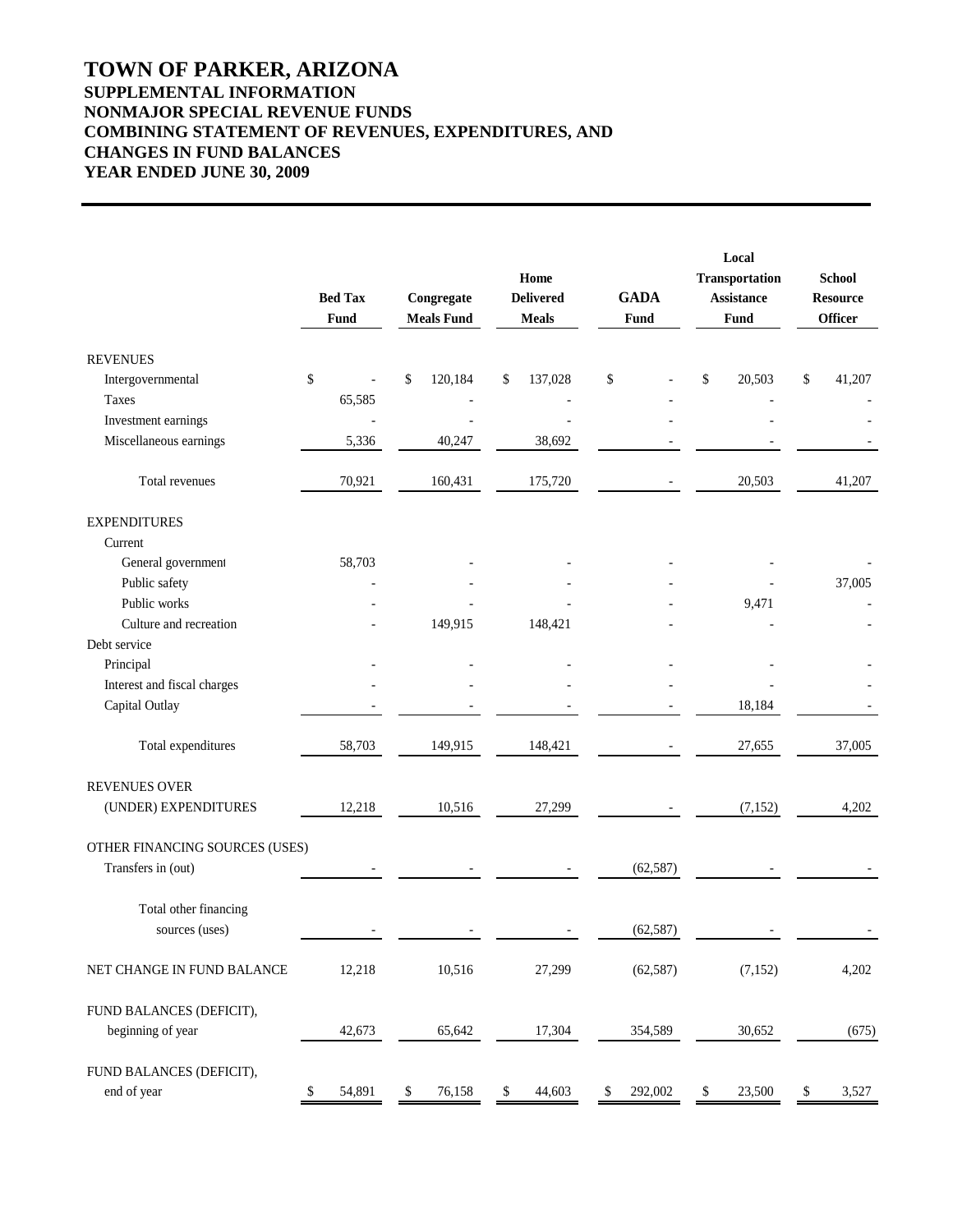# **TOWN OF PARKER, ARIZONA SUPPLEMENTAL INFORMATION NONMAJOR SPECIAL REVENUE FUNDS COMBINING STATEMENT OF REVENUES, EXPENDITURES, AND CHANGES IN FUND BALANCES YEAR ENDED JUNE 30, 2009**

|                                | <b>Bed Tax</b><br>Fund | Congregate<br><b>Meals Fund</b> | Home<br><b>Delivered</b><br><b>Meals</b> | <b>GADA</b><br>Fund | Local<br>Transportation<br><b>Assistance</b><br>Fund | <b>School</b><br><b>Resource</b><br><b>Officer</b> |  |
|--------------------------------|------------------------|---------------------------------|------------------------------------------|---------------------|------------------------------------------------------|----------------------------------------------------|--|
| <b>REVENUES</b>                |                        |                                 |                                          |                     |                                                      |                                                    |  |
| Intergovernmental              | \$                     | \$<br>120,184                   | 137,028<br>\$                            | \$                  | \$<br>20,503                                         | \$<br>41,207                                       |  |
| Taxes                          | 65,585                 |                                 |                                          |                     |                                                      |                                                    |  |
| Investment earnings            |                        |                                 |                                          |                     |                                                      |                                                    |  |
| Miscellaneous earnings         | 5,336                  | 40,247                          | 38,692                                   |                     |                                                      |                                                    |  |
| Total revenues                 | 70,921                 | 160,431                         | 175,720                                  |                     | 20,503                                               | 41,207                                             |  |
| <b>EXPENDITURES</b>            |                        |                                 |                                          |                     |                                                      |                                                    |  |
| Current                        |                        |                                 |                                          |                     |                                                      |                                                    |  |
| General government             | 58,703                 |                                 |                                          |                     |                                                      |                                                    |  |
| Public safety                  |                        |                                 |                                          |                     |                                                      | 37,005                                             |  |
| Public works                   |                        |                                 |                                          |                     | 9,471                                                |                                                    |  |
| Culture and recreation         |                        | 149,915                         | 148,421                                  |                     |                                                      |                                                    |  |
| Debt service                   |                        |                                 |                                          |                     |                                                      |                                                    |  |
| Principal                      |                        |                                 |                                          |                     |                                                      |                                                    |  |
| Interest and fiscal charges    |                        |                                 |                                          |                     |                                                      |                                                    |  |
| Capital Outlay                 |                        |                                 |                                          |                     | 18,184                                               |                                                    |  |
| Total expenditures             | 58,703                 | 149,915                         | 148,421                                  |                     | 27,655                                               | 37,005                                             |  |
| <b>REVENUES OVER</b>           |                        |                                 |                                          |                     |                                                      |                                                    |  |
| (UNDER) EXPENDITURES           | 12,218                 | 10,516                          | 27,299                                   |                     | (7, 152)                                             | 4,202                                              |  |
| OTHER FINANCING SOURCES (USES) |                        |                                 |                                          |                     |                                                      |                                                    |  |
| Transfers in (out)             |                        |                                 |                                          | (62, 587)           |                                                      |                                                    |  |
| Total other financing          |                        |                                 |                                          |                     |                                                      |                                                    |  |
| sources (uses)                 |                        |                                 |                                          | (62, 587)           |                                                      |                                                    |  |
| NET CHANGE IN FUND BALANCE     | 12,218                 | 10,516                          | 27,299                                   | (62, 587)           | (7, 152)                                             | 4,202                                              |  |
| FUND BALANCES (DEFICIT),       |                        |                                 |                                          |                     |                                                      |                                                    |  |
| beginning of year              | 42,673                 | 65,642                          | 17,304                                   | 354,589             | 30,652                                               | (675)                                              |  |
| FUND BALANCES (DEFICIT),       |                        |                                 |                                          |                     |                                                      |                                                    |  |
| end of year                    | 54,891<br>\$           | 76,158<br>\$                    | 44,603<br>\$                             | 292,002<br>\$       | \$<br>23,500                                         | 3,527<br>\$                                        |  |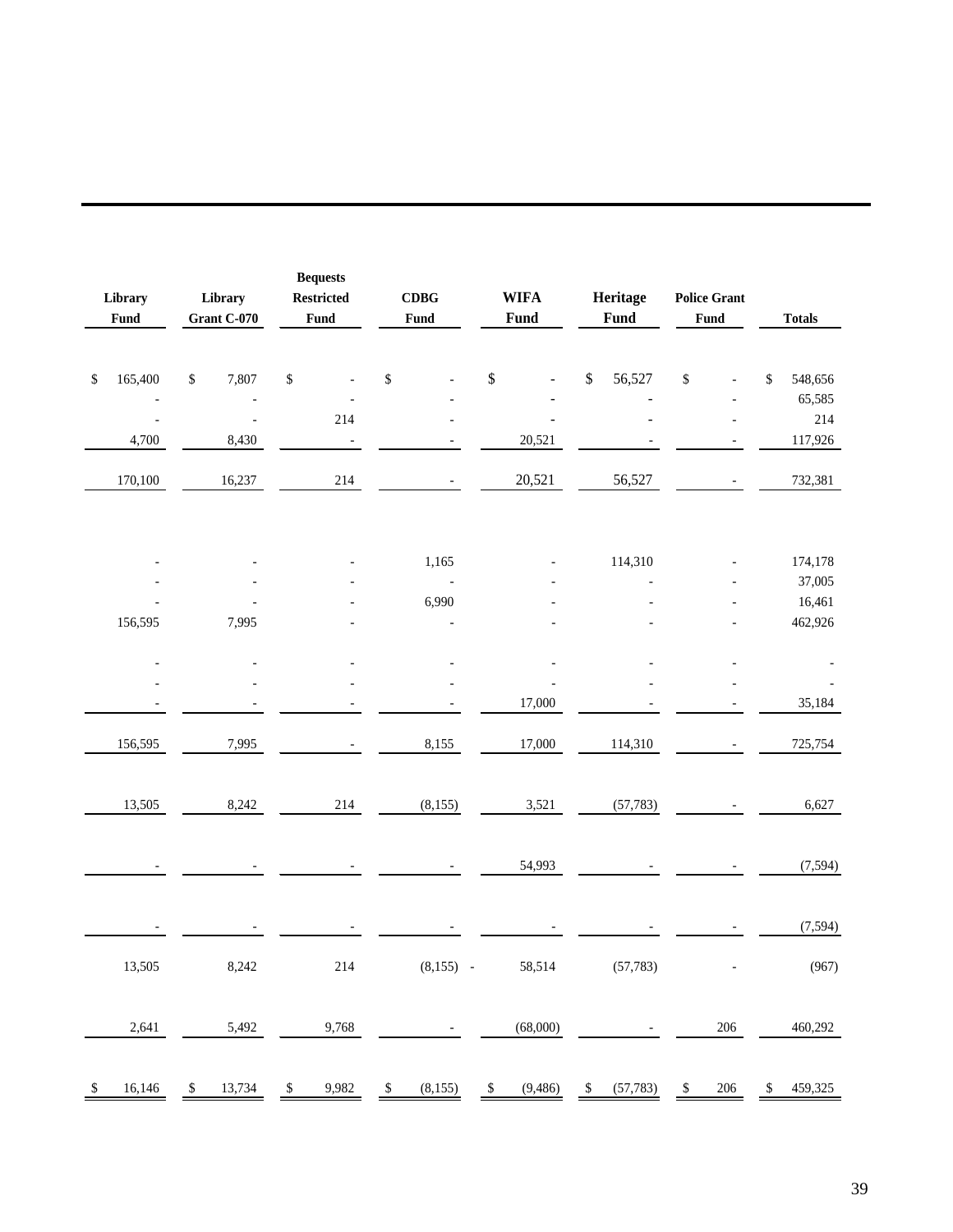| Library<br>Fund         | Library<br>Grant C-070 |                                   | <b>Bequests</b><br><b>Restricted</b><br>Fund |                   | $\mathbf C\mathbf D\mathbf B\mathbf G$<br>Fund |             | <b>WIFA</b><br>Fund |                          |    | Heritage<br>Fund | <b>Police Grant</b><br>Fund |         |        | <b>Totals</b>     |
|-------------------------|------------------------|-----------------------------------|----------------------------------------------|-------------------|------------------------------------------------|-------------|---------------------|--------------------------|----|------------------|-----------------------------|---------|--------|-------------------|
| \$<br>165,400           | $\mathbb{S}$           | 7,807                             | $\mathbb{S}$                                 | $\blacksquare$    | \$                                             |             | \$                  |                          | \$ | 56,527           | $\mathbb{S}$                |         | \$     | 548,656<br>65,585 |
| $\blacksquare$<br>4,700 |                        | $\overline{\phantom{a}}$<br>8,430 |                                              | 214<br>$\sim$ $-$ |                                                |             |                     | $\overline{a}$<br>20,521 |    |                  |                             |         |        | 214<br>117,926    |
| 170,100                 |                        | 16,237                            |                                              | 214               |                                                |             |                     | 20,521                   |    | 56,527           |                             |         |        | 732,381           |
|                         |                        |                                   |                                              |                   |                                                | 1,165       |                     |                          |    | 114,310          |                             |         |        | 174,178           |
|                         |                        |                                   |                                              |                   |                                                | $\sim$ $-$  |                     |                          |    |                  |                             |         | 37,005 |                   |
|                         |                        |                                   |                                              |                   | 6,990                                          |             |                     |                          |    |                  |                             |         |        | 16,461            |
| 156,595                 |                        | 7,995                             |                                              |                   |                                                |             |                     |                          |    |                  |                             | 462,926 |        |                   |
|                         |                        |                                   |                                              |                   |                                                |             |                     |                          |    |                  |                             |         |        |                   |
|                         |                        |                                   |                                              |                   |                                                |             |                     |                          |    |                  |                             |         |        |                   |
|                         |                        |                                   |                                              |                   |                                                |             |                     | 17,000                   |    |                  |                             |         |        | 35,184            |
| 156,595                 |                        | 7,995                             |                                              |                   |                                                | 8,155       |                     | 17,000                   |    | 114,310          |                             |         |        | 725,754           |
| 13,505                  |                        | 8,242                             |                                              | 214               |                                                | (8,155)     |                     | 3,521                    |    | (57, 783)        |                             |         |        | 6,627             |
|                         |                        |                                   |                                              |                   |                                                |             |                     | 54,993                   |    |                  |                             |         |        | (7, 594)          |
|                         |                        |                                   |                                              |                   |                                                |             |                     |                          |    |                  |                             |         |        | (7, 594)          |
| 13,505                  |                        | 8,242                             |                                              | $214\,$           |                                                | $(8,155)$ - |                     | 58,514                   |    | (57, 783)        |                             |         |        | (967)             |
| 2,641                   |                        | 5,492                             |                                              | 9,768             |                                                |             |                     | (68,000)                 |    |                  |                             | $206\,$ |        | 460,292           |
| \$<br>16,146            | \$                     | 13,734                            | \$                                           | 9,982             | \$                                             | (8, 155)    | \$                  | (9, 486)                 | \$ | (57, 783)        | \$                          | 206     | \$     | 459,325           |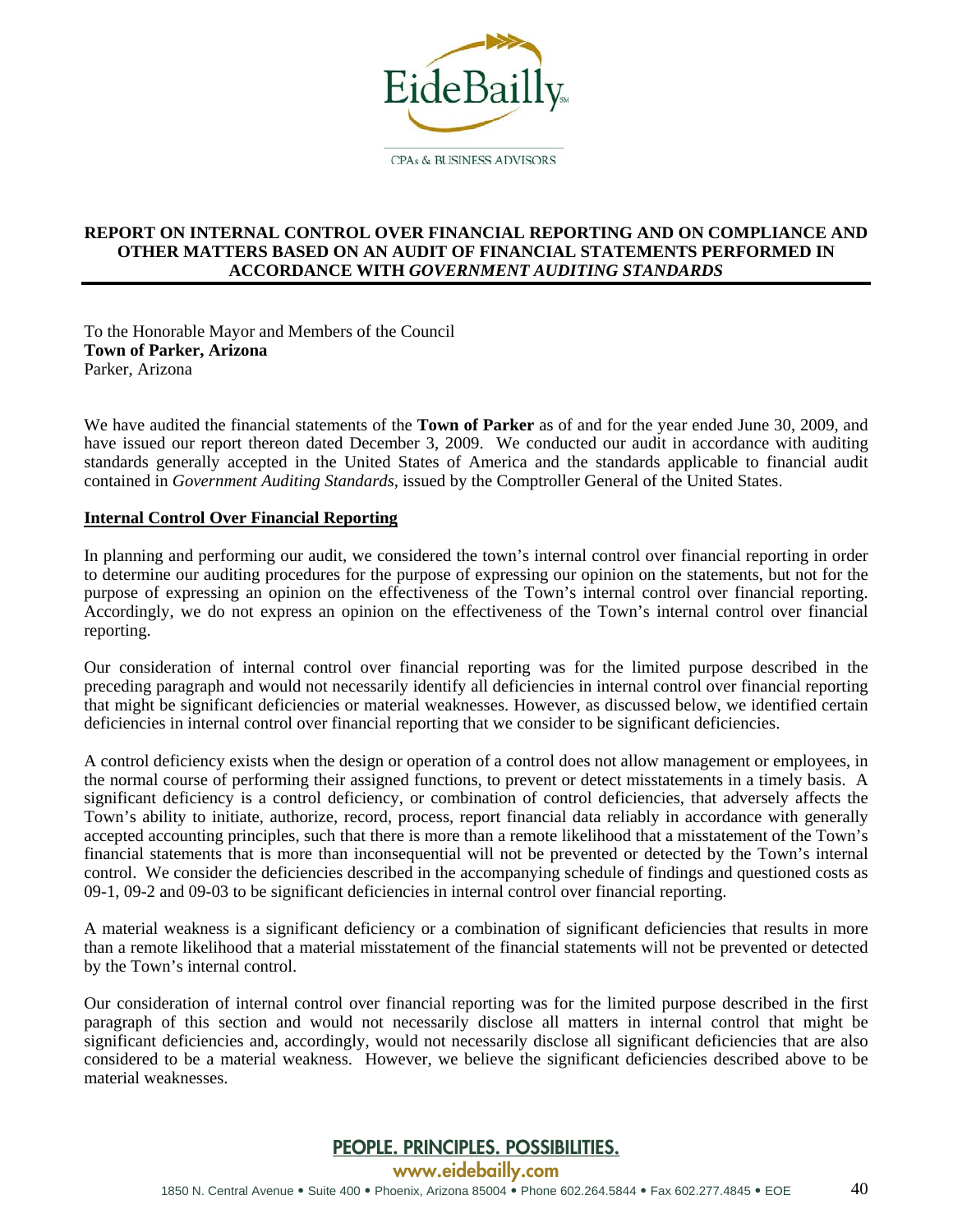

#### **REPORT ON INTERNAL CONTROL OVER FINANCIAL REPORTING AND ON COMPLIANCE AND OTHER MATTERS BASED ON AN AUDIT OF FINANCIAL STATEMENTS PERFORMED IN ACCORDANCE WITH** *GOVERNMENT AUDITING STANDARDS*

To the Honorable Mayor and Members of the Council **Town of Parker, Arizona**  Parker, Arizona

We have audited the financial statements of the **Town of Parker** as of and for the year ended June 30, 2009, and have issued our report thereon dated December 3, 2009. We conducted our audit in accordance with auditing standards generally accepted in the United States of America and the standards applicable to financial audit contained in *Government Auditing Standards*, issued by the Comptroller General of the United States.

#### **Internal Control Over Financial Reporting**

In planning and performing our audit, we considered the town's internal control over financial reporting in order to determine our auditing procedures for the purpose of expressing our opinion on the statements, but not for the purpose of expressing an opinion on the effectiveness of the Town's internal control over financial reporting. Accordingly, we do not express an opinion on the effectiveness of the Town's internal control over financial reporting.

Our consideration of internal control over financial reporting was for the limited purpose described in the preceding paragraph and would not necessarily identify all deficiencies in internal control over financial reporting that might be significant deficiencies or material weaknesses. However, as discussed below, we identified certain deficiencies in internal control over financial reporting that we consider to be significant deficiencies.

A control deficiency exists when the design or operation of a control does not allow management or employees, in the normal course of performing their assigned functions, to prevent or detect misstatements in a timely basis. A significant deficiency is a control deficiency, or combination of control deficiencies, that adversely affects the Town's ability to initiate, authorize, record, process, report financial data reliably in accordance with generally accepted accounting principles, such that there is more than a remote likelihood that a misstatement of the Town's financial statements that is more than inconsequential will not be prevented or detected by the Town's internal control. We consider the deficiencies described in the accompanying schedule of findings and questioned costs as 09-1, 09-2 and 09-03 to be significant deficiencies in internal control over financial reporting.

A material weakness is a significant deficiency or a combination of significant deficiencies that results in more than a remote likelihood that a material misstatement of the financial statements will not be prevented or detected by the Town's internal control.

Our consideration of internal control over financial reporting was for the limited purpose described in the first paragraph of this section and would not necessarily disclose all matters in internal control that might be significant deficiencies and, accordingly, would not necessarily disclose all significant deficiencies that are also considered to be a material weakness. However, we believe the significant deficiencies described above to be material weaknesses.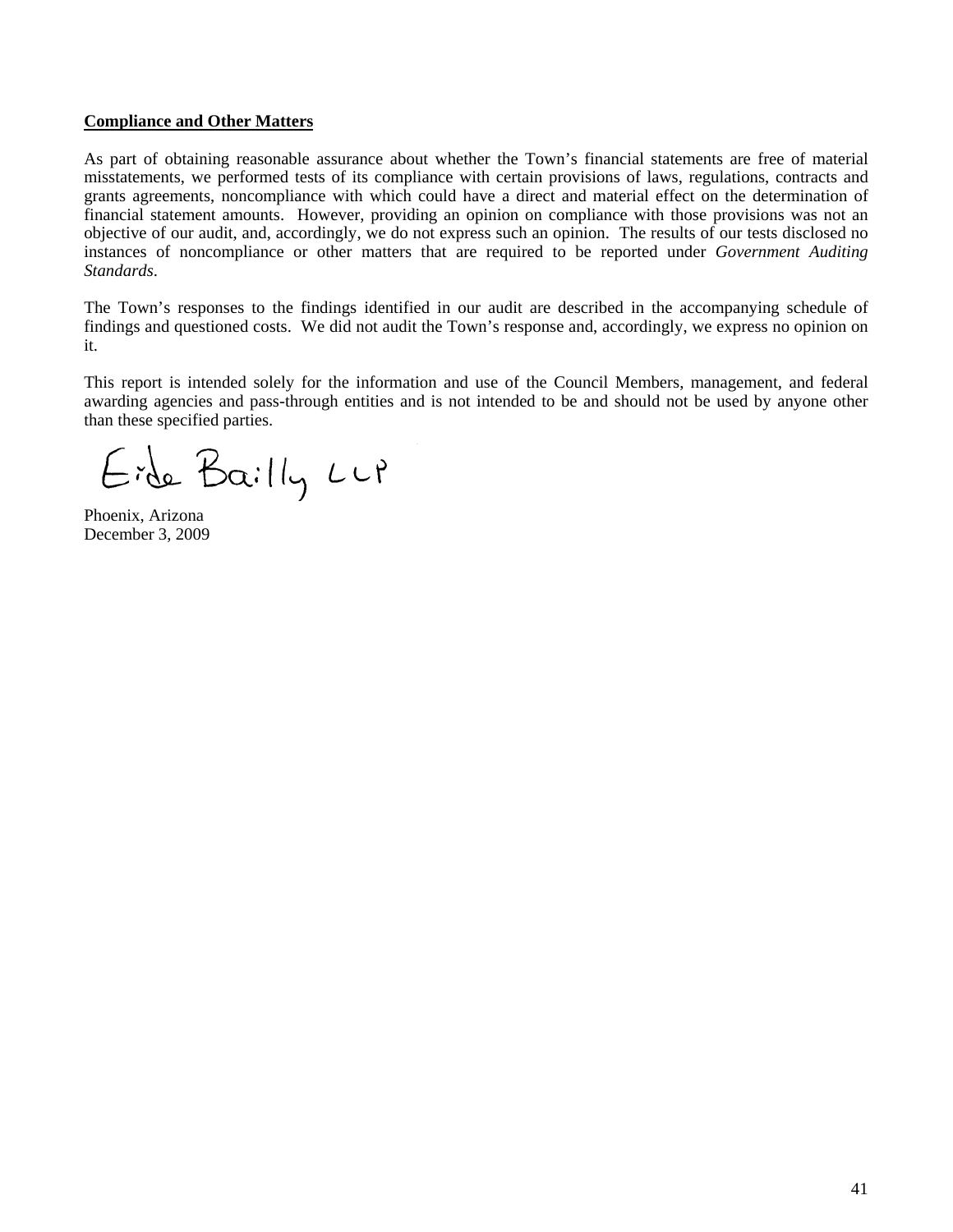#### **Compliance and Other Matters**

As part of obtaining reasonable assurance about whether the Town's financial statements are free of material misstatements, we performed tests of its compliance with certain provisions of laws, regulations, contracts and grants agreements, noncompliance with which could have a direct and material effect on the determination of financial statement amounts. However, providing an opinion on compliance with those provisions was not an objective of our audit, and, accordingly, we do not express such an opinion. The results of our tests disclosed no instances of noncompliance or other matters that are required to be reported under *Government Auditing Standards*.

The Town's responses to the findings identified in our audit are described in the accompanying schedule of findings and questioned costs. We did not audit the Town's response and, accordingly, we express no opinion on it.

This report is intended solely for the information and use of the Council Members, management, and federal awarding agencies and pass-through entities and is not intended to be and should not be used by anyone other than these specified parties.

Eide Bailly Lup

Phoenix, Arizona December 3, 2009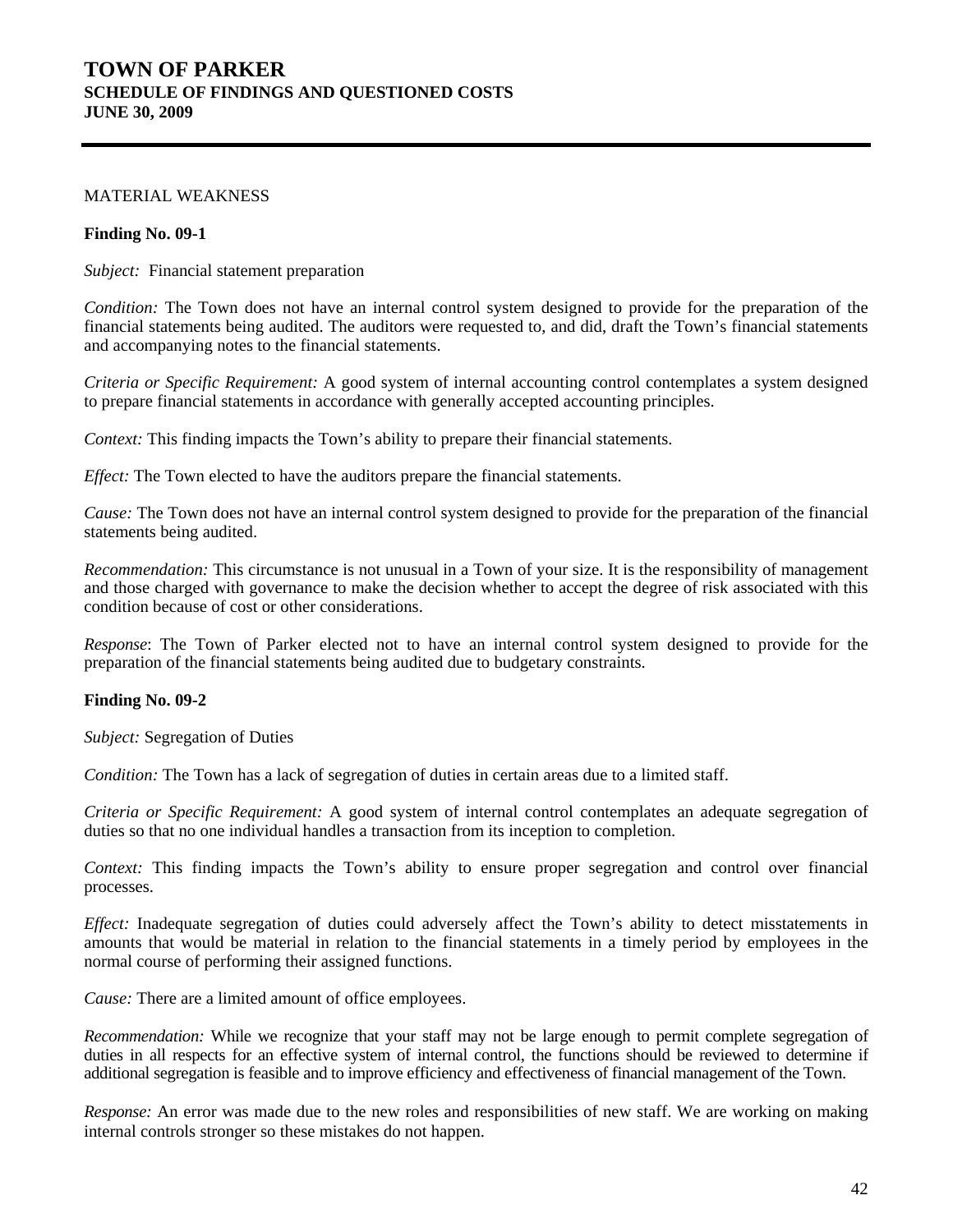# **TOWN OF PARKER SCHEDULE OF FINDINGS AND QUESTIONED COSTS JUNE 30, 2009**

#### MATERIAL WEAKNESS

#### **Finding No. 09-1**

*Subject:* Financial statement preparation

*Condition:* The Town does not have an internal control system designed to provide for the preparation of the financial statements being audited. The auditors were requested to, and did, draft the Town's financial statements and accompanying notes to the financial statements.

*Criteria or Specific Requirement:* A good system of internal accounting control contemplates a system designed to prepare financial statements in accordance with generally accepted accounting principles.

*Context:* This finding impacts the Town's ability to prepare their financial statements.

*Effect:* The Town elected to have the auditors prepare the financial statements.

*Cause:* The Town does not have an internal control system designed to provide for the preparation of the financial statements being audited.

*Recommendation:* This circumstance is not unusual in a Town of your size. It is the responsibility of management and those charged with governance to make the decision whether to accept the degree of risk associated with this condition because of cost or other considerations.

*Response*: The Town of Parker elected not to have an internal control system designed to provide for the preparation of the financial statements being audited due to budgetary constraints.

#### **Finding No. 09-2**

*Subject:* Segregation of Duties

*Condition:* The Town has a lack of segregation of duties in certain areas due to a limited staff.

*Criteria or Specific Requirement:* A good system of internal control contemplates an adequate segregation of duties so that no one individual handles a transaction from its inception to completion.

*Context:* This finding impacts the Town's ability to ensure proper segregation and control over financial processes.

*Effect:* Inadequate segregation of duties could adversely affect the Town's ability to detect misstatements in amounts that would be material in relation to the financial statements in a timely period by employees in the normal course of performing their assigned functions.

*Cause:* There are a limited amount of office employees.

*Recommendation:* While we recognize that your staff may not be large enough to permit complete segregation of duties in all respects for an effective system of internal control, the functions should be reviewed to determine if additional segregation is feasible and to improve efficiency and effectiveness of financial management of the Town.

*Response:* An error was made due to the new roles and responsibilities of new staff. We are working on making internal controls stronger so these mistakes do not happen.